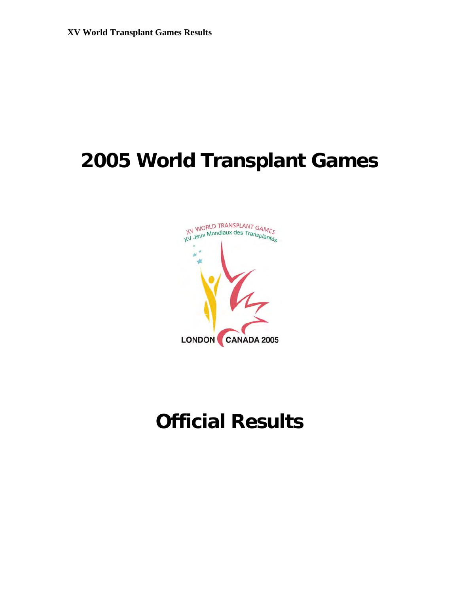# **2005 World Transplant Games**



# **Official Results**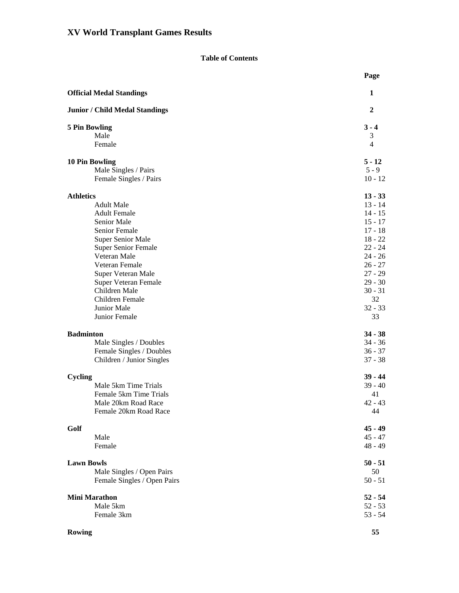### **Table of Contents**

|                                       | Page            |
|---------------------------------------|-----------------|
| <b>Official Medal Standings</b>       | 1               |
| <b>Junior / Child Medal Standings</b> | $\overline{2}$  |
| <b>5 Pin Bowling</b>                  | $3 - 4$         |
| Male                                  | 3               |
| Female                                | $\overline{4}$  |
| <b>10 Pin Bowling</b>                 | $5 - 12$        |
| Male Singles / Pairs                  | $5 - 9$         |
| Female Singles / Pairs                | $10 - 12$       |
| <b>Athletics</b>                      | $13 - 33$       |
| <b>Adult Male</b>                     | $13 - 14$       |
| <b>Adult Female</b>                   | 14 - 15         |
| Senior Male                           | $15 - 17$       |
| Senior Female                         | $17 - 18$       |
| <b>Super Senior Male</b>              | $18 - 22$       |
| <b>Super Senior Female</b>            | $22 - 24$       |
| Veteran Male                          | $24 - 26$       |
| Veteran Female                        | $26 - 27$       |
| Super Veteran Male                    | $27 - 29$       |
| Super Veteran Female                  | $29 - 30$       |
| Children Male                         | $30 - 31$<br>32 |
| Children Female<br>Junior Male        |                 |
| Junior Female                         | $32 - 33$<br>33 |
|                                       |                 |
| <b>Badminton</b>                      | $34 - 38$       |
| Male Singles / Doubles                | $34 - 36$       |
| Female Singles / Doubles              | $36 - 37$       |
| Children / Junior Singles             | $37 - 38$       |
| Cycling                               | $39 - 44$       |
| Male 5km Time Trials                  | $39 - 40$       |
| Female 5km Time Trials                | 41              |
| Male 20km Road Race                   | $42 - 43$       |
| Female 20km Road Race                 | 44              |
| Golf                                  | $45 - 49$       |
| Male                                  | $45 - 47$       |
| Female                                | $48 - 49$       |
| <b>Lawn Bowls</b>                     | $50 - 51$       |
| Male Singles / Open Pairs             | 50              |
| Female Singles / Open Pairs           | $50 - 51$       |
| <b>Mini Marathon</b>                  | $52 - 54$       |
| Male 5km                              | $52 - 53$       |
| Female 3km                            | $53 - 54$       |
| Rowing                                | 55              |
|                                       |                 |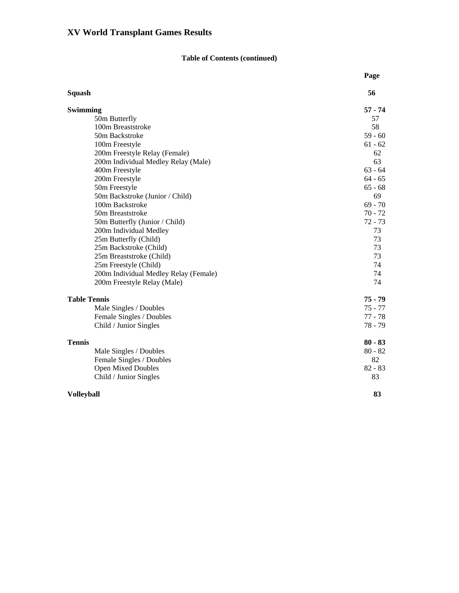### **Table of Contents (continued)**

|                                       | Page      |
|---------------------------------------|-----------|
| <b>Squash</b>                         | 56        |
| Swimming                              | $57 - 74$ |
| 50m Butterfly                         | 57        |
| 100m Breaststroke                     | 58        |
| 50m Backstroke                        | $59 - 60$ |
| 100m Freestyle                        | $61 - 62$ |
| 200m Freestyle Relay (Female)         | 62        |
| 200m Individual Medley Relay (Male)   | 63        |
| 400m Freestyle                        | $63 - 64$ |
| 200m Freestyle                        | $64 - 65$ |
| 50m Freestyle                         | $65 - 68$ |
| 50m Backstroke (Junior / Child)       | 69        |
| 100m Backstroke                       | $69 - 70$ |
| 50m Breaststroke                      | $70 - 72$ |
| 50m Butterfly (Junior / Child)        | $72 - 73$ |
| 200m Individual Medley                | 73        |
| 25m Butterfly (Child)                 | 73        |
| 25m Backstroke (Child)                | 73        |
| 25m Breaststroke (Child)              | 73        |
| 25m Freestyle (Child)                 | 74        |
| 200m Individual Medley Relay (Female) | 74        |
| 200m Freestyle Relay (Male)           | 74        |
| <b>Table Tennis</b>                   | $75 - 79$ |
| Male Singles / Doubles                | 75 - 77   |
| Female Singles / Doubles              | $77 - 78$ |
| Child / Junior Singles                | $78 - 79$ |
| <b>Tennis</b>                         | $80 - 83$ |
| Male Singles / Doubles                | $80 - 82$ |
| Female Singles / Doubles              | 82        |
| <b>Open Mixed Doubles</b>             | $82 - 83$ |
| Child / Junior Singles                | 83        |
| <b>Volleyball</b>                     | 83        |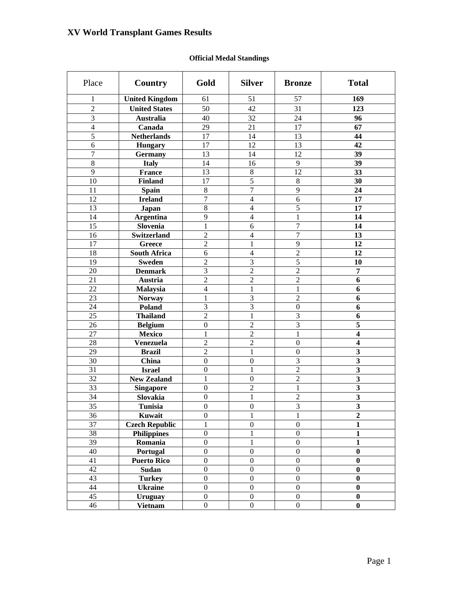### **Official Medal Standings**

| Place           | Country               | Gold             | <b>Silver</b>    | <b>Bronze</b>    | <b>Total</b>            |
|-----------------|-----------------------|------------------|------------------|------------------|-------------------------|
| 1               | <b>United Kingdom</b> | 61               | 51               | 57               | 169                     |
| $\overline{2}$  | <b>United States</b>  | 50               | 42               | 31               | 123                     |
| 3               | <b>Australia</b>      | 40               | 32               | 24               | 96                      |
| $\overline{4}$  | Canada                | 29               | 21               | 17               | 67                      |
| 5               | <b>Netherlands</b>    | 17               | 14               | 13               | 44                      |
| 6               | <b>Hungary</b>        | 17               | 12               | 13               | 42                      |
| 7               | <b>Germany</b>        | 13               | 14               | 12               | 39                      |
| 8               | <b>Italy</b>          | 14               | 16               | $\overline{9}$   | 39                      |
| 9               | <b>France</b>         | 13               | $\,8\,$          | 12               | 33                      |
| 10              | <b>Finland</b>        | 17               | $\overline{5}$   | $8\,$            | 30                      |
| 11              | Spain                 | $\,8\,$          | $\overline{7}$   | 9                | 24                      |
| 12              | <b>Ireland</b>        | $\overline{7}$   | $\overline{4}$   | 6                | 17                      |
| 13              | Japan                 | 8                | $\overline{4}$   | 5                | 17                      |
| 14              | <b>Argentina</b>      | 9                | $\overline{4}$   | $\mathbf{1}$     | 14                      |
| 15              | Slovenia              | 1                | 6                | $\overline{7}$   | 14                      |
| 16              | <b>Switzerland</b>    | $\overline{2}$   | $\overline{4}$   | $\overline{7}$   | 13                      |
| 17              | Greece                | $\overline{2}$   | 1                | 9                | 12                      |
| 18              | <b>South Africa</b>   | 6                | $\overline{4}$   | $\overline{2}$   | 12                      |
| 19              | <b>Sweden</b>         | $\overline{2}$   | 3                | 5                | 10                      |
| 20              | <b>Denmark</b>        | 3                | $\overline{2}$   | $\overline{c}$   | $\overline{7}$          |
| 21              | Austria               | $\overline{2}$   | $\overline{2}$   | $\overline{2}$   | 6                       |
| 22              | Malaysia              | $\overline{4}$   | 1                | 1                | 6                       |
| 23              | <b>Norway</b>         | 1                | 3                | $\overline{2}$   | 6                       |
| 24              | Poland                | 3                | 3                | $\boldsymbol{0}$ | 6                       |
| 25              | <b>Thailand</b>       | $\overline{2}$   | 1                | 3                | 6                       |
| 26              | <b>Belgium</b>        | $\boldsymbol{0}$ | $\overline{2}$   | 3                | 5                       |
| 27              | <b>Mexico</b>         | 1                | $\overline{2}$   | $\mathbf{1}$     | $\overline{\mathbf{4}}$ |
| 28              | Venezuela             | $\overline{2}$   | $\overline{2}$   | $\boldsymbol{0}$ | $\overline{\mathbf{4}}$ |
| 29              | <b>Brazil</b>         | $\overline{2}$   | 1                | $\boldsymbol{0}$ | $\mathbf{3}$            |
| 30              | China                 | $\boldsymbol{0}$ | $\boldsymbol{0}$ | 3                | $\mathbf{3}$            |
| 31              | <b>Israel</b>         | $\boldsymbol{0}$ | 1                | $\overline{2}$   | $\mathbf{3}$            |
| 32              | <b>New Zealand</b>    | 1                | $\boldsymbol{0}$ | $\overline{2}$   | $\mathbf{3}$            |
| 33              | <b>Singapore</b>      | $\boldsymbol{0}$ | $\overline{c}$   | $\mathbf{1}$     | $\mathbf{3}$            |
| 34              | Slovakia              | $\boldsymbol{0}$ | $\mathbf{1}$     | $\overline{c}$   | $\overline{\mathbf{3}}$ |
| 35              | Tunisia               | $\boldsymbol{0}$ | $\boldsymbol{0}$ | 3                | $\overline{\mathbf{3}}$ |
| 36              | Kuwait                | $\boldsymbol{0}$ | 1                | $\mathbf{1}$     | $\overline{2}$          |
| $\overline{37}$ | <b>Czech Republic</b> | $\mathbf{1}$     | $\boldsymbol{0}$ | $\boldsymbol{0}$ | 1                       |
| 38              | <b>Philippines</b>    | $\boldsymbol{0}$ | 1                | $\boldsymbol{0}$ | $\mathbf{1}$            |
| $\overline{39}$ | Romania               | $\boldsymbol{0}$ | $\mathbf{1}$     | $\boldsymbol{0}$ | $\mathbf{1}$            |
| 40              | Portugal              | $\boldsymbol{0}$ | $\boldsymbol{0}$ | $\boldsymbol{0}$ | $\bf{0}$                |
| 41              | <b>Puerto Rico</b>    | $\boldsymbol{0}$ | $\boldsymbol{0}$ | $\boldsymbol{0}$ | $\boldsymbol{0}$        |
| 42              | Sudan                 | $\boldsymbol{0}$ | $\boldsymbol{0}$ | $\boldsymbol{0}$ | $\bf{0}$                |
| 43              | <b>Turkey</b>         | $\boldsymbol{0}$ | $\boldsymbol{0}$ | $\boldsymbol{0}$ | $\bf{0}$                |
| 44              | <b>Ukraine</b>        | $\boldsymbol{0}$ | $\boldsymbol{0}$ | $\boldsymbol{0}$ | $\bf{0}$                |
| 45              | <b>Uruguay</b>        | $\boldsymbol{0}$ | $\boldsymbol{0}$ | $\boldsymbol{0}$ | $\bf{0}$                |
| 46              | <b>Vietnam</b>        | $\boldsymbol{0}$ | $\boldsymbol{0}$ | $\boldsymbol{0}$ | $\boldsymbol{0}$        |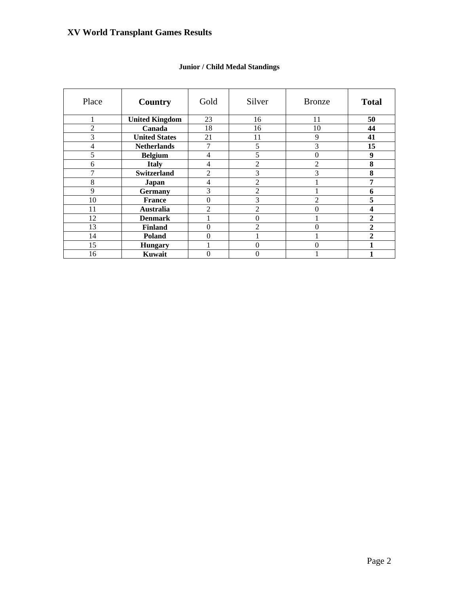| Place | Country               | Gold           | Silver           | <b>Bronze</b>  | <b>Total</b>     |
|-------|-----------------------|----------------|------------------|----------------|------------------|
|       | <b>United Kingdom</b> | 23             | 16               | 11             | 50               |
| 2     | Canada                | 18             | 16               | 10             | 44               |
| 3     | <b>United States</b>  | 21             | 11               | 9              | 41               |
| 4     | <b>Netherlands</b>    | 7              | 5                | 3              | 15               |
| 5     | <b>Belgium</b>        | 4              | 5                | 0              | $\boldsymbol{9}$ |
| 6     | <b>Italy</b>          | $\overline{4}$ | $\overline{c}$   | $\overline{c}$ | 8                |
| 7     | <b>Switzerland</b>    | 2              | 3                | 3              | 8                |
| 8     | Japan                 | 4              | $\overline{2}$   |                | 7                |
| 9     | <b>Germany</b>        | 3              | $\overline{c}$   |                | 6                |
| 10    | <b>France</b>         | $\overline{0}$ | 3                | 2              | 5                |
| 11    | <b>Australia</b>      | $\overline{2}$ | $\overline{2}$   | 0              | 4                |
| 12    | <b>Denmark</b>        |                | $\boldsymbol{0}$ |                | $\overline{2}$   |
| 13    | <b>Finland</b>        | $\overline{0}$ | $\overline{2}$   | 0              | 2                |
| 14    | <b>Poland</b>         | $\overline{0}$ |                  |                | $\mathbf{2}$     |
| 15    | <b>Hungary</b>        |                | $\Omega$         | 0              |                  |
| 16    | Kuwait                | $\overline{0}$ | 0                |                |                  |

### **Junior / Child Medal Standings**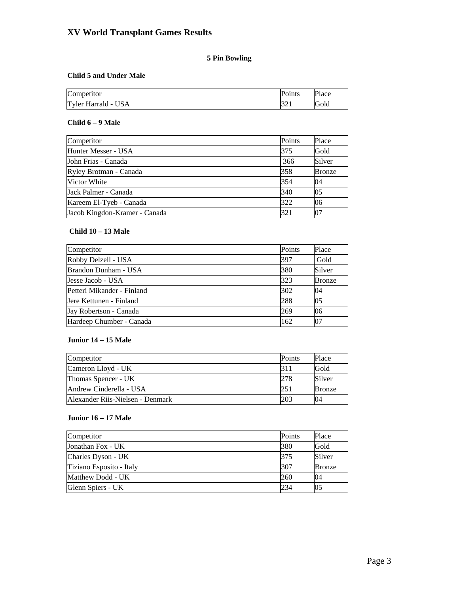### **5 Pin Bowling**

#### **Child 5 and Under Male**

| Competitor                                            | r<br>'oınts | Place |
|-------------------------------------------------------|-------------|-------|
| Tyler.<br>'ISA<br>Harrald<br>$\overline{\phantom{a}}$ | ہ کر ا      | Gold  |

### **Child 6 – 9 Male**

| Competitor                    | Points | Place         |
|-------------------------------|--------|---------------|
| Hunter Messer - USA           | 375    | Gold          |
| John Frias - Canada           | 366    | Silver        |
| Ryley Brotman - Canada        | 358    | <b>Bronze</b> |
| Victor White                  | 354    | 04            |
| Jack Palmer - Canada          | 340    | 05            |
| Kareem El-Tyeb - Canada       | 322    | 06            |
| Jacob Kingdon-Kramer - Canada | 321    | 07            |

### **Child 10 – 13 Male**

| Competitor                 | Points | Place         |
|----------------------------|--------|---------------|
| Robby Delzell - USA        | 397    | Gold          |
| Brandon Dunham - USA       | 380    | Silver        |
| Jesse Jacob - USA          | 323    | <b>Bronze</b> |
| Petteri Mikander - Finland | 302    | 04            |
| Jere Kettunen - Finland    | 288    | 05            |
| Jay Robertson - Canada     | 269    | 06            |
| Hardeep Chumber - Canada   | 162    | 07            |

### **Junior 14 – 15 Male**

| Competitor                       | Points | Place         |
|----------------------------------|--------|---------------|
| Cameron Lloyd - UK               | 311    | Gold          |
| Thomas Spencer - UK              | 278    | Silver        |
| Andrew Cinderella - USA          | 251    | <b>Bronze</b> |
| Alexander Rijs-Nielsen - Denmark |        | 04            |

#### **Junior 16 – 17 Male**

| Competitor               | Points | Place         |
|--------------------------|--------|---------------|
| Jonathan Fox - UK        | 380    | Gold          |
| Charles Dyson - UK       | 375    | Silver        |
| Tiziano Esposito - Italy | 307    | <b>Bronze</b> |
| Matthew Dodd - UK        | 260    | 04            |
| Glenn Spiers - UK        | 234    | 05            |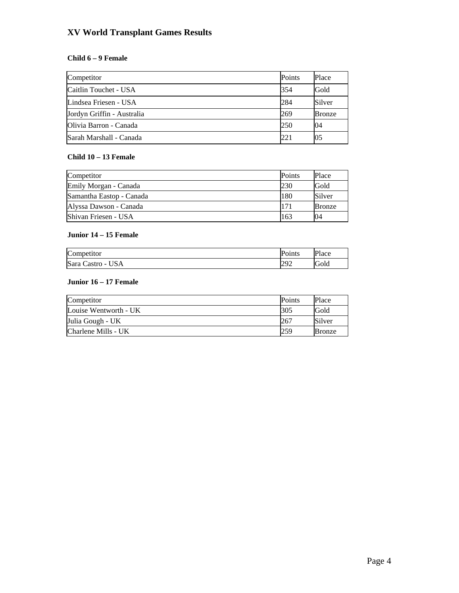#### **Child 6 – 9 Female**

| Competitor                 | <b>Points</b> | Place  |
|----------------------------|---------------|--------|
| Caitlin Touchet - USA      | 354           | Gold   |
| Lindsea Friesen - USA      | 284           | Silver |
| Jordyn Griffin - Australia | 269           | Bronze |
| Olivia Barron - Canada     | 250           | 04     |
| Sarah Marshall - Canada    | 221           | 05     |

#### **Child 10 – 13 Female**

| Competitor               | Points | Place         |
|--------------------------|--------|---------------|
| Emily Morgan - Canada    | 230    | Gold          |
| Samantha Eastop - Canada | 180    | Silver        |
| Alyssa Dawson - Canada   | 171    | <b>Bronze</b> |
| Shivan Friesen - USA     | 163    | 04            |

#### **Junior 14 – 15 Female**

| Competitor        | Points    | Place |
|-------------------|-----------|-------|
| Sara Castro - USA | Ωû<br>272 | Gold  |

#### **Junior 16 – 17 Female**

| Competitor            | <b>Points</b> | Place         |
|-----------------------|---------------|---------------|
| Louise Wentworth - UK | 305           | Gold          |
| Julia Gough - UK      | 267           | Silver        |
| Charlene Mills - UK   | 259           | <b>Bronze</b> |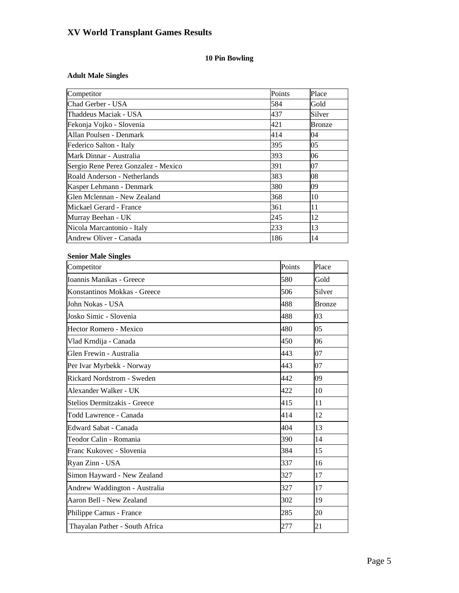### **10 Pin Bowling**

### **Adult Male Singles**

| Competitor                                                         | Points | Place         |
|--------------------------------------------------------------------|--------|---------------|
| Chad Gerber - USA<br>584                                           |        | Gold          |
| Thaddeus Maciak - USA<br>437                                       |        | Silver        |
| 421<br>Fekonja Vojko - Slovenia                                    |        | <b>Bronze</b> |
| 414<br>Allan Poulsen - Denmark                                     |        | 04            |
| 395<br>Federico Salton - Italy                                     |        | 05            |
| Mark Dinnar - Australia<br>393                                     |        | 06            |
| Sergio Rene Perez Gonzalez - Mexico<br>391                         |        | 07            |
| Roald Anderson - Netherlands<br>383                                |        | 08            |
| 380<br>Kasper Lehmann - Denmark                                    |        | 09            |
| Glen Mclennan - New Zealand<br>368                                 |        | 10            |
| Mickael Gerard - France<br>361                                     |        | 11            |
| 245<br>Murray Beehan - UK                                          |        | 12            |
| 233<br>Nicola Marcantonio - Italy<br>Andrew Oliver - Canada<br>186 |        | 13<br>14      |
|                                                                    |        |               |
| <b>Senior Male Singles</b>                                         |        |               |
| Competitor                                                         | Points | Place         |
| Ioannis Manikas - Greece                                           | 580    | Gold          |
| Konstantinos Mokkas - Greece                                       | 506    | Silver        |
| John Nokas - USA                                                   | 488    | <b>Bronze</b> |
| Josko Simic - Slovenia                                             | 488    | 03            |
| Hector Romero - Mexico                                             | 480    | 05            |
| Vlad Krndija - Canada                                              | 450    | 06            |
| Glen Frewin - Australia                                            | 443    | 07            |
| Per Ivar Myrbekk - Norway                                          | 443    | 07            |
| Rickard Nordstrom - Sweden                                         | 442    | 09            |
| Alexander Walker - UK                                              | 422    | 10            |
| Stelios Dermitzakis - Greece                                       | 415    | 11            |
| Todd Lawrence - Canada                                             | 414    | 12            |
| Edward Sabat - Canada                                              | 404    | 13            |
| Teodor Calin - Romania                                             | 390    | 14            |
| Franc Kukovec - Slovenia                                           | 384    | 15            |
| Ryan Zinn - USA                                                    | 337    | 16            |
| Simon Hayward - New Zealand                                        | 327    | 17            |
| Andrew Waddington - Australia                                      | 327    | 17            |
| Aaron Bell - New Zealand                                           | 302    | 19            |
| Philippe Camus - France                                            | 285    | 20            |
| Thayalan Pather - South Africa                                     | 277    | 21            |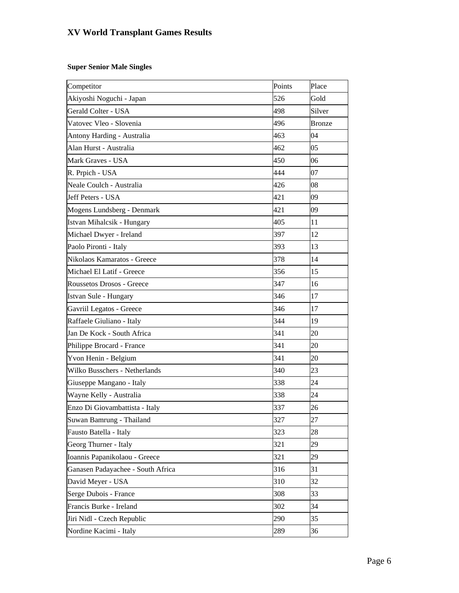#### **Super Senior Male Singles**

| Competitor                        | Points | Place         |
|-----------------------------------|--------|---------------|
| Akiyoshi Noguchi - Japan          | 526    | Gold          |
| Gerald Colter - USA               | 498    | Silver        |
| Vatovec Vleo - Slovenia           | 496    | <b>Bronze</b> |
| Antony Harding - Australia        | 463    | 04            |
| Alan Hurst - Australia            | 462    | 05            |
| Mark Graves - USA                 | 450    | 06            |
| R. Prpich - USA                   | 444    | 07            |
| Neale Coulch - Australia          | 426    | 08            |
| Jeff Peters - USA                 | 421    | 09            |
| Mogens Lundsberg - Denmark        | 421    | 09            |
| Istvan Mihalcsik - Hungary        | 405    | 11            |
| Michael Dwyer - Ireland           | 397    | 12            |
| Paolo Pironti - Italy             | 393    | 13            |
| Nikolaos Kamaratos - Greece       | 378    | 14            |
| Michael El Latif - Greece         | 356    | 15            |
| Roussetos Drosos - Greece         | 347    | 16            |
| Istvan Sule - Hungary             | 346    | 17            |
| Gavriil Legatos - Greece          | 346    | 17            |
| Raffaele Giuliano - Italy         | 344    | 19            |
| Jan De Kock - South Africa        | 341    | 20            |
| Philippe Brocard - France         | 341    | 20            |
| Yvon Henin - Belgium              | 341    | 20            |
| Wilko Busschers - Netherlands     | 340    | 23            |
| Giuseppe Mangano - Italy          | 338    | 24            |
| Wayne Kelly - Australia           | 338    | 24            |
| Enzo Di Giovambattista - Italy    | 337    | 26            |
| Suwan Bamrung - Thailand          | 327    | 27            |
| Fausto Batella - Italy            | 323    | 28            |
| Georg Thurner - Italy             | 321    | 29            |
| Ioannis Papanikolaou - Greece     | 321    | 29            |
| Ganasen Padayachee - South Africa | 316    | 31            |
| David Meyer - USA                 | 310    | 32            |
| Serge Dubois - France             | 308    | 33            |
| Francis Burke - Ireland           | 302    | 34            |
| Jiri Nidl - Czech Republic        | 290    | 35            |
| Nordine Kacimi - Italy            | 289    | 36            |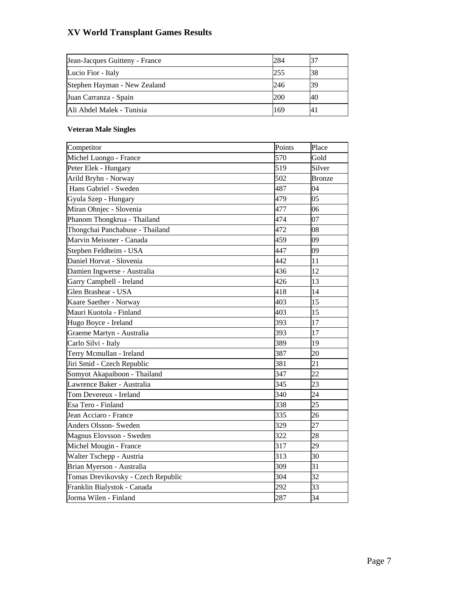| Jean-Jacques Guitteny - France | 284 |    |
|--------------------------------|-----|----|
| Lucio Fior - Italy             | 255 | 38 |
| Stephen Hayman - New Zealand   | 246 | 39 |
| Juan Carranza - Spain          | 200 | 40 |
| Ali Abdel Malek - Tunisia      | 169 | 4. |

### **Veteran Male Singles**

| Competitor                         | Points | Place           |
|------------------------------------|--------|-----------------|
| Michel Luongo - France             | 570    | Gold            |
| Peter Elek - Hungary               | 519    | Silver          |
| Arild Bryhn - Norway               | 502    | <b>Bronze</b>   |
| Hans Gabriel - Sweden              | 487    | 04              |
| Gyula Szep - Hungary               | 479    | 05              |
| Miran Ohnjec - Slovenia            | 477    | 06              |
| Phanom Thongkrua - Thailand        | 474    | 07              |
| Thongchai Panchabuse - Thailand    | 472    | 08              |
| Marvin Meissner - Canada           | 459    | 09              |
| Stephen Feldheim - USA             | 447    | 09              |
| Daniel Horvat - Slovenia           | 442    | 11              |
| Damien Ingwerse - Australia        | 436    | 12              |
| Garry Campbell - Ireland           | 426    | 13              |
| Glen Brashear - USA                | 418    | 14              |
| Kaare Saether - Norway             | 403    | 15              |
| Mauri Kuotola - Finland            | 403    | 15              |
| Hugo Boyce - Ireland               | 393    | 17              |
| Graeme Martyn - Australia          | 393    | 17              |
| Carlo Silvi - Italy                | 389    | 19              |
| Terry Mcmullan - Ireland           | 387    | 20              |
| Jiri Smid - Czech Republic         | 381    | $\overline{21}$ |
| Somyot Akapaiboon - Thailand       | 347    | 22              |
| Lawrence Baker - Australia         | 345    | 23              |
| Tom Devereux - Ireland             | 340    | 24              |
| Esa Tero - Finland                 | 338    | 25              |
| Jean Acciaro - France              | 335    | 26              |
| Anders Olsson- Sweden              | 329    | $\overline{27}$ |
| Magnus Elovsson - Sweden           | 322    | 28              |
| Michel Mougin - France             | 317    | 29              |
| Walter Tschepp - Austria           | 313    | 30              |
| Brian Myerson - Australia          | 309    | 31              |
| Tomas Drevikovsky - Czech Republic | 304    | 32              |
| Franklin Bialystok - Canada        | 292    | 33              |
| Jorma Wilen - Finland              | 287    | 34              |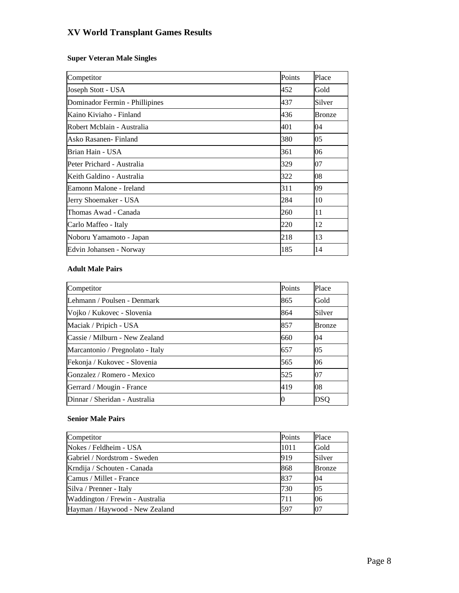### **Super Veteran Male Singles**

| Competitor                     | Points | Place  |
|--------------------------------|--------|--------|
| Joseph Stott - USA             | 452    | Gold   |
| Dominador Fermin - Phillipines | 437    | Silver |
| Kaino Kiviaho - Finland        | 436    | Bronze |
| Robert Mcblain - Australia     | 401    | 04     |
| lAsko Rasanen- Finland         | 380    | 05     |
| Brian Hain - USA               | 361    | 06     |
| Peter Prichard - Australia     | 329    | 07     |
| Keith Galdino - Australia      | 322    | 08     |
| Eamonn Malone - Ireland        | 311    | 09     |
| Jerry Shoemaker - USA          | 284    | 10     |
| Thomas Awad - Canada           | 260    | 11     |
| Carlo Maffeo - Italy           | 220    | 12     |
| Noboru Yamamoto - Japan        | 218    | 13     |
| Edvin Johansen - Norway        | 185    | 14     |

#### **Adult Male Pairs**

| Competitor                       | Points | Place         |
|----------------------------------|--------|---------------|
| Lehmann / Poulsen - Denmark      | 865    | Gold          |
| Vojko / Kukovec - Slovenia       | 864    | Silver        |
| Maciak / Pripich - USA           | 857    | <b>Bronze</b> |
| Cassie / Milburn - New Zealand   | 660    | 04            |
| Marcantonio / Pregnolato - Italy | 657    | 05            |
| Fekonja / Kukovec - Slovenia     | 565    | 06            |
| Gonzalez / Romero - Mexico       | 525    | 07            |
| Gerrard / Mougin - France        | 419    | 08            |
| Dinnar / Sheridan - Australia    | O      | DSO           |

#### **Senior Male Pairs**

| Competitor                      | Points | Place         |
|---------------------------------|--------|---------------|
| Nokes / Feldheim - USA          | 1011   | Gold          |
| Gabriel / Nordstrom - Sweden    | 919    | Silver        |
| Krndija / Schouten - Canada     | 868    | <b>Bronze</b> |
| Camus / Millet - France         | 837    | 104           |
| Silva / Prenner - Italy         | 730    | 05            |
| Waddington / Frewin - Australia | 711    | 06            |
| Hayman / Haywood - New Zealand  | 597    | 107           |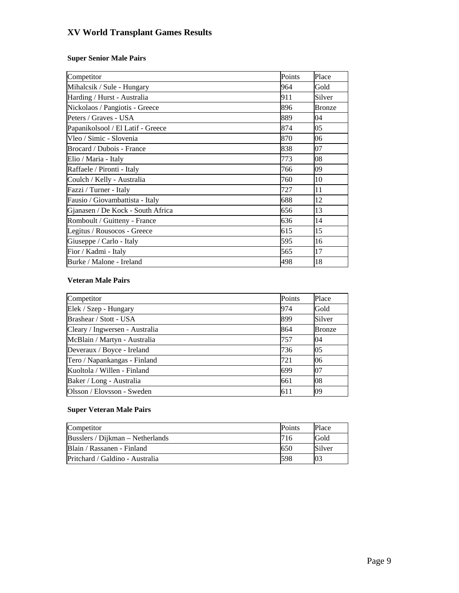### **Super Senior Male Pairs**

| Competitor                        | Points | Place         |
|-----------------------------------|--------|---------------|
| Mihalcsik / Sule - Hungary        | 964    | Gold          |
| Harding / Hurst - Australia       | 911    | Silver        |
| Nickolaos / Pangiotis - Greece    | 896    | <b>Bronze</b> |
| Peters / Graves - USA             | 889    | 04            |
| Papanikolsool / El Latif - Greece | 874    | 05            |
| Vleo / Simic - Slovenia           | 870    | 06            |
| Brocard / Dubois - France         | 838    | 07            |
| Elio / Maria - Italy              | 773    | 08            |
| Raffaele / Pironti - Italy        | 766    | 09            |
| Coulch / Kelly - Australia        | 760    | 10            |
| Fazzi / Turner - Italy            | 727    | 11            |
| Fausio / Giovambattista - Italy   | 688    | 12            |
| Gjanasen / De Kock - South Africa | 656    | 13            |
| Romboult / Guitteny - France      | 636    | 14            |
| Legitus / Rousocos - Greece       | 615    | 15            |
| Giuseppe / Carlo - Italy          | 595    | 16            |
| Fior / Kadmi - Italy              | 565    | 17            |
| Burke / Malone - Ireland          | 498    | 18            |

#### **Veteran Male Pairs**

| Competitor                     | Points | Place         |
|--------------------------------|--------|---------------|
| Elek / Szep - Hungary          | 974    | Gold          |
| Brashear / Stott - USA         | 899    | Silver        |
| Cleary / Ingwersen - Australia | 864    | <b>Bronze</b> |
| McBlain / Martyn - Australia   | 757    | 04            |
| Deveraux / Boyce - Ireland     | 736    | 05            |
| Tero / Napankangas - Finland   | 721    | 06            |
| Kuoltola / Willen - Finland    | 699    | 07            |
| Baker / Long - Australia       | 661    | 08            |
| Olsson / Elovsson - Sweden     | 611    | 09            |

### **Super Veteran Male Pairs**

| Competitor                       | <b>Points</b> | Place  |
|----------------------------------|---------------|--------|
| Busslers / Dijkman – Netherlands | 716           | Gold   |
| Blain / Rassanen - Finland       | 650           | Silver |
| Pritchard / Galdino - Australia  | 598           | 03     |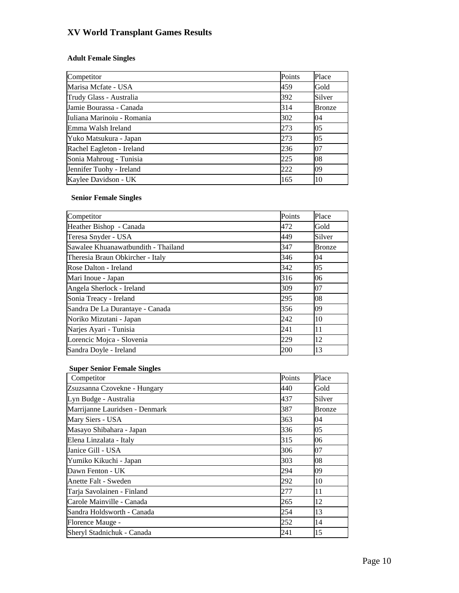### **Adult Female Singles**

| Competitor                 | Points | Place         |
|----------------------------|--------|---------------|
| Marisa Mcfate - USA        | 459    | Gold          |
| Trudy Glass - Australia    | 392    | Silver        |
| Jamie Bourassa - Canada    | 314    | <b>Bronze</b> |
| Iuliana Marinoiu - Romania | 302    | 04            |
| Emma Walsh Ireland         | 273    | 05            |
| Yuko Matsukura - Japan     | 273    | 05            |
| Rachel Eagleton - Ireland  | 236    | 07            |
| Sonia Mahroug - Tunisia    | 225    | 08            |
| Jennifer Tuohy - Ireland   | 222    | 09            |
| Kaylee Davidson - UK       | 165    | 10            |

### **Senior Female Singles**

| Competitor                          | Points | Place  |
|-------------------------------------|--------|--------|
| Heather Bishop - Canada             | 472    | Gold   |
| Teresa Snyder - USA                 | 449    | Silver |
| Sawalee Khuanawatbundith - Thailand | 347    | Bronze |
| Theresia Braun Obkircher - Italy    | 346    | 04     |
| Rose Dalton - Ireland               | 342    | 05     |
| Mari Inoue - Japan                  | 316    | 06     |
| Angela Sherlock - Ireland           | 309    | 07     |
| Sonia Treacy - Ireland              | 295    | 08     |
| Sandra De La Durantaye - Canada     | 356    | 09     |
| Noriko Mizutani - Japan             | 242    | 10     |
| Narjes Ayari - Tunisia              | 241    | 11     |
| Lorencic Mojca - Slovenia           | 229    | 12     |
| Sandra Doyle - Ireland              | 200    | 13     |

### **Super Senior Female Singles**

| Competitor                     | Points | Place  |
|--------------------------------|--------|--------|
| Zsuzsanna Czovekne - Hungary   | 440    | Gold   |
| Lyn Budge - Australia          | 437    | Silver |
| Marrijanne Lauridsen - Denmark | 387    | Bronze |
| Mary Siers - USA               | 363    | 04     |
| Masayo Shibahara - Japan       | 336    | 05     |
| Elena Linzalata - Italy        | 315    | 06     |
| Janice Gill - USA              | 306    | 07     |
| Yumiko Kikuchi - Japan         | 303    | 08     |
| Dawn Fenton - UK               | 294    | 09     |
| Anette Falt - Sweden           | 292    | 10     |
| Tarja Savolainen - Finland     | 277    | 11     |
| Carole Mainville - Canada      | 265    | 12     |
| Sandra Holdsworth - Canada     | 254    | 13     |
| Florence Mauge -               | 252    | 14     |
| Sheryl Stadnichuk - Canada     | 241    | 15     |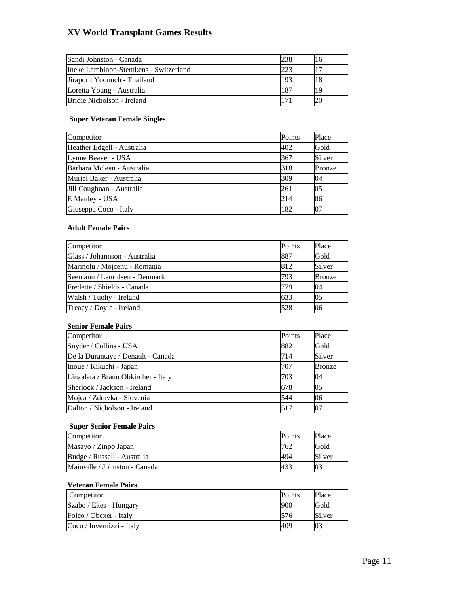| Sandi Johnston - Canada               | 238 |    |
|---------------------------------------|-----|----|
| Ineke Lambinon-Stemkens - Switzerland | 223 |    |
| Jiraporn Yoonuch - Thailand           | 193 |    |
| Loretta Young - Australia             | 187 | 19 |
| Bridie Nicholson - Ireland            |     |    |

#### **Super Veteran Female Singles**

| Competitor                 | Points | Place  |
|----------------------------|--------|--------|
| Heather Edgell - Australia | 402    | Gold   |
| Lynne Beaver - USA         | 367    | Silver |
| Barbara Mclean - Australia | 318    | Bronze |
| Muriel Baker - Australia   | 309    | 04     |
| Jill Coughnan - Australia  | 261    | 05     |
| E Manley - USA             | 214    | 06     |
| Giuseppa Coco - Italy      | 182    | 07     |

#### **Adult Female Pairs**

| Competitor                    | Points | Place          |
|-------------------------------|--------|----------------|
| Glass / Johannson - Australia | 887    | Gold           |
| Marinolu / Mojcenu - Romania  | 812    | Silver         |
| Seemann / Lauridsen - Denmark | 793    | <b>Bronze</b>  |
| Fredette / Shields - Canada   | 779    | 04             |
| Walsh / Tuohy - Ireland       | 633    | 0 <sub>5</sub> |
| Treacy / Doyle - Ireland      | 528    | 06             |

#### **Senior Female Pairs**

| Competitor                          | Points | Place            |
|-------------------------------------|--------|------------------|
| Snyder / Collins - USA              | 882    | Gold             |
| De la Durantaye / Denault - Canada  | 714    | Silver           |
| Inoue / Kikuchi - Japan             | 707    | <b>Bronze</b>    |
| Linzalata / Braun Obkircher - Italy | 703    | 04               |
| Sherlock / Jackson - Ireland        | 678    | $\overline{0.5}$ |
| Mojca / Zdravka - Slovenia          | 544    | 06               |
| Dalton / Nicholson - Ireland        | 517    | 07               |

#### **Super Senior Female Pairs**

| Competitor                    | <b>Points</b>   | Place  |
|-------------------------------|-----------------|--------|
| Masayo / Zinpo Japan          | 762             | Gold   |
| Budge / Russell - Australia   | 494             | Silver |
| Mainville / Johnston - Canada | 43 <sup>2</sup> | 03     |

#### **Veteran Female Pairs**

| Competitor                | Points | Place  |
|---------------------------|--------|--------|
| Szabo / Ekes - Hungary    | 900    | Gold   |
| Folco / Obexer - Italy    | 576    | Silver |
| Coco / Invernizzi - Italy | 409    |        |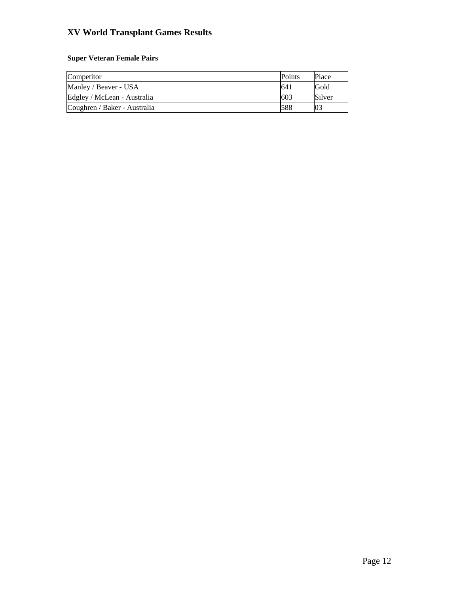### **Super Veteran Female Pairs**

| Competitor                   | <b>Points</b>   | Place  |
|------------------------------|-----------------|--------|
| Manley / Beaver - USA        | 64 <sub>1</sub> | Gold   |
| Edgley / McLean - Australia  | 603             | Silver |
| Coughren / Baker - Australia | 588             | 03     |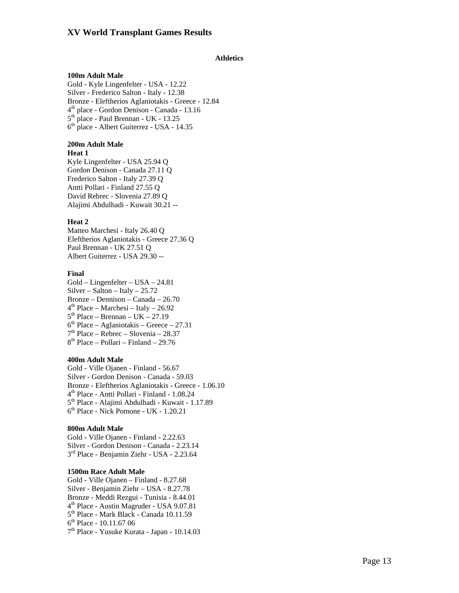#### **Athletics**

#### **100m Adult Male**

Gold - Kyle Lingenfelter - USA - 12.22 Silver - Frederico Salton - Italy - 12.38 Bronze - Eleftherios Aglaniotakis - Greece - 12.84 4th place - Gordon Denison - Canada - 13.16 5th place - Paul Brennan - UK - 13.25 6<sup>th</sup> place - Albert Guiterrez - USA - 14.35

#### **200m Adult Male**

#### **Heat 1**

Kyle Lingenfelter - USA 25.94 Q Gordon Denison - Canada 27.11 Q Frederico Salton - Italy 27.39 Q Antti Pollari - Finland 27.55 Q David Rebrec - Slovenia 27.89 Q Alajimi Abdulhadi - Kuwait 30.21 --

#### **Heat 2**

Matteo Marchesi - Italy 26.40 Q Eleftherios Aglaniotakis - Greece 27.36 Q Paul Brennan - UK 27.51 Q Albert Guiterrez - USA 29.30 --

#### **Final**

Gold – Lingenfelter – USA – 24.81  $Silver - Salton - Italy - 25.72$ Bronze – Dennison – Canada – 26.70  $4<sup>th</sup> Place - Marchesi - Italy - 26.92$  $5<sup>th</sup> Place - Brennan - UK - 27.19$  $6<sup>th</sup> Place – Aglaniotakis – Greece – 27.31$ 7th Place – Rebrec – Slovenia – 28.37  $8<sup>th</sup>$  Place – Pollari – Finland – 29.76

#### **400m Adult Male**

Gold - Ville Ojanen - Finland - 56.67 Silver - Gordon Denison - Canada - 59.03 Bronze - Eleftherios Aglaniotakis - Greece - 1.06.10 4th Place - Antti Pollari - Finland - 1.08.24 5<sup>th</sup> Place - Alajimi Abdulhadi - Kuwait - 1.17.89  $6<sup>th</sup>$  Place - Nick Pomone - UK - 1.20.21

#### **800m Adult Male**

Gold - Ville Ojanen - Finland - 2.22.63 Silver - Gordon Denison - Canada - 2.23.14 3<sup>rd</sup> Place - Benjamin Ziehr - USA - 2.23.64

#### **1500m Race Adult Male**

Gold - Ville Ojanen – Finland - 8.27.68 Silver - Benjamin Ziehr – USA - 8.27.78 Bronze - Meddi Rezgui - Tunisia - 8.44.01 4th Place - Austin Magruder - USA 9.07.81 5th Place - Mark Black - Canada 10.11.59  $6<sup>th</sup>$  Place - 10.11.67 06 7th Place - Yusuke Kurata - Japan - 10.14.03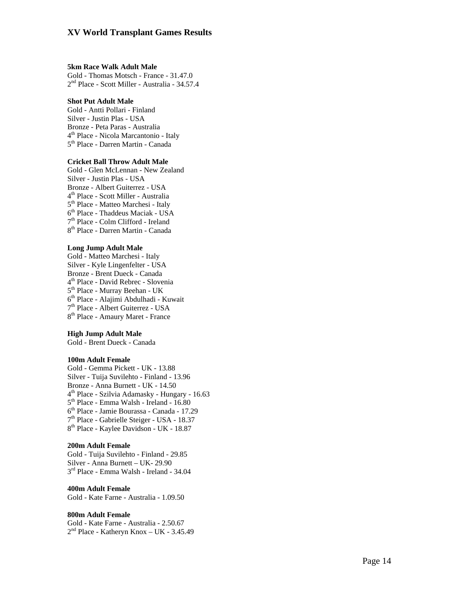#### **5km Race Walk Adult Male**

Gold - Thomas Motsch - France - 31.47.0 2nd Place - Scott Miller - Australia - 34.57.4

#### **Shot Put Adult Male**

Gold - Antti Pollari - Finland Silver - Justin Plas - USA Bronze - Peta Paras - Australia<br>4<sup>th</sup> Place - Nicola Marcantonio - Italy<br>5<sup>th</sup> Place - Darren Martin - Canada

#### **Cricket Ball Throw Adult Male**

Gold - Glen McLennan - New Zealand Silver - Justin Plas - USA Bronze - Albert Guiterrez - USA<br>  $4^{\text{th}}$  Place - Scott Miller - Australia<br>  $5^{\text{th}}$  Place - Matteo Marchesi - Italy<br>  $6^{\text{th}}$  Place - Thaddeus Maciak - USA<br>  $7^{\text{th}}$  Place - Colm Clifford - Ireland<br>  $8^{\text{th}}$  Place -

#### **Long Jump Adult Male**

Gold - Matteo Marchesi - Italy Silver - Kyle Lingenfelter - USA Bronze - Brent Dueck - Canada<br>  $4^{\text{th}}$  Place - David Rebrec - Slovenia<br>  $5^{\text{th}}$  Place - Alajimi Abdulhadi - Kuwait<br>  $7^{\text{th}}$  Place - Albert Guiterrez - USA<br>  $8^{\text{th}}$  Place - Amaury Maret - France

#### **High Jump Adult Male**

Gold - Brent Dueck - Canada

#### **100m Adult Female**

Gold - Gemma Pickett - UK - 13.88 Silver - Tuija Suvilehto - Finland - 13.96 Bronze - Anna Burnett - UK - 14.50<br>  $4^{\text{th}}$  Place - Szilvia Adamasky - Hungary - 16.63<br>  $5^{\text{th}}$  Place - Emma Walsh - Ireland - 16.80<br>  $6^{\text{th}}$  Place - Jamie Bourassa - Canada - 17.29<br>  $7^{\text{th}}$  Place - Gabrielle Stei

#### **200m Adult Female**

Gold - Tuija Suvilehto - Finland - 29.85 Silver - Anna Burnett – UK- 29.90<br> $3<sup>rd</sup>$  Place - Emma Walsh - Ireland - 34.04

### **400m Adult Female**

Gold - Kate Farne - Australia - 1.09.50

**800m Adult Female**   $2<sup>nd</sup> Place - Katherine$  - Katheryn Knox – UK - 3.45.49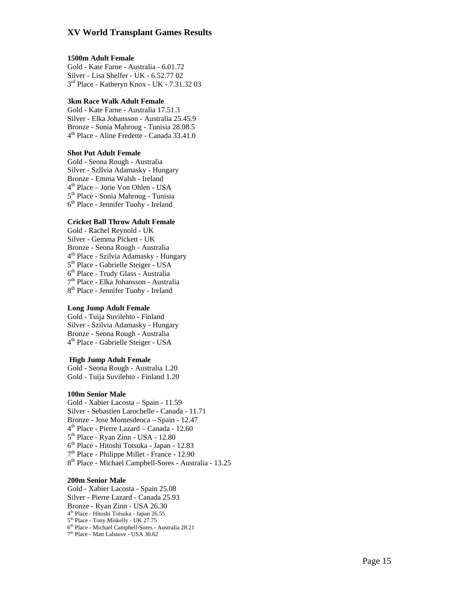#### **1500m Adult Female**

Gold - Kate Farne - Australia - 6.01.72 Silver - Lisa Shelfer - UK - 6.52.77 02<br> $3<sup>rd</sup>$  Place - Katheryn Knox - UK - 7.31.32 03

#### **3km Race Walk Adult Female**

Gold - Kate Farne - Australia 17.51.3 Silver - Elka Johansson - Australia 25.45.9 Bronze - Sonia Mahroug - Tunisia 28.08.5<br>4<sup>th</sup> Place - Aline Fredette - Canada 33.41.0

#### **Shot Put Adult Female**

Gold - Seona Rough - Australia Silver - Szllvia Adamasky - Hungary Bronze - Emma Walsh - Ireland<br>4<sup>th</sup> Place – Jorie Von Ohlen - USA<br>5<sup>th</sup> Place - Sonia Mahroug - Tunisia<br>6<sup>th</sup> Place - Jennifer Tuohy - Ireland

#### **Cricket Ball Throw Adult Female**

Gold - Rachel Reynold - UK Silver - Gemma Pickett - UK Bronze - Seona Rough - Australia<br>4<sup>th</sup> Place - Szilvia Adamasky - Hungary<br>5<sup>th</sup> Place - Gabrielle Steiger - USA<br>6<sup>th</sup> Place - Trudy Glass - Australia<br>7<sup>th</sup> Place - Elka Johansson - Australia<br>8<sup>th</sup> Place - Jennifer Tuohy -

#### **Long Jump Adult Female**

Gold - Tuija Suvilehto - Finland Silver - Szilvia Adamasky - Hungary Bronze - Seona Rough - Australia<br>4<sup>th</sup> Place - Gabrielle Steiger - USA

#### **High Jump Adult Female**

Gold - Seona Rough - Australia 1.20 Gold - Tuija Suvilehto - Finland 1.20

#### **100m Senior Male**

Gold - Xabier Lacosta – Spain - 11.59 Silver - Sebastien Larochelle - Canada - 11.71 Bronze - Jose Montesdeoca - Spain - 12.47<br>  $4^{\text{th}}$  Place - Pierre Lazard - Canada - 12.60<br>  $5^{\text{th}}$  Place - Ryan Zinn - USA - 12.80<br>  $6^{\text{th}}$  Place - Hitoshi Totsuka - Japan - 12.83<br>  $7^{\text{th}}$  Place - Philippe Millet

#### **200m Senior Male**

Gold - Xabier Lacosta - Spain 25.08 Silver - Pierre Lazard - Canada 25.93 Bronze - Ryan Zinn - USA 26.30<br>  $4<sup>th</sup> Place$  - Hitoshi Totsuka - Japan 26.55<br>  $5<sup>th</sup> Place$  - Tony Miskelly - UK 27.75<br>  $6<sup>th</sup> Place$  - Michael Campbell-Sores - Australia 28.21<br>  $7<sup>th</sup> Place$  - Matt Labauve - USA 30.62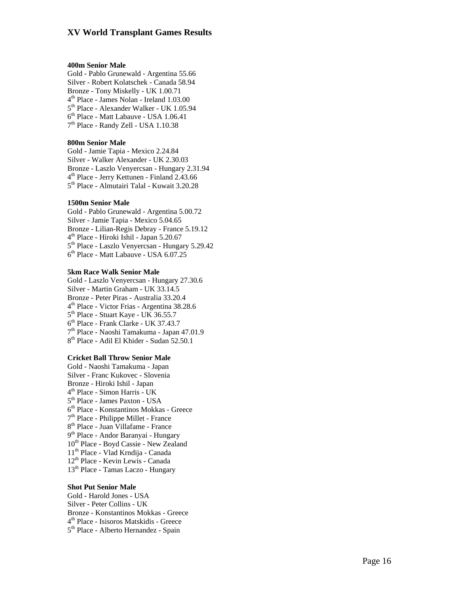#### **400m Senior Male**

Gold - Pablo Grunewald - Argentina 55.66 Silver - Robert Kolatschek - Canada 58.94 Bronze - Tony Miskelly - UK 1.00.71<br>  $4<sup>th</sup>$  Place - James Nolan - Ireland 1.03.00<br>  $5<sup>th</sup>$  Place - Alexander Walker - UK 1.05.94<br>  $6<sup>th</sup>$  Place - Matt Labauve - USA 1.06.41<br>  $7<sup>th</sup>$  Place - Randy Zell - USA 1

#### **800m Senior Male**

Gold - Jamie Tapia - Mexico 2.24.84 Silver - Walker Alexander - UK 2.30.03 Bronze - Laszlo Venyercsan - Hungary 2.31.94<br>4<sup>th</sup> Place - Jerry Kettunen - Finland 2.43.66<br>5<sup>th</sup> Place - Almutairi Talal - Kuwait 3.20.28

#### **1500m Senior Male**

Gold - Pablo Grunewald - Argentina 5.00.72 Silver - Jamie Tapia - Mexico 5.04.65<br>Bronze - Lilian-Regis Debray - France 5.19.12  $4<sup>th</sup>$  Place - Hiroki Ishil - Japan 5.20.67<br> $5<sup>th</sup>$  Place - Laszlo Venyercsan - Hungary 5.29.42  $6<sup>th</sup>$  Place - Matt Labauve - USA 6.07.25

#### **5km Race Walk Senior Male**

Gold - Laszlo Venyercsan - Hungary 27.30.6 Silver - Martin Graham - UK 33.14.5 Bronze - Peter Piras - Australia 33.20.4<br>  $4^{\text{th}}$  Place - Victor Frias - Argentina 38.28.6<br>  $5^{\text{th}}$  Place - Stuart Kaye - UK 36.55.7<br>  $6^{\text{th}}$  Place - Frank Clarke - UK 37.43.7<br>  $7^{\text{th}}$  Place - Naoshi Tamakuma - Ja

#### **Cricket Ball Throw Senior Male**

Gold - Naoshi Tamakuma - Japan Silver - Franc Kukovec - Slovenia Bronze - Hiroki Ishil - Japan<br>  $4^{\text{th}}$  Place - Simon Harris - UK<br>  $5^{\text{th}}$  Place - James Paxton - USA<br>  $6^{\text{th}}$  Place - Konstantinos Mokkas - Greece<br>  $7^{\text{th}}$  Place - Philippe Millet - France<br>  $8^{\text{th}}$  Place - Juan 10th Place - Boyd Cassie - New Zealand 11th Place - Vlad Krndija - Canada 12th Place - Kevin Lewis - Canada 13th Place - Tamas Laczo - Hungary

#### **Shot Put Senior Male**

Gold - Harold Jones - USA Silver - Peter Collins - UK Bronze - Konstantinos Mokkas - Greece 4<sup>th</sup> Place - Isisoros Matskidis - Greece 5<sup>th</sup> Place - Alberto Hernandez - Spain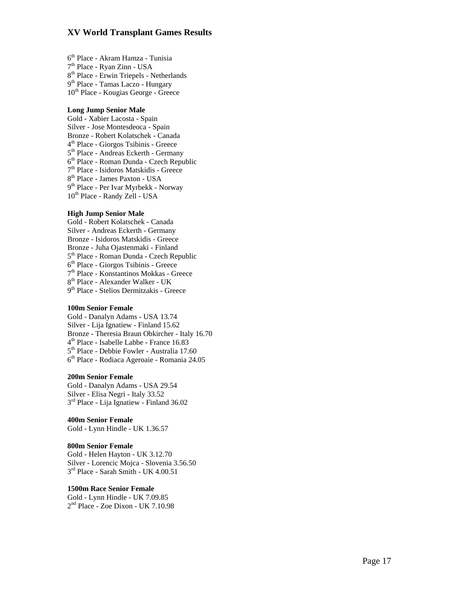$6<sup>th</sup> Place - Akram Hamza - Tunisia  
\n7<sup>th</sup> Place - Ryan Zinn - USA  
\n8<sup>th</sup> Place - Erwin Triepels - Netherlands  
\n9<sup>th</sup> Place - Tamas Laczo - Hungary$ 10th Place - Kougias George - Greece

#### **Long Jump Senior Male**

Gold - Xabier Lacosta - Spain Silver - Jose Montesdeoca - Spain  $4^{\text{th}}$  Place - Giorgos Tsibinis - Greece<br>  $5^{\text{th}}$  Place - Andreas Eckerth - Germany<br>  $6^{\text{th}}$  Place - Roman Dunda - Czech Republic<br>  $7^{\text{th}}$  Place - Isidoros Matskidis - Greece<br>  $8^{\text{th}}$  Place - James Paxton - USA 10<sup>th</sup> Place - Randy Zell - USA

#### **High Jump Senior Male**

Gold - Robert Kolatschek - Canada Silver - Andreas Eckerth - Germany Bronze - Isidoros Matskidis - Greece Bronze - Juha Ojastenmaki - Finland<br>5<sup>th</sup> Place - Roman Dunda - Czech Republic<br>6<sup>th</sup> Place - Giorgos Tsibinis - Greece<br>7<sup>th</sup> Place - Konstantinos Mokkas - Greece<br>8<sup>th</sup> Place - Alexander Walker - UK<br>9<sup>th</sup> Place - Stelios D

#### **100m Senior Female**

Gold - Danalyn Adams - USA 13.74 Silver - Lija Ignatiew - Finland 15.62<br>Bronze - Theresia Braun Obkircher - Italy 16.70  $4<sup>th</sup>$  Place - Isabelle Labbe - France 16.83<br> $5<sup>th</sup>$  Place - Debbie Fowler - Australia 17.60  $6<sup>th</sup>$  Place - Rodiaca Ageroaie - Romania 24.05

#### **200m Senior Female**

Gold - Danalyn Adams - USA 29.54 Silver - Elisa Negri - Italy 33.52<br>3<sup>rd</sup> Place - Lija Ignatiew - Finland 36.02

#### **400m Senior Female**

Gold - Lynn Hindle - UK 1.36.57

#### **800m Senior Female**

Gold - Helen Hayton - UK 3.12.70 Silver - Lorencic Mojca - Slovenia 3.56.50<br><sup>3rd</sup> Place - Sarah Smith - UK 4.00.51

### **1500m Race Senior Female**

Gold - Lynn Hindle - UK 7.09.85 2nd Place - Zoe Dixon - UK 7.10.98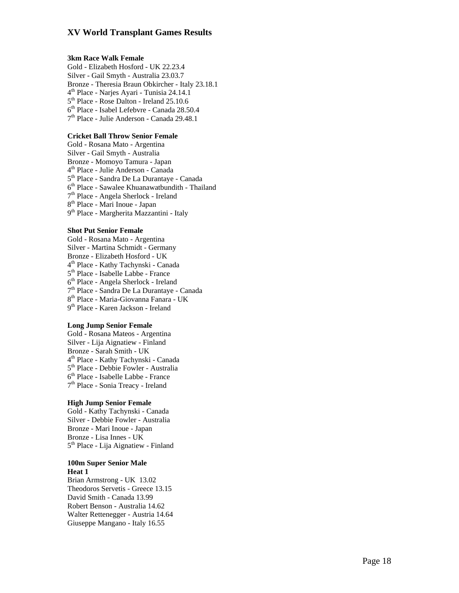#### **3km Race Walk Female**

Gold - Elizabeth Hosford - UK 22.23.4 Silver - Gail Smyth - Australia 23.03.7 Bronze - Theresia Braun Obkircher - Italy 23.18.1<br>  $4<sup>th</sup>$  Place - Narjes Ayari - Tunisia 24.14.1<br>  $5<sup>th</sup>$  Place - Rose Dalton - Ireland 25.10.6<br>  $6<sup>th</sup>$  Place - Isabel Lefebvre - Canada 28.50.4<br>  $7<sup>th</sup>$  Place

#### **Cricket Ball Throw Senior Female**

Gold - Rosana Mato - Argentina Silver - Gail Smyth - Australia Bronze - Momoyo Tamura - Japan<br>  $4^{\text{th}}$  Place - Julie Anderson - Canada<br>  $5^{\text{th}}$  Place - Sandra De La Durantaye - Canada<br>  $6^{\text{th}}$  Place - Sawalee Khuanawatbundith - Thailand<br>  $7^{\text{th}}$  Place - Angela Sherlock - Irel

#### **Shot Put Senior Female**

Gold - Rosana Mato - Argentina Silver - Martina Schmidt - Germany Bronze - Elizabeth Hosford - UK<br>  $4^{\text{th}}$  Place - Kathy Tachynski - Canada<br>  $5^{\text{th}}$  Place - Isabelle Labbe - France<br>  $6^{\text{th}}$  Place - Angela Sherlock - Ireland<br>  $7^{\text{th}}$  Place - Sandra De La Durantaye - Canada<br>  $8^{\text$ 

#### **Long Jump Senior Female**

Gold - Rosana Mateos - Argentina Silver - Lija Aignatiew - Finland Bronze - Sarah Smith - UK<br>4<sup>th</sup> Place - Kathy Tachynski - Canada<br>5<sup>th</sup> Place - Debbie Fowler - Australia<br>6<sup>th</sup> Place - Isabelle Labbe - France<br>7<sup>th</sup> Place - Sonia Treacy - Ireland

#### **High Jump Senior Female**

Gold - Kathy Tachynski - Canada Silver - Debbie Fowler - Australia Bronze - Mari Inoue - Japan Bronze - Lisa Innes - UK<br>5<sup>th</sup> Place - Lija Aignatiew - Finland

#### **100m Super Senior Male Heat 1**

Brian Armstrong - UK 13.02 Theodoros Servetis - Greece 13.15 David Smith - Canada 13.99 Robert Benson - Australia 14.62 Walter Rettenegger - Austria 14.64 Giuseppe Mangano - Italy 16.55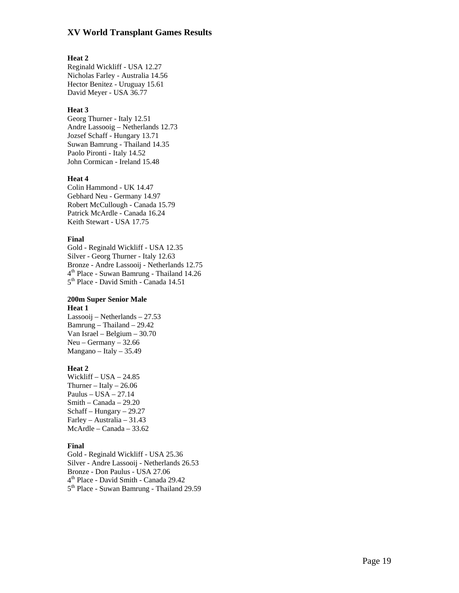#### **Heat 2**

Reginald Wickliff - USA 12.27 Nicholas Farley - Australia 14.56 Hector Benitez - Uruguay 15.61 David Meyer - USA 36.77

#### **Heat 3**

Georg Thurner - Italy 12.51 Andre Lassooig – Netherlands 12.73 Jozsef Schaff - Hungary 13.71 Suwan Bamrung - Thailand 14.35 Paolo Pironti - Italy 14.52 John Cormican - Ireland 15.48

#### **Heat 4**

Colin Hammond - UK 14.47 Gebhard Neu - Germany 14.97 Robert McCullough - Canada 15.79 Patrick McArdle - Canada 16.24 Keith Stewart - USA 17.75

#### **Final**

Gold - Reginald Wickliff - USA 12.35 Silver - Georg Thurner - Italy 12.63<br>Bronze - Andre Lassooij - Netherlands 12.75 4<sup>th</sup> Place - Suwan Bamrung - Thailand 14.26<br>5<sup>th</sup> Place - David Smith - Canada 14.51

#### **200m Super Senior Male Heat 1**

Lassooij – Netherlands – 27.53 Bamrung – Thailand – 29.42 Van Israel – Belgium – 30.70  $Neu - Germany - 32.66$ Mangano – Italy – 35.49

#### **Heat 2**

Wickliff – USA – 24.85 Thurner – Italy –  $26.06$ Paulus – USA – 27.14 Smith – Canada – 29.20 Schaff – Hungary – 29.27 Farley – Australia – 31.43 McArdle – Canada – 33.62

#### **Final**

Gold - Reginald Wickliff - USA 25.36 Silver - Andre Lassooij - Netherlands 26.53 Bronze - Don Paulus - USA 27.06<br>4<sup>th</sup> Place - David Smith - Canada 29.42<br>5<sup>th</sup> Place - Suwan Bamrung - Thailand 29.59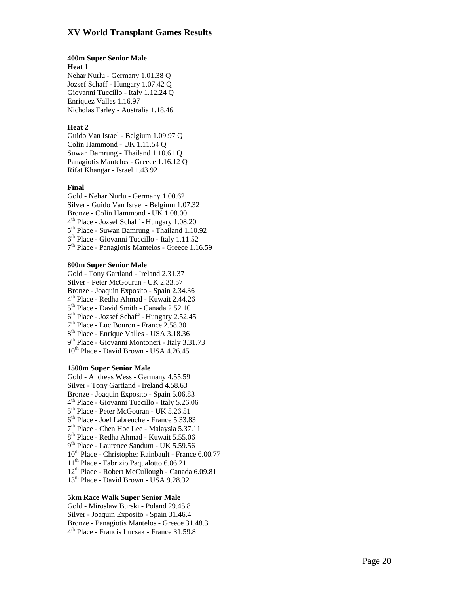#### **400m Super Senior Male**

#### **Heat 1**

Nehar Nurlu - Germany 1.01.38 Q Jozsef Schaff - Hungary 1.07.42 Q Giovanni Tuccillo - Italy 1.12.24 Q Enriquez Valles 1.16.97 Nicholas Farley - Australia 1.18.46

#### **Heat 2**

Guido Van Israel - Belgium 1.09.97 Q Colin Hammond - UK 1.11.54 Q Suwan Bamrung - Thailand 1.10.61 Q Panagiotis Mantelos - Greece 1.16.12 Q Rifat Khangar - Israel 1.43.92

#### **Final**

Gold - Nehar Nurlu - Germany 1.00.62 Silver - Guido Van Israel - Belgium 1.07.32 Bronze - Colin Hammond - UK 1.08.00<br>  $4^{\text{th}}$  Place - Jozsef Schaff - Hungary 1.08.20<br>  $5^{\text{th}}$  Place - Suwan Bamrung - Thailand 1.10.92<br>  $6^{\text{th}}$  Place - Giovanni Tuccillo - Italy 1.11.52<br>  $7^{\text{th}}$  Place - Panagiotis

#### **800m Super Senior Male**

Gold - Tony Gartland - Ireland 2.31.37 Silver - Peter McGouran - UK 2.33.57 Bronze - Joaquin Exposito - Spain 2.34.36<br>  $4^{\text{th}}$  Place - Redha Ahmad - Kuwait 2.44.26<br>  $5^{\text{th}}$  Place - David Smith - Canada 2.52.10<br>  $6^{\text{th}}$  Place - Jozsef Schaff - Hungary 2.52.45<br>  $7^{\text{th}}$  Place - Luc Bouron - 10<sup>th</sup> Place - David Brown - USA 4.26.45

#### **1500m Super Senior Male**

Gold - Andreas Wess - Germany 4.55.59 Silver - Tony Gartland - Ireland 4.58.63 Bronze - Joaquin Exposito - Spain 5.06.83<br>  $4^{\text{th}}$  Place - Giovanni Tuccillo - Italy 5.26.06<br>  $5^{\text{th}}$  Place - Peter McGouran - UK 5.26.51<br>  $6^{\text{th}}$  Place - Joel Labreuche - France 5.33.83<br>  $7^{\text{th}}$  Place - Chen Hoe 10th Place - Christopher Rainbault - France 6.00.77 11th Place - Fabrizio Paqualotto 6.06.21 12th Place - Robert McCullough - Canada 6.09.81 13th Place - David Brown - USA 9.28.32

#### **5km Race Walk Super Senior Male**

Gold - Miroslaw Burski - Poland 29.45.8 Silver - Joaquin Exposito - Spain 31.46.4 Bronze - Panagiotis Mantelos - Greece 31.48.3<br>4<sup>th</sup> Place - Francis Lucsak - France 31.59.8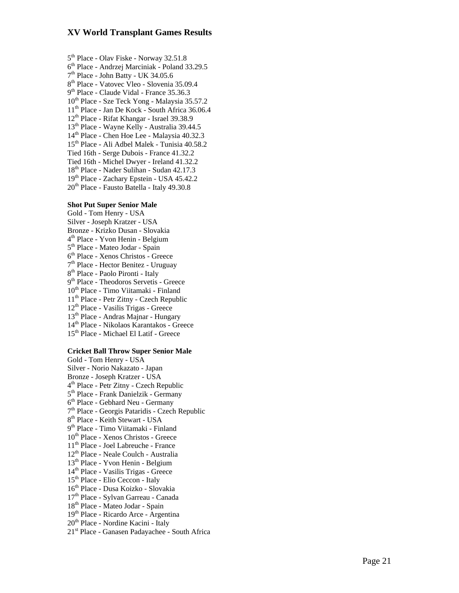$5<sup>th</sup>$  Place - Olav Fiske - Norway 32.51.8<br>  $6<sup>th</sup>$  Place - Andrzej Marciniak - Poland 33.29.5<br>  $7<sup>th</sup>$  Place - John Batty - UK 34.05.6<br>  $8<sup>th</sup>$  Place - Vatovec Vleo - Slovenia 35.09.4<br>  $9<sup>th</sup>$  Place - Cla 10<sup>th</sup> Place - Sze Teck Yong - Malaysia 35.57.2 11th Place - Jan De Kock - South Africa 36.06.4 12th Place - Rifat Khangar - Israel 39.38.9 13th Place - Wayne Kelly - Australia 39.44.5 14th Place - Chen Hoe Lee - Malaysia 40.32.3 15th Place - Ali Adbel Malek - Tunisia 40.58.2 Tied 16th - Serge Dubois - France 41.32.2 Tied 16th - Michel Dwyer - Ireland 41.32.2 18th Place - Nader Sulihan - Sudan 42.17.3 19th Place - Zachary Epstein - USA 45.42.2 20<sup>th</sup> Place - Fausto Batella - Italy 49.30.8

#### **Shot Put Super Senior Male**

Gold - Tom Henry - USA Silver - Joseph Kratzer - USA  $4^{\text{th}}$  Place - Yvon Henin - Belgium<br> $5^{\text{th}}$  Place - Mateo Jodar - Spain<br> $6^{\text{th}}$  Place - Xenos Christos - Greece<br> $7^{\text{th}}$  Place - Hector Benitez - Uruguay<br> $8^{\text{th}}$  Place - Paolo Pironti - Italy<br> $9^{\text{th}}$  Place - T th Place - Timo Viitamaki - Finland th Place - Petr Zitny - Czech Republic th Place - Vasilis Trigas - Greece th Place - Andras Majnar - Hungary th Place - Nikolaos Karantakos - Greece th Place - Michael El Latif - Greece

#### **Cricket Ball Throw Super Senior Male**

Gold - Tom Henry - USA Silver - Norio Nakazato - Japan Bronze - Joseph Kratzer - USA<br>  $4^{\text{th}}$  Place - Petr Zitny - Czech Republic<br>  $5^{\text{th}}$  Place - Frank Danielzik - Germany<br>  $6^{\text{th}}$  Place - Gebhard Neu - Germany<br>  $7^{\text{th}}$  Place - Georgis Pataridis - Czech Republic<br>  $8^$ 10<sup>th</sup> Place - Xenos Christos - Greece 11th Place - Joel Labreuche - France 12th Place - Neale Coulch - Australia 13th Place - Yvon Henin - Belgium 14th Place - Vasilis Trigas - Greece 15<sup>th</sup> Place - Elio Ceccon - Italy 16th Place - Dusa Koizko - Slovakia 17th Place - Sylvan Garreau - Canada 18th Place - Mateo Jodar - Spain 19<sup>th</sup> Place - Ricardo Arce - Argentina 20<sup>th</sup> Place - Nordine Kacini - Italy 21st Place - Ganasen Padayachee - South Africa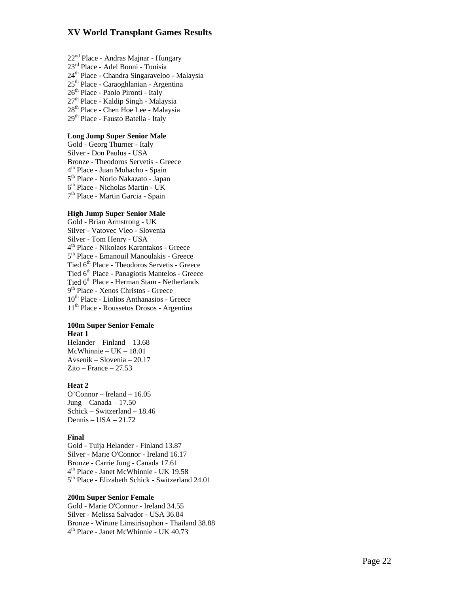- 22<sup>nd</sup> Place Andras Majnar Hungary
- 23rd Place Adel Bonni Tunisia
- 24th Place Chandra Singaraveloo Malaysia
- 25<sup>th</sup> Place Caraoghlanian Argentina
- 26<sup>th</sup> Place Paolo Pironti Italy
- 27th Place Kaldip Singh Malaysia
- 28th Place Chen Hoe Lee Malaysia
- 29<sup>th</sup> Place Fausto Batella Italy

#### **Long Jump Super Senior Male**

Gold - Georg Thurner - Italy Silver - Don Paulus - USA Bronze - Theodoros Servetis - Greece  $4^{\text{th}}$  Place - Juan Mohacho - Spain  $5^{\text{th}}$  Place - Norio Nakazato - Japan  $6^{\text{th}}$  Place - Nicholas Martin - UK  $7^{\text{th}}$  Place - Martin Garcia - Spain

#### **High Jump Super Senior Male**

Gold - Brian Armstrong - UK Silver - Vatovec Vleo - Slovenia Silver - Tom Henry - USA<br> $4<sup>th</sup>$  Place - Nikolaos Karantakos - Greece  $5<sup>th</sup>$  Place - Emanouil Manoulakis - Greece Tied 6th Place - Theodoros Servetis - Greece Tied 6th Place - Panagiotis Mantelos - Greece Tied 6<sup>th</sup> Place - Herman Stam - Netherlands<br>9<sup>th</sup> Place - Xenos Christos - Greece 10th Place - Liolios Anthanasios - Greece 11th Place - Roussetos Drosos - Argentina

#### **100m Super Senior Female Heat 1**

Helander – Finland – 13.68 McWhinnie – UK – 18.01 Avsenik – Slovenia – 20.17  $Zito - France - 27.53$ 

#### **Heat 2**

O'Connor – Ireland – 16.05 Jung – Canada – 17.50 Schick – Switzerland – 18.46 Dennis – USA – 21.72

#### **Final**

Gold - Tuija Helander - Finland 13.87 Silver - Marie O'Connor - Ireland 16.17 Bronze - Carrie Jung - Canada 17.61<br>4<sup>th</sup> Place - Janet McWhinnie - UK 19.58<br>5<sup>th</sup> Place - Elizabeth Schick - Switzerland 24.01

#### **200m Super Senior Female**

Gold - Marie O'Connor - Ireland 34.55 Silver - Melissa Salvador - USA 36.84 Bronze - Wirune Limsirisophon - Thailand 38.88<br>4<sup>th</sup> Place - Janet McWhinnie - UK 40.73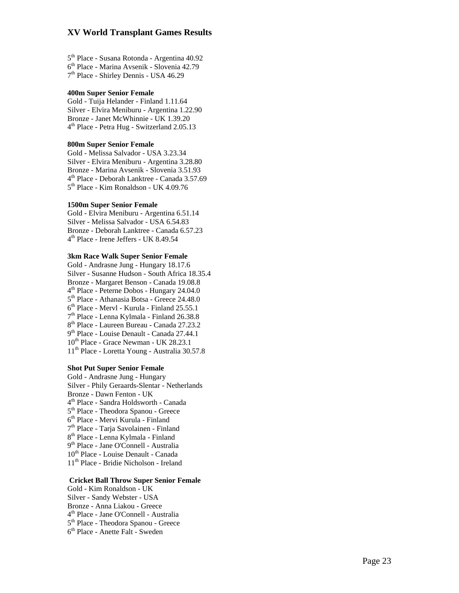$5<sup>th</sup>$  Place - Susana Rotonda - Argentina 40.92<br> $6<sup>th</sup>$  Place - Marina Avsenik - Slovenia 42.79<br> $7<sup>th</sup>$  Place - Shirley Dennis - USA 46.29

#### **400m Super Senior Female**

Gold - Tuija Helander - Finland 1.11.64 Silver - Elvira Meniburu - Argentina 1.22.90 Bronze - Janet McWhinnie - UK 1.39.20<br>4<sup>th</sup> Place - Petra Hug - Switzerland 2.05.13

#### **800m Super Senior Female**

Gold - Melissa Salvador - USA 3.23.34 Silver - Elvira Meniburu - Argentina 3.28.80 Bronze - Marina Avsenik - Slovenia 3.51.93<br>4<sup>th</sup> Place - Deborah Lanktree - Canada 3.57.69<br>5<sup>th</sup> Place - Kim Ronaldson - UK 4.09.76

#### **1500m Super Senior Female**

Gold - Elvira Meniburu - Argentina 6.51.14 Silver - Melissa Salvador - USA 6.54.83 Bronze - Deborah Lanktree - Canada 6.57.23<br>4<sup>th</sup> Place - Irene Jeffers - UK 8.49.54

#### **3km Race Walk Super Senior Female**

Gold - Andrasne Jung - Hungary 18.17.6 Silver - Susanne Hudson - South Africa 18.35.4 Bronze - Margaret Benson - Canada 19.08.8<br>  $4^{\text{th}}$  Place - Peterne Dobos - Hungary 24.04.0<br>  $5^{\text{th}}$  Place - Athanasia Botsa - Greece 24.48.0<br>  $6^{\text{th}}$  Place - Mervl - Kurula - Finland 25.55.1<br>  $7^{\text{th}}$  Place - Lenna 10<sup>th</sup> Place - Grace Newman - UK 28.23.1 11th Place - Loretta Young - Australia 30.57.8

#### **Shot Put Super Senior Female**

Gold - Andrasne Jung - Hungary Silver - Phily Geraards-Slentar - Netherlands Bronze - Dawn Fenton - UK<br>  $4^{\text{th}}$  Place - Sandra Holdsworth - Canada<br>  $5^{\text{th}}$  Place - Theodora Spanou - Greece<br>  $6^{\text{th}}$  Place - Mervi Kurula - Finland<br>  $7^{\text{th}}$  Place - Tarja Savolainen - Finland<br>  $8^{\text{th}}$  Place 10<sup>th</sup> Place - Louise Denault - Canada 11th Place - Bridie Nicholson - Ireland

#### **Cricket Ball Throw Super Senior Female**

Gold - Kim Ronaldson - UK Silver - Sandy Webster - USA Bronze - Anna Liakou - Greece<br>4<sup>th</sup> Place - Jane O'Connell - Australia<br>5<sup>th</sup> Place - Theodora Spanou - Greece<br>6<sup>th</sup> Place - Anette Falt - Sweden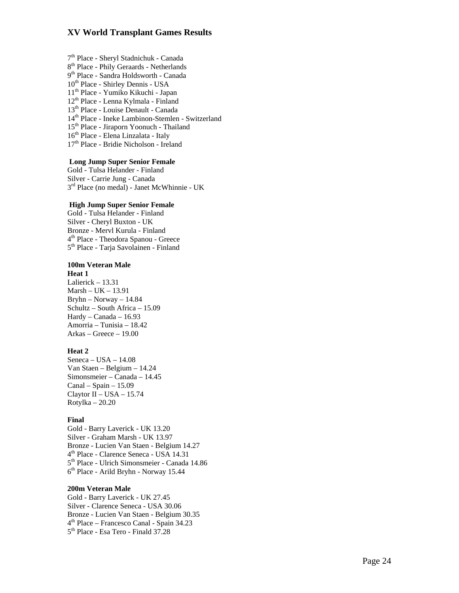$7<sup>th</sup>$  Place - Sheryl Stadnichuk - Canada  $8<sup>th</sup>$  Place - Phily Geraards - Netherlands  $9<sup>th</sup>$  Place - Sandra Holdsworth - Canada 10<sup>th</sup> Place - Shirley Dennis - USA th Place - Yumiko Kikuchi - Japan th Place - Lenna Kylmala - Finland th Place - Louise Denault - Canada th Place - Ineke Lambinon-Stemlen - Switzerland th Place - Jiraporn Yoonuch - Thailand th Place - Elena Linzalata - Italy th Place - Bridie Nicholson - Ireland

### **Long Jump Super Senior Female**

Gold - Tulsa Helander - Finland Silver - Carrie Jung - Canada<br>3<sup>rd</sup> Place (no medal) - Janet McWhinnie - UK

#### **High Jump Super Senior Female**

Gold - Tulsa Helander - Finland Silver - Cheryl Buxton - UK 4<sup>th</sup> Place - Theodora Spanou - Greece 5<sup>th</sup> Place - Tarja Savolainen - Finland

#### **100m Veteran Male**

#### **Heat 1**

Lalierick – 13.31 Marsh – UK – 13.91 Bryhn – Norway – 14.84 Schultz – South Africa – 15.09 Hardy – Canada – 16.93 Amorria – Tunisia – 18.42 Arkas – Greece – 19.00

#### **Heat 2**

 $Seneca - USA - 14.08$ Van Staen – Belgium – 14.24 Simonsmeier – Canada – 14.45  $Canal - Spain - 15.09$ Claytor II – USA – 15.74 Rotylka – 20.20

#### **Final**

Gold - Barry Laverick - UK 13.20 Silver - Graham Marsh - UK 13.97 Bronze - Lucien Van Staen - Belgium 14.27<br>4<sup>th</sup> Place - Clarence Seneca - USA 14.31<br>5<sup>th</sup> Place - Ulrich Simonsmeier - Canada 14.86<br>6<sup>th</sup> Place - Arild Bryhn - Norway 15.44

#### **200m Veteran Male**

Gold - Barry Laverick - UK 27.45 Silver - Clarence Seneca - USA 30.06<br>Bronze - Lucien Van Staen - Belgium 30.35  $4<sup>th</sup>$  Place – Francesco Canal - Spain 34.23<br> $5<sup>th</sup>$  Place - Esa Tero - Finald 37.28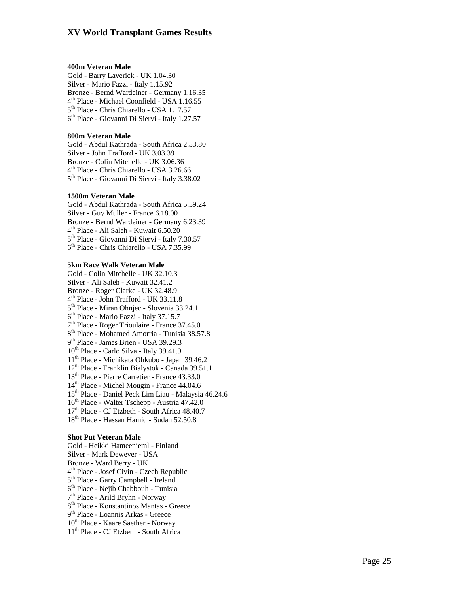#### **400m Veteran Male**

Gold - Barry Laverick - UK 1.04.30 Silver - Mario Fazzi - Italy 1.15.92 Bronze - Bernd Wardeiner - Germany 1.16.35<br>
4<sup>th</sup> Place - Michael Coonfield - USA 1.16.55<br>
5<sup>th</sup> Place - Chris Chiarello - USA 1.17.57<br>
6<sup>th</sup> Place - Giovanni Di Siervi - Italy 1.27.57

#### **800m Veteran Male**

Gold - Abdul Kathrada - South Africa 2.53.80 Silver - John Trafford - UK 3.03.39 Bronze - Colin Mitchelle - UK 3.06.36<br>4<sup>th</sup> Place - Chris Chiarello - USA 3.26.66<br>5<sup>th</sup> Place - Giovanni Di Siervi - Italy 3.38.02

#### **1500m Veteran Male**

Gold - Abdul Kathrada - South Africa 5.59.24 Silver - Guy Muller - France 6.18.00 Bronze - Bernd Wardeiner - Germany 6.23.39<br>4<sup>th</sup> Place - Ali Saleh - Kuwait 6.50.20<br>5<sup>th</sup> Place - Giovanni Di Siervi - Italy 7.30.57<br>6<sup>th</sup> Place - Chris Chiarello - USA 7.35.99

#### **5km Race Walk Veteran Male**

Gold - Colin Mitchelle - UK 32.10.3 Silver - Ali Saleh - Kuwait 32.41.2 Bronze - Roger Clarke - UK 32.48.9<br>  $4^{\text{th}}$  Place - John Trafford - UK 33.11.8<br>  $5^{\text{th}}$  Place - Miran Ohnjec - Slovenia 33.24.1<br>  $6^{\text{th}}$  Place - Mario Fazzi - Italy 37.15.7<br>  $7^{\text{th}}$  Place - Roger Trioulaire - Fran 10th Place - Carlo Silva - Italy 39.41.9 11th Place - Michikata Ohkubo - Japan 39.46.2 12th Place - Franklin Bialystok - Canada 39.51.1 13th Place - Pierre Carretier - France 43.33.0 14<sup>th</sup> Place - Michel Mougin - France 44.04.6 15th Place - Daniel Peck Lim Liau - Malaysia 46.24.6 16th Place - Walter Tschepp - Austria 47.42.0 17<sup>th</sup> Place - CJ Etzbeth - South Africa 48.40.7 18th Place - Hassan Hamid - Sudan 52.50.8

#### **Shot Put Veteran Male**

Gold - Heikki Hameenieml - Finland Silver - Mark Dewever - USA Bronze - Ward Berry - UK<br>  $4^{\text{th}}$  Place - Josef Civin - Czech Republic<br>  $5^{\text{th}}$  Place - Garry Campbell - Ireland<br>  $6^{\text{th}}$  Place - Nejib Chabbouh - Tunisia<br>  $7^{\text{th}}$  Place - Arild Bryhn - Norway<br>  $8^{\text{th}}$  Place - K 10<sup>th</sup> Place - Kaare Saether - Norway 11th Place - CJ Etzbeth - South Africa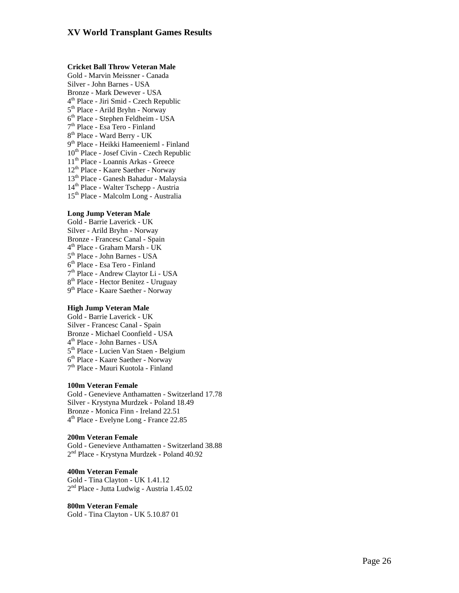#### **Cricket Ball Throw Veteran Male**

Gold - Marvin Meissner - Canada Silver - John Barnes - USA Bronze - Mark Dewever - USA<br>  $4^{\text{th}}$  Place - Jiri Smid - Czech Republic<br>  $5^{\text{th}}$  Place - Arild Bryhn - Norway<br>  $6^{\text{th}}$  Place - Stephen Feldheim - USA<br>  $7^{\text{th}}$  Place - Esa Tero - Finland<br>  $8^{\text{th}}$  Place - Ward Ber th Place - Josef Civin - Czech Republic th Place - Loannis Arkas - Greece th Place - Kaare Saether - Norway th Place - Ganesh Bahadur - Malaysia th Place - Walter Tschepp - Austria

15th Place - Malcolm Long - Australia

#### **Long Jump Veteran Male**

Gold - Barrie Laverick - UK Silver - Arild Bryhn - Norway Bronze - Francesc Canal - Spain<br>  $4^{\text{th}}$  Place - Graham Marsh - UK<br>  $5^{\text{th}}$  Place - John Barnes - USA<br>  $6^{\text{th}}$  Place - Esa Tero - Finland<br>  $7^{\text{th}}$  Place - Andrew Claytor Li - USA<br>  $8^{\text{th}}$  Place - Hector Benitez

#### **High Jump Veteran Male**

Gold - Barrie Laverick - UK Silver - Francesc Canal - Spain  $4<sup>th</sup>$  Place - John Barnes - USA<br> $5<sup>th</sup>$  Place - Lucien Van Staen - Belgium  $6<sup>th</sup>$  Place - Kaare Saether - Norway  $7<sup>th</sup>$  Place - Mauri Kuotola - Finland

#### **100m Veteran Female**

Gold - Genevieve Anthamatten - Switzerland 17.78 Silver - Krystyna Murdzek - Poland 18.49 Bronze - Monica Finn - Ireland 22.51<br>4<sup>th</sup> Place - Evelyne Long - France 22.85

**200m Veteran Female**  2<sup>nd</sup> Place - Krystyna Murdzek - Poland 40.92

#### **400m Veteran Female**

Gold - Tina Clayton - UK 1.41.12<br>2<sup>nd</sup> Place - Jutta Ludwig - Austria 1.45.02

#### **800m Veteran Female**

Gold - Tina Clayton - UK 5.10.87 01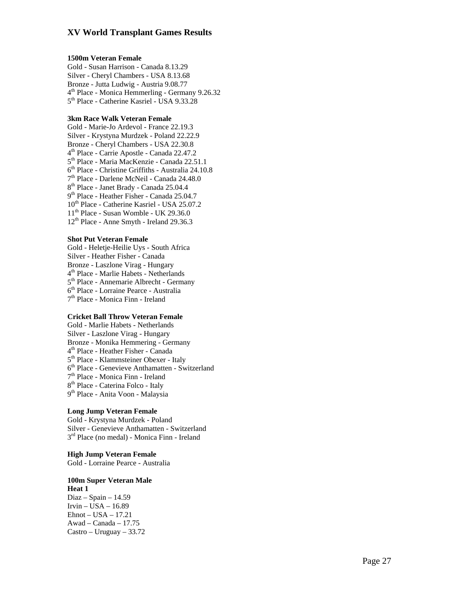#### **1500m Veteran Female**

Gold - Susan Harrison - Canada 8.13.29 Silver - Cheryl Chambers - USA 8.13.68 Bronze - Jutta Ludwig - Austria 9.08.77<br>4<sup>th</sup> Place - Monica Hemmerling - Germany 9.26.32<br>5<sup>th</sup> Place - Catherine Kasriel - USA 9.33.28

#### **3km Race Walk Veteran Female**

Gold - Marie-Jo Ardevol - France 22.19.3 Silver - Krystyna Murdzek - Poland 22.22.9 Bronze - Cheryl Chambers - USA 22.30.8<br>
4<sup>th</sup> Place - Carrie Apostle - Canada 22.47.2<br>
5<sup>th</sup> Place - Maria MacKenzie - Canada 22.51.1<br>
6<sup>th</sup> Place - Christine Griffiths - Australia 24.10.8<br>
7<sup>th</sup> Place - Darlene McNeil - C 10th Place - Catherine Kasriel - USA 25.07.2  $11<sup>th</sup>$  Place - Susan Womble - UK 29.36.0 12th Place - Anne Smyth - Ireland 29.36.3

#### **Shot Put Veteran Female**

Gold - Heletje-Heilie Uys - South Africa Silver - Heather Fisher - Canada Bronze - Laszlone Virag - Hungary<br>4<sup>th</sup> Place - Marlie Habets - Netherlands<br>5<sup>th</sup> Place - Annemarie Albrecht - Germany<br>6<sup>th</sup> Place - Lorraine Pearce - Australia<br>7<sup>th</sup> Place - Monica Finn - Ireland

#### **Cricket Ball Throw Veteran Female**

Gold - Marlie Habets - Netherlands Silver - Laszlone Virag - Hungary Bronze - Monika Hemmering - Germany<br>  $4^{\text{th}}$  Place - Heather Fisher - Canada<br>  $5^{\text{th}}$  Place - Klammsteiner Obexer - Italy<br>  $6^{\text{th}}$  Place - Genevieve Anthamatten - Switzerland<br>  $7^{\text{th}}$  Place - Monica Finn - Ireland

#### **Long Jump Veteran Female**

Gold - Krystyna Murdzek - Poland Silver - Genevieve Anthamatten - Switzerland 3rd Place (no medal) - Monica Finn - Ireland

#### **High Jump Veteran Female**

Gold - Lorraine Pearce - Australia

#### **100m Super Veteran Male**

**Heat 1**  Diaz – Spain – 14.59 Irvin – USA – 16.89 Ehnot – USA – 17.21 Awad – Canada – 17.75 Castro – Uruguay – 33.72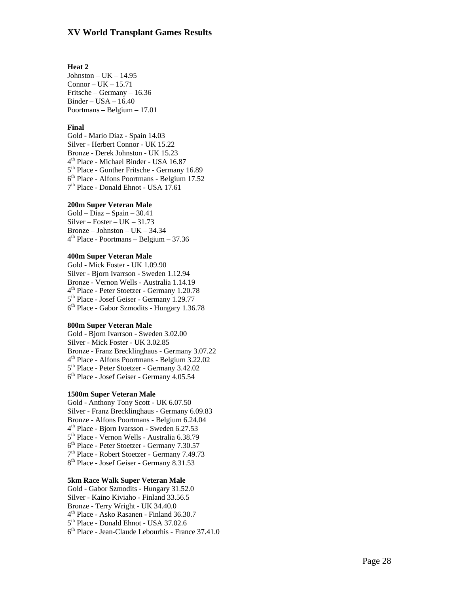#### **Heat 2**

 $Johnston – UK – 14.95$  $Connor-UK-15.71$ Fritsche – Germany – 16.36 Binder – USA – 16.40 Poortmans – Belgium – 17.01

#### **Final**

Gold - Mario Diaz - Spain 14.03 Silver - Herbert Connor - UK 15.22 Bronze - Derek Johnston - UK 15.23<br>  $4^{\text{th}}$  Place - Michael Binder - USA 16.87<br>  $5^{\text{th}}$  Place - Gunther Fritsche - Germany 16.89<br>  $6^{\text{th}}$  Place - Alfons Poortmans - Belgium 17.52<br>  $7^{\text{th}}$  Place - Donald Ehnot - US

#### **200m Super Veteran Male**

Gold – Diaz – Spain – 30.41 Silver – Foster – UK – 31.73 Bronze – Johnston – UK – 34.34<br> $4^{\text{th}}$  Place - Poortmans – Belgium – 37.36

#### **400m Super Veteran Male**

Gold - Mick Foster - UK 1.09.90 Silver - Bjorn Ivarrson - Sweden 1.12.94 Bronze - Vernon Wells - Australia 1.14.19<br>  $4<sup>th</sup>$  Place - Peter Stoetzer - Germany 1.20.78<br>  $5<sup>th</sup>$  Place - Josef Geiser - Germany 1.29.77<br>  $6<sup>th</sup>$  Place - Gabor Szmodits - Hungary 1.36.78

#### **800m Super Veteran Male**

Gold - Bjorn Ivarrson - Sweden 3.02.00 Silver - Mick Foster - UK 3.02.85 Bronze - Franz Brecklinghaus - Germany 3.07.22<br>4<sup>th</sup> Place - Alfons Poortmans - Belgium 3.22.02<br>5<sup>th</sup> Place - Peter Stoetzer - Germany 3.42.02<br>6<sup>th</sup> Place - Josef Geiser - Germany 4.05.54

#### **1500m Super Veteran Male**

Gold - Anthony Tony Scott - UK 6.07.50 Silver - Franz Brecklinghaus - Germany 6.09.83  $4^{\text{th}}$  Place - Bjorn Ivarsson - Sweden 6.27.53<br>  $5^{\text{th}}$  Place - Vernon Wells - Australia 6.38.79<br>  $6^{\text{th}}$  Place - Peter Stoetzer - Germany 7.30.57<br>  $7^{\text{th}}$  Place - Robert Stoetzer - Germany 7.49.73<br>  $8^{\text{th}}$  Pla

#### **5km Race Walk Super Veteran Male**

Gold - Gabor Szmodits - Hungary 31.52.0 Silver - Kaino Kiviaho - Finland 33.56.5 Bronze - Terry Wright - UK 34.40.0<br>  $4<sup>th</sup>$  Place - Asko Rasanen - Finland 36.30.7<br>  $5<sup>th</sup>$  Place - Donald Ehnot - USA 37.02.6<br>  $6<sup>th</sup>$  Place - Jean-Claude Lebourhis - France 37.41.0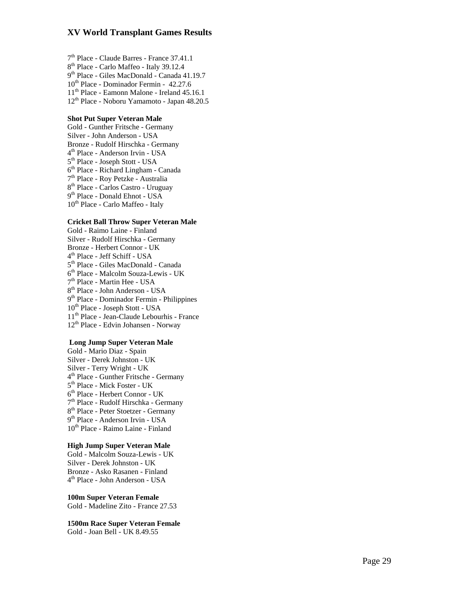$7<sup>th</sup>$  Place - Claude Barres - France 37.41.1<br> $8<sup>th</sup>$  Place - Carlo Maffeo - Italy 39.12.4<br> $9<sup>th</sup>$  Place - Giles MacDonald - Canada 41.19.7 th Place - Dominador Fermin - 42.27.6 th Place - Eamonn Malone - Ireland 45.16.1 th Place - Noboru Yamamoto - Japan 48.20.5

#### **Shot Put Super Veteran Male**

Gold - Gunther Fritsche - Germany Silver - John Anderson - USA Bronze - Rudolf Hirschka - Germany<br>  $4^{\text{th}}$  Place - Anderson Irvin - USA<br>  $5^{\text{th}}$  Place - Joseph Stott - USA<br>  $6^{\text{th}}$  Place - Richard Lingham - Canada<br>  $7^{\text{th}}$  Place - Roy Petzke - Australia<br>  $8^{\text{th}}$  Place - Car 10<sup>th</sup> Place - Carlo Maffeo - Italy

#### **Cricket Ball Throw Super Veteran Male**

Gold - Raimo Laine - Finland Silver - Rudolf Hirschka - Germany Bronze - Herbert Connor - UK<br>  $4^{\text{th}}$  Place - Jeff Schiff - USA<br>  $5^{\text{th}}$  Place - Giles MacDonald - Canada<br>  $6^{\text{th}}$  Place - Malcolm Souza-Lewis - UK<br>  $7^{\text{th}}$  Place - Martin Hee - USA<br>  $8^{\text{th}}$  Place - John Anderso 10<sup>th</sup> Place - Joseph Stott - USA 11th Place - Jean-Claude Lebourhis - France 12th Place - Edvin Johansen - Norway

#### **Long Jump Super Veteran Male**

Gold - Mario Diaz - Spain Silver - Derek Johnston - UK Silver - Terry Wright - UK<br>
4<sup>th</sup> Place - Gunther Fritsche - Germany<br>
5<sup>th</sup> Place - Mick Foster - UK<br>
6<sup>th</sup> Place - Herbert Connor - UK<br>
7<sup>th</sup> Place - Rudolf Hirschka - Germany<br>
8<sup>th</sup> Place - Peter Stoetzer - Germany<br>
9<sup>t</sup> 10<sup>th</sup> Place - Raimo Laine - Finland

#### **High Jump Super Veteran Male**

Gold - Malcolm Souza-Lewis - UK Silver - Derek Johnston - UK Bronze - Asko Rasanen - Finland 4th Place - John Anderson - USA

**100m Super Veteran Female**  Gold - Madeline Zito - France 27.53

**1500m Race Super Veteran Female**  Gold - Joan Bell - UK 8.49.55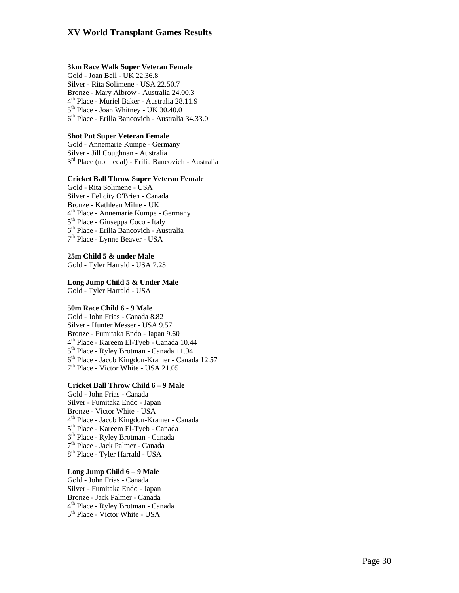#### **3km Race Walk Super Veteran Female**

Gold - Joan Bell - UK 22.36.8 Silver - Rita Solimene - USA 22.50.7 Bronze - Mary Albrow - Australia 24.00.3<br>  $4<sup>th</sup>$  Place - Muriel Baker - Australia 28.11.9<br>  $5<sup>th</sup>$  Place - Joan Whitney - UK 30.40.0<br>  $6<sup>th</sup>$  Place - Erilla Bancovich - Australia 34.33.0

#### **Shot Put Super Veteran Female**

Gold - Annemarie Kumpe - Germany 3<sup>rd</sup> Place (no medal) - Erilia Bancovich - Australia

#### **Cricket Ball Throw Super Veteran Female**

Gold - Rita Solimene - USA Silver - Felicity O'Brien - Canada Bronze - Kathleen Milne - UK<br>4<sup>th</sup> Place - Annemarie Kumpe - Germany<br>5<sup>th</sup> Place - Giuseppa Coco - Italy<br>6<sup>th</sup> Place - Erilia Bancovich - Australia<br>7<sup>th</sup> Place - Lynne Beaver - USA

**25m Child 5 & under Male**  Gold - Tyler Harrald - USA 7.23

#### **Long Jump Child 5 & Under Male**

Gold - Tyler Harrald - USA

#### **50m Race Child 6 - 9 Male**

Gold - John Frias - Canada 8.82 Silver - Hunter Messer - USA 9.57 Bronze - Fumitaka Endo - Japan 9.60<br>4<sup>th</sup> Place - Kareem El-Tyeb - Canada 10.44<br>5<sup>th</sup> Place - Ryley Brotman - Canada 11.94<br>6<sup>th</sup> Place - Jacob Kingdon-Kramer - Canada 12.57<br>7<sup>th</sup> Place - Victor White - USA 21.05

#### **Cricket Ball Throw Child 6 – 9 Male**

Gold - John Frias - Canada Silver - Fumitaka Endo - Japan Bronze - Victor White - USA<br>  $4^{\text{th}}$  Place - Jacob Kingdon-Kramer - Canada<br>  $5^{\text{th}}$  Place - Kareem El-Tyeb - Canada<br>  $6^{\text{th}}$  Place - Ryley Brotman - Canada<br>  $7^{\text{th}}$  Place - Jack Palmer - Canada<br>  $8^{\text{th}}$  Place -

#### **Long Jump Child 6 – 9 Male**

Gold - John Frias - Canada Silver - Fumitaka Endo - Japan Bronze - Jack Palmer - Canada<br>4<sup>th</sup> Place - Ryley Brotman - Canada<br>5<sup>th</sup> Place - Victor White - USA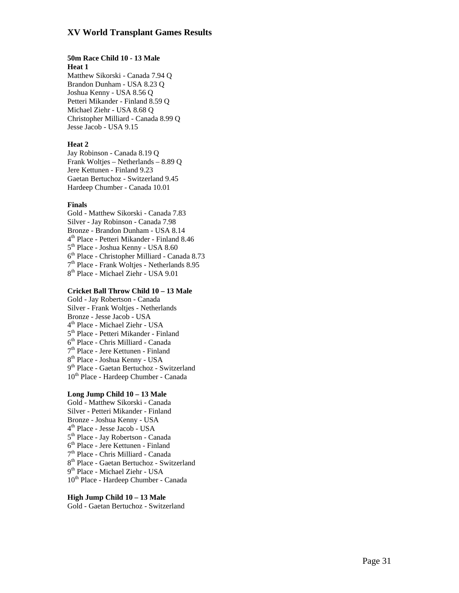#### **50m Race Child 10 - 13 Male Heat 1**

Matthew Sikorski - Canada 7.94 Q Brandon Dunham - USA 8.23 Q Joshua Kenny - USA 8.56 Q Petteri Mikander - Finland 8.59 Q Michael Ziehr - USA 8.68 Q Christopher Milliard - Canada 8.99 Q Jesse Jacob - USA 9.15

#### **Heat 2**

Jay Robinson - Canada 8.19 Q Frank Woltjes – Netherlands – 8.89 Q Jere Kettunen - Finland 9.23 Gaetan Bertuchoz - Switzerland 9.45 Hardeep Chumber - Canada 10.01

#### **Finals**

Gold - Matthew Sikorski - Canada 7.83 Silver - Jay Robinson - Canada 7.98  $4^{\text{th}}$  Place - Petteri Mikander - Finland 8.46<br> $5^{\text{th}}$  Place - Joshua Kenny - USA 8.60<br> $6^{\text{th}}$  Place - Christopher Milliard - Canada 8.73<br> $7^{\text{th}}$  Place - Frank Woltjes - Netherlands 8.95<br> $8^{\text{th}}$  Place - Michael

#### **Cricket Ball Throw Child 10 – 13 Male**

Gold - Jay Robertson - Canada Silver - Frank Woltjes - Netherlands Bronze - Jesse Jacob - USA<br>  $4^{\text{th}}$  Place - Michael Ziehr - USA<br>  $5^{\text{th}}$  Place - Petteri Mikander - Finland<br>  $6^{\text{th}}$  Place - Chris Milliard - Canada<br>  $7^{\text{th}}$  Place - Jere Kettunen - Finland<br>  $8^{\text{th}}$  Place - Josh 10th Place - Hardeep Chumber - Canada

#### **Long Jump Child 10 – 13 Male**

Gold - Matthew Sikorski - Canada Silver - Petteri Mikander - Finland Bronze - Joshua Kenny - USA<br>  $4^{\text{th}}$  Place - Jesse Jacob - USA<br>  $5^{\text{th}}$  Place - Jay Robertson - Canada<br>  $6^{\text{th}}$  Place - Jere Kettunen - Finland<br>  $7^{\text{th}}$  Place - Chris Milliard - Canada<br>  $8^{\text{th}}$  Place - Gaetan Be 10<sup>th</sup> Place - Hardeep Chumber - Canada

#### **High Jump Child 10 – 13 Male**

Gold - Gaetan Bertuchoz - Switzerland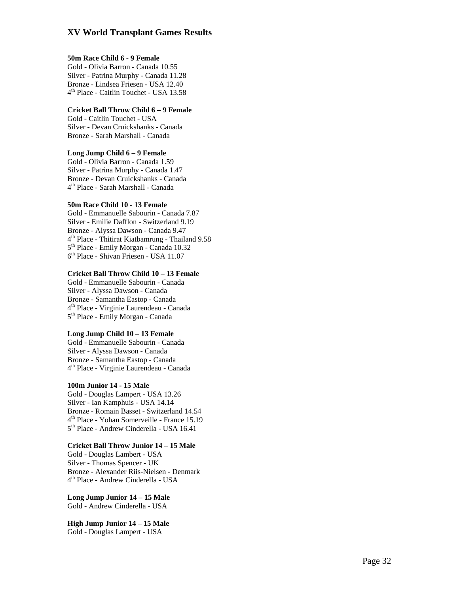#### **50m Race Child 6 - 9 Female**

Gold - Olivia Barron - Canada 10.55 Silver - Patrina Murphy - Canada 11.28 Bronze - Lindsea Friesen - USA 12.40<br>4<sup>th</sup> Place - Caitlin Touchet - USA 13.58

#### **Cricket Ball Throw Child 6 – 9 Female**

Gold - Caitlin Touchet - USA Silver - Devan Cruickshanks - Canada Bronze - Sarah Marshall - Canada

#### **Long Jump Child 6 – 9 Female**

Gold - Olivia Barron - Canada 1.59 Silver - Patrina Murphy - Canada 1.47 Bronze - Devan Cruickshanks - Canada<br>4<sup>th</sup> Place - Sarah Marshall - Canada

#### **50m Race Child 10 - 13 Female**

Gold - Emmanuelle Sabourin - Canada 7.87 Silver - Emilie Dafflon - Switzerland 9.19 Bronze - Alyssa Dawson - Canada 9.47<br>4<sup>th</sup> Place - Thitirat Kiatbamrung - Thailand 9.58<br>5<sup>th</sup> Place - Emily Morgan - Canada 10.32<br>6<sup>th</sup> Place - Shivan Friesen - USA 11.07

#### **Cricket Ball Throw Child 10 – 13 Female**

Gold - Emmanuelle Sabourin - Canada Silver - Alyssa Dawson - Canada Bronze - Samantha Eastop - Canada<br>4<sup>th</sup> Place - Virginie Laurendeau - Canada<br>5<sup>th</sup> Place - Emily Morgan - Canada

#### **Long Jump Child 10 – 13 Female**

Gold - Emmanuelle Sabourin - Canada Silver - Alyssa Dawson - Canada Bronze - Samantha Eastop - Canada<br>4<sup>th</sup> Place - Virginie Laurendeau - Canada

#### **100m Junior 14 - 15 Male**

Gold - Douglas Lampert - USA 13.26 Silver - Ian Kamphuis - USA 14.14 Bronze - Romain Basset - Switzerland 14.54<br>4<sup>th</sup> Place - Yohan Somerveille - France 15.19<br>5<sup>th</sup> Place - Andrew Cinderella - USA 16.41

#### **Cricket Ball Throw Junior 14 – 15 Male**

Gold - Douglas Lambert - USA Silver - Thomas Spencer - UK Bronze - Alexander Riis-Nielsen - Denmark<br>4<sup>th</sup> Place - Andrew Cinderella - USA

**Long Jump Junior 14 – 15 Male**  Gold - Andrew Cinderella - USA

**High Jump Junior 14 – 15 Male**  Gold - Douglas Lampert - USA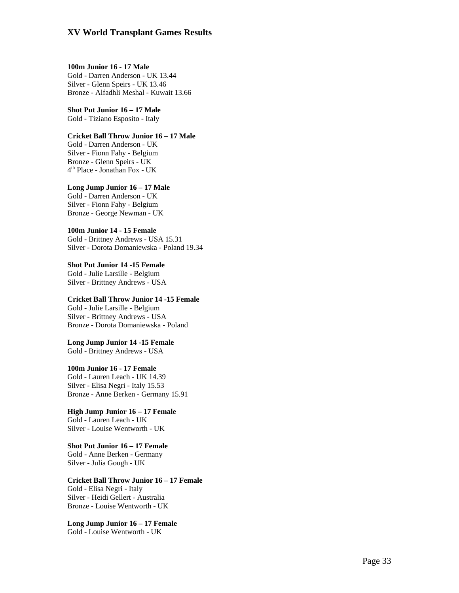**100m Junior 16 - 17 Male**  Gold - Darren Anderson - UK 13.44 Silver - Glenn Speirs - UK 13.46 Bronze - Alfadhli Meshal - Kuwait 13.66

**Shot Put Junior 16 – 17 Male**  Gold - Tiziano Esposito - Italy

**Cricket Ball Throw Junior 16 – 17 Male**  Gold - Darren Anderson - UK Silver - Fionn Fahy - Belgium Bronze - Glenn Speirs - UK

4th Place - Jonathan Fox - UK **Long Jump Junior 16 – 17 Male**  Gold - Darren Anderson - UK

Silver - Fionn Fahy - Belgium Bronze - George Newman - UK

**100m Junior 14 - 15 Female**  Gold - Brittney Andrews - USA 15.31 Silver - Dorota Domaniewska - Poland 19.34

**Shot Put Junior 14 -15 Female**  Gold - Julie Larsille - Belgium Silver - Brittney Andrews - USA

**Cricket Ball Throw Junior 14 -15 Female**  Gold - Julie Larsille - Belgium Silver - Brittney Andrews - USA Bronze - Dorota Domaniewska - Poland

**Long Jump Junior 14 -15 Female**  Gold - Brittney Andrews - USA

**100m Junior 16 - 17 Female**  Gold - Lauren Leach - UK 14.39 Silver - Elisa Negri - Italy 15.53 Bronze - Anne Berken - Germany 15.91

**High Jump Junior 16 – 17 Female**  Gold - Lauren Leach - UK Silver - Louise Wentworth - UK

**Shot Put Junior 16 – 17 Female**  Gold - Anne Berken - Germany Silver - Julia Gough - UK

**Cricket Ball Throw Junior 16 – 17 Female**  Gold - Elisa Negri - Italy Silver - Heidi Gellert - Australia Bronze - Louise Wentworth - UK

**Long Jump Junior 16 – 17 Female**  Gold - Louise Wentworth - UK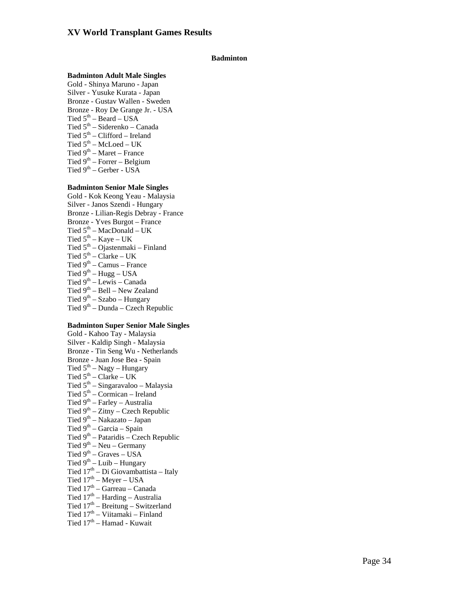### **Badminton**

### **Badminton Adult Male Singles**

Gold - Shinya Maruno - Japan Silver - Yusuke Kurata - Japan Bronze - Gustav Wallen - Sweden Bronze - Roy De Grange Jr. - USA Tied  $5<sup>th</sup>$  – Beard – USA Tied  $5<sup>th</sup>$  – Siderenko – Canada Tied  $5<sup>th</sup>$  – Clifford – Ireland Tied  $5<sup>th</sup>$  – McLoed – UK Tied  $9<sup>th</sup>$  – Maret – France Tied  $9<sup>th</sup>$  – Forrer – Belgium Tied  $9<sup>th</sup>$  – Gerber - USA

### **Badminton Senior Male Singles**

Gold - Kok Keong Yeau - Malaysia Silver - Janos Szendi - Hungary Bronze - Lilian-Regis Debray - France Bronze - Yves Burgot – France Tied  $5<sup>th</sup> - MacDonald - UK$ Tied  $5^{th}$  – Kaye – UK Tied 5<sup>th</sup> – Ojastenmaki – Finland Tied  $5<sup>th</sup>$  – Clarke – UK Tied  $9<sup>th</sup>$  – Camus – France Tied  $9^{th}$  – Hugg – USA Tied  $9<sup>th</sup> - Lewis - Canada$ Tied 9<sup>th</sup> – Bell – New Zealand Tied  $9<sup>th</sup> - Szabo - Hungary$ Tied  $9<sup>th</sup>$  – Dunda – Czech Republic

### **Badminton Super Senior Male Singles**

Gold - Kahoo Tay - Malaysia Silver - Kaldip Singh - Malaysia Bronze - Tin Seng Wu - Netherlands Bronze - Juan Jose Bea - Spain Tied  $5<sup>th</sup> - Nagy - Hungary$ Tied  $5<sup>th</sup>$  – Clarke – UK Tied  $5<sup>th</sup>$  – Singaravaloo – Malaysia Tied  $5<sup>th</sup>$  – Cormican – Ireland Tied 9<sup>th</sup> – Farley – Australia Tied  $9<sup>th</sup> - Zitny - Czech Republic$ Tied 9<sup>th</sup> – Nakazato – Japan Tied  $9<sup>th</sup>$  – Garcia – Spain Tied  $9<sup>th</sup>$  – Pataridis – Czech Republic Tied  $9<sup>th</sup>$  – Neu – Germany Tied  $9^{th}$  – Graves – USA Tied  $9^{th}$  – Luib – Hungary Tied  $17<sup>th</sup> - Di Giovanni Giovambattista – Italy$ Tied  $17^{\text{th}}$  – Meyer – USA Tied  $17<sup>th</sup> - G$ arreau – Canada

- 
- Tied  $17<sup>th</sup>$  Harding Australia
- Tied  $17<sup>th</sup>$  Breitung Switzerland
- Tied 17<sup>th</sup> Viitamaki Finland
- Tied  $17<sup>th</sup> Hamad Kuwait$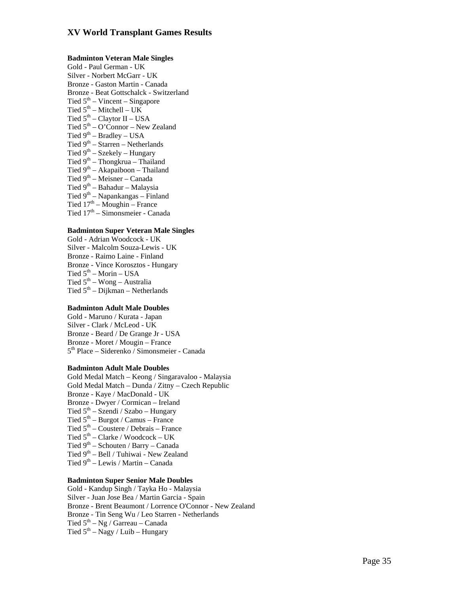### **Badminton Veteran Male Singles**

Gold - Paul German - UK Silver - Norbert McGarr - UK Bronze - Gaston Martin - Canada Bronze - Beat Gottschalck - Switzerland Tied  $5<sup>th</sup>$  – Vincent – Singapore Tied  $5<sup>th</sup>$  – Mitchell – UK Tied  $5<sup>th</sup>$  – Claytor II – USA Tied  $5<sup>th</sup> - O'Connor - New Zealand$ Tied  $9<sup>th</sup>$  – Bradley – USA Tied  $9<sup>th</sup>$  – Starren – Netherlands Tied  $9^{th}$  – Szekely – Hungary Tied 9th – Thongkrua – Thailand Tied  $9<sup>th</sup> - Akapaiboon - Thailand$ Tied  $9<sup>th</sup>$  – Meisner – Canada Tied  $9<sup>th</sup>$  – Bahadur – Malaysia Tied 9<sup>th</sup> – Napankangas – Finland Tied  $17<sup>th</sup> - M$ oughin – France Tied  $17<sup>th</sup>$  – Simonsmeier - Canada

### **Badminton Super Veteran Male Singles**

Gold - Adrian Woodcock - UK Silver - Malcolm Souza-Lewis - UK Bronze - Raimo Laine - Finland Bronze - Vince Korosztos - Hungary Tied  $5^{th}$  – Morin – USA Tied  $5<sup>th</sup> - Wong - Australia$ Tied  $5<sup>th</sup> - Dijkman - Netherlands$ 

### **Badminton Adult Male Doubles**

Gold - Maruno / Kurata - Japan Silver - Clark / McLeod - UK Bronze - Beard / De Grange Jr - USA Bronze - Moret / Mougin – France  $5<sup>th</sup>$  Place – Siderenko / Simonsmeier - Canada

### **Badminton Adult Male Doubles**

Gold Medal Match – Keong / Singaravaloo - Malaysia Gold Medal Match – Dunda / Zitny – Czech Republic Bronze - Kaye / MacDonald - UK Bronze - Dwyer / Cormican – Ireland Tied  $5<sup>th</sup>$  – Szendi / Szabo – Hungary Tied  $5<sup>th</sup>$  – Burgot / Camus – France Tied  $5<sup>th</sup>$  – Coustere / Debrais – France Tied  $5<sup>th</sup>$  – Clarke / Woodcock – UK Tied  $9<sup>th</sup>$  – Schouten / Barry – Canada Tied 9<sup>th</sup> – Bell / Tuhiwai - New Zealand Tied  $9^{th}$  – Lewis / Martin – Canada

### **Badminton Super Senior Male Doubles**

Gold - Kandup Singh / Tayka Ho - Malaysia Silver - Juan Jose Bea / Martin Garcia - Spain Bronze - Brent Beaumont / Lorrence O'Connor - New Zealand Bronze - Tin Seng Wu / Leo Starren - Netherlands Tied  $5<sup>th</sup> - Ng / Garreau - Canada$ Tied  $5<sup>th</sup>$  – Nagy / Luib – Hungary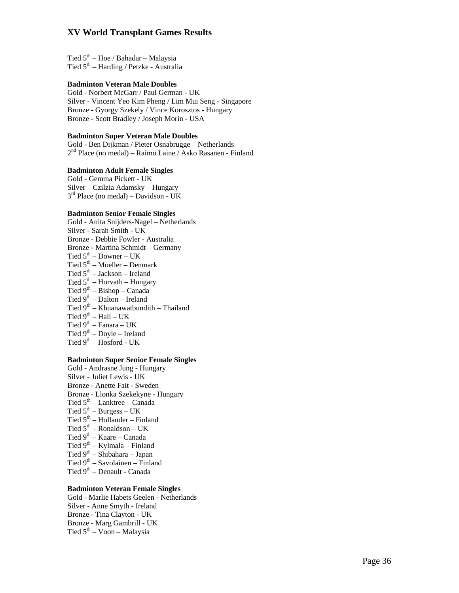Tied  $5<sup>th</sup>$  – Hoe / Bahadar – Malaysia Tied  $5<sup>th</sup>$  – Harding / Petzke - Australia

### **Badminton Veteran Male Doubles**

Gold - Norbert McGarr / Paul German - UK Silver - Vincent Yeo Kim Pheng / Lim Mui Seng - Singapore Bronze - Gyorgy Szekely / Vince Korosztos - Hungary Bronze - Scott Bradley / Joseph Morin - USA

### **Badminton Super Veteran Male Doubles**

Gold - Ben Dijkman / Pieter Osnabrugge – Netherlands 2nd Place (no medal) – Raimo Laine / Asko Rasanen - Finland

### **Badminton Adult Female Singles**

Gold - Gemma Pickett - UK Silver – Czilzia Adamsky – Hungary 3rd Place (no medal) – Davidson - UK

### **Badminton Senior Female Singles**

Gold - Anita Snijders-Nagel – Netherlands Silver - Sarah Smith - UK Bronze - Debbie Fowler - Australia Bronze - Martina Schmidt – Germany Tied  $5^{th}$  – Downer – UK Tied  $5<sup>th</sup>$  – Moeller – Denmark Tied  $5<sup>th</sup> - Jackson - Ireland$ Tied  $5<sup>th</sup>$  – Horvath – Hungary Tied 9th – Bishop – Canada Tied  $9<sup>th</sup> - Dalton - Ireland$ Tied 9<sup>th</sup> – Khuanawatbundith – Thailand Tied  $9^{th}$  – Hall – UK Tied  $9^{th}$  – Fanara – UK Tied  $9^{th}$  – Doyle – Ireland Tied  $9<sup>th</sup>$  – Hosford - UK

### **Badminton Super Senior Female Singles**

Gold - Andrasne Jung - Hungary Silver - Juliet Lewis - UK Bronze - Anette Fait - Sweden Bronze - Llonka Szekekyne - Hungary Tied  $5<sup>th</sup> - Lanktree - Canada$ Tied  $5<sup>th</sup>$  – Burgess – UK Tied  $5<sup>th</sup>$  – Hollander – Finland Tied  $5<sup>th</sup>$  – Ronaldson – UK Tied 9th – Kaare – Canada Tied  $9<sup>th</sup> - Kylmala - Finland$ Tied 9<sup>th</sup> – Shibahara – Japan Tied 9<sup>th</sup> – Savolainen – Finland Tied 9<sup>th</sup> – Denault - Canada

### **Badminton Veteran Female Singles**

Gold - Marlie Habets Geelen - Netherlands Silver - Anne Smyth - Ireland Bronze - Tina Clayton - UK Bronze - Marg Gambrill - UK Tied  $5<sup>th</sup> - Voon - Malaysia$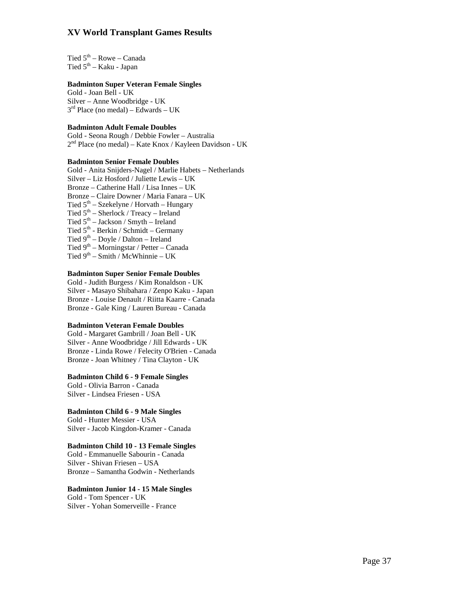Tied  $5<sup>th</sup>$  – Rowe – Canada Tied  $5^{th}$  – Kaku - Japan

### **Badminton Super Veteran Female Singles**

Gold - Joan Bell - UK Silver – Anne Woodbridge - UK  $3<sup>rd</sup>$  Place (no medal) – Edwards – UK

### **Badminton Adult Female Doubles**

Gold - Seona Rough / Debbie Fowler – Australia 2<sup>nd</sup> Place (no medal) – Kate Knox / Kayleen Davidson - UK

### **Badminton Senior Female Doubles**

Gold - Anita Snijders-Nagel / Marlie Habets – Netherlands Silver – Liz Hosford / Juliette Lewis – UK Bronze – Catherine Hall / Lisa Innes – UK Bronze – Claire Downer / Maria Fanara – UK Tied  $5^{th}$  – Szekelyne / Horvath – Hungary Tied  $5<sup>th</sup>$  – Sherlock / Treacy – Ireland Tied  $5<sup>th</sup> - Jackson / Smyth - Ireland$ Tied 5<sup>th</sup> - Berkin / Schmidt – Germany Tied 9th – Doyle / Dalton – Ireland Tied  $9<sup>th</sup>$  – Morningstar / Petter – Canada Tied  $9^{th}$  – Smith / McWhinnie – UK

# **Badminton Super Senior Female Doubles**

Gold - Judith Burgess / Kim Ronaldson - UK Silver - Masayo Shibahara / Zenpo Kaku - Japan Bronze - Louise Denault / Riitta Kaarre - Canada Bronze - Gale King / Lauren Bureau - Canada

### **Badminton Veteran Female Doubles**

Gold - Margaret Gambrill / Joan Bell - UK Silver - Anne Woodbridge / Jill Edwards - UK Bronze - Linda Rowe / Felecity O'Brien - Canada Bronze - Joan Whitney / Tina Clayton - UK

### **Badminton Child 6 - 9 Female Singles**

Gold - Olivia Barron - Canada Silver - Lindsea Friesen - USA

## **Badminton Child 6 - 9 Male Singles**

Gold - Hunter Messier - USA Silver - Jacob Kingdon-Kramer - Canada

### **Badminton Child 10 - 13 Female Singles**

Gold - Emmanuelle Sabourin - Canada Silver - Shivan Friesen – USA Bronze – Samantha Godwin - Netherlands

### **Badminton Junior 14 - 15 Male Singles**

Gold - Tom Spencer - UK Silver - Yohan Somerveille - France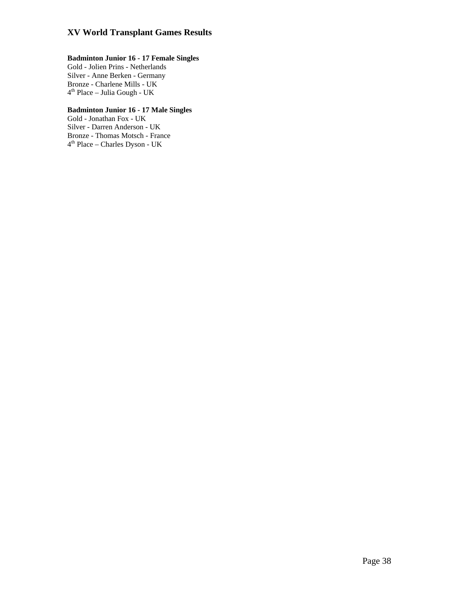# **Badminton Junior 16 - 17 Female Singles**

Gold - Jolien Prins - Netherlands Silver - Anne Berken - Germany Bronze - Charlene Mills - UK  $4<sup>th</sup>$  Place – Julia Gough - UK

# **Badminton Junior 16 - 17 Male Singles**

Gold - Jonathan Fox - UK Silver - Darren Anderson - UK Bronze - Thomas Motsch - France 4th Place – Charles Dyson - UK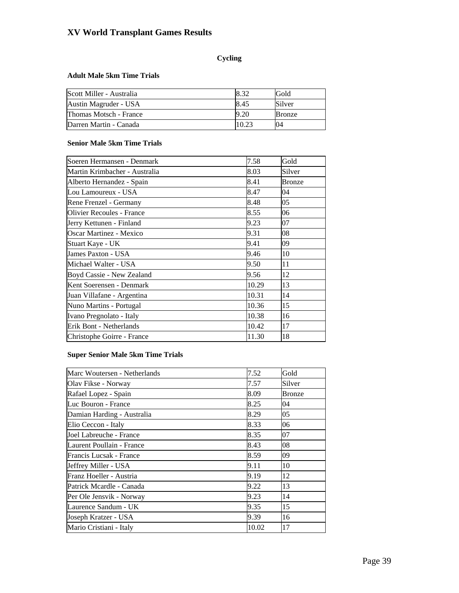# **Cycling**

## **Adult Male 5km Time Trials**

| Scott Miller - Australia |      | Gold          |
|--------------------------|------|---------------|
| Austin Magruder - USA    | 8.45 | Silver        |
| Thomas Motsch - France   |      | <b>Bronze</b> |
| Darren Martin - Canada   |      | 04            |

### **Senior Male 5km Time Trials**

| 7.58  | Gold          |
|-------|---------------|
| 8.03  | Silver        |
| 8.41  | <b>Bronze</b> |
| 8.47  | 04            |
| 8.48  | 05            |
| 8.55  | 06            |
| 9.23  | 07            |
| 9.31  | 08            |
| 9.41  | 09            |
| 9.46  | 10            |
| 9.50  | 11            |
| 9.56  | 12            |
| 10.29 | 13            |
| 10.31 | 14            |
| 10.36 | 15            |
| 10.38 | 16            |
| 10.42 | 17            |
| 11.30 | 18            |
|       |               |

# **Super Senior Male 5km Time Trials**

| Marc Woutersen - Netherlands | 7.52  | Gold          |
|------------------------------|-------|---------------|
| Olav Fikse - Norway          | 7.57  | Silver        |
| Rafael Lopez - Spain         | 8.09  | <b>Bronze</b> |
| Luc Bouron - France          | 8.25  | 04            |
| Damian Harding - Australia   | 8.29  | 05            |
| Elio Ceccon - Italy          | 8.33  | 06            |
| Joel Labreuche - France      | 8.35  | 07            |
| Laurent Poullain - France    | 8.43  | 08            |
| Francis Lucsak - France      | 8.59  | 09            |
| Jeffrey Miller - USA         | 9.11  | 10            |
| Franz Hoeller - Austria      | 9.19  | 12            |
| Patrick Mcardle - Canada     | 9.22  | 13            |
| Per Ole Jensvik - Norway     | 9.23  | 14            |
| Laurence Sandum - UK         | 9.35  | 15            |
| Joseph Kratzer - USA         | 9.39  | 16            |
| Mario Cristiani - Italy      | 10.02 | 17            |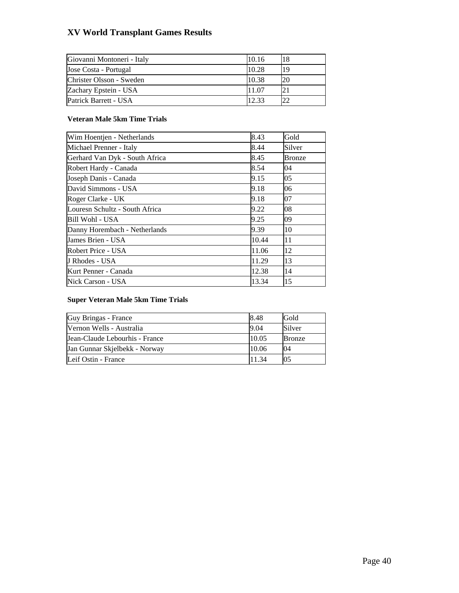| Giovanni Montoneri - Italy | 10.16 |    |
|----------------------------|-------|----|
| Jose Costa - Portugal      | 10.28 | 19 |
| Christer Olsson - Sweden   | 10.38 |    |
| Zachary Epstein - USA      | 11.07 |    |
| Patrick Barrett - USA      | 12.33 |    |

# **Veteran Male 5km Time Trials**

| Wim Hoentjen - Netherlands     | 8.43  | Gold   |
|--------------------------------|-------|--------|
| Michael Prenner - Italy        | 8.44  | Silver |
| Gerhard Van Dyk - South Africa | 8.45  | Bronze |
| Robert Hardy - Canada          | 8.54  | 04     |
| Joseph Danis - Canada          | 9.15  | 05     |
| David Simmons - USA            | 9.18  | 06     |
| Roger Clarke - UK              | 9.18  | 07     |
| Louresn Schultz - South Africa | 9.22  | 08     |
| Bill Wohl - USA                | 9.25  | 09     |
| Danny Horembach - Netherlands  | 9.39  | 10     |
| James Brien - USA              | 10.44 | 11     |
| Robert Price - USA             | 11.06 | 12     |
| J Rhodes - USA                 | 11.29 | 13     |
| Kurt Penner - Canada           | 12.38 | 14     |
| Nick Carson - USA              | 13.34 | 15     |

### **Super Veteran Male 5km Time Trials**

| Guy Bringas - France           | 8.48  | Gold          |
|--------------------------------|-------|---------------|
| Nernon Wells - Australia       | 9.04  | Silver        |
| Jean-Claude Lebourhis - France | 10.05 | <b>Bronze</b> |
| Jan Gunnar Skjelbekk - Norway  | 10.06 | 04            |
| Leif Ostin - France            | 11.34 | 05            |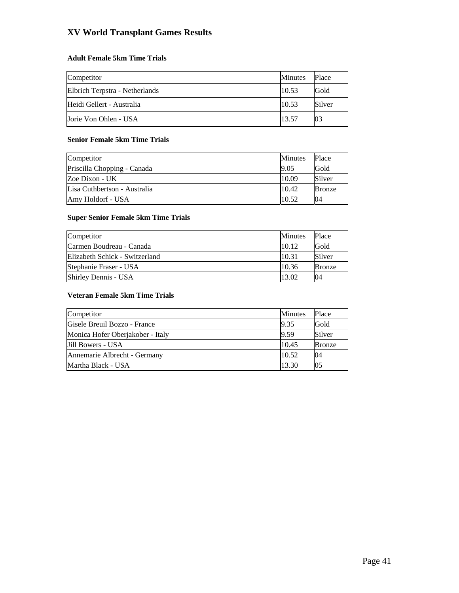# **Adult Female 5km Time Trials**

| Competitor                     | Minutes | Place  |
|--------------------------------|---------|--------|
| Elbrich Terpstra - Netherlands | 10.53   | Gold   |
| Heidi Gellert - Australia      | 10.53   | Silver |
| Jorie Von Ohlen - USA          | 13.57   |        |

### **Senior Female 5km Time Trials**

| Competitor                   | <b>Minutes</b> | Place         |
|------------------------------|----------------|---------------|
| Priscilla Chopping - Canada  | 9.05           | Gold          |
| Zoe Dixon - UK               | 10.09          | Silver        |
| Lisa Cuthbertson - Australia | 10.42          | <b>Bronze</b> |
| Amy Holdorf - USA            | 10.52          | 04            |

# **Super Senior Female 5km Time Trials**

| Competitor                     | <b>Minutes</b> | Place         |
|--------------------------------|----------------|---------------|
| Carmen Boudreau - Canada       | 10.12          | Gold          |
| Elizabeth Schick - Switzerland | 10.31          | Silver        |
| Stephanie Fraser - USA         | 10.36          | <b>Bronze</b> |
| Shirley Dennis - USA           | 13.02          | 04            |

### **Veteran Female 5km Time Trials**

| Competitor                       | <b>Minutes</b> | Place         |
|----------------------------------|----------------|---------------|
| Gisele Breuil Bozzo - France     | 9.35           | Gold          |
| Monica Hofer Oberjakober - Italy | 9.59           | Silver        |
| Jill Bowers - USA                | 10.45          | <b>Bronze</b> |
| Annemarie Albrecht - Germany     | 10.52          | 04            |
| Martha Black - USA               | 13.30          | 05            |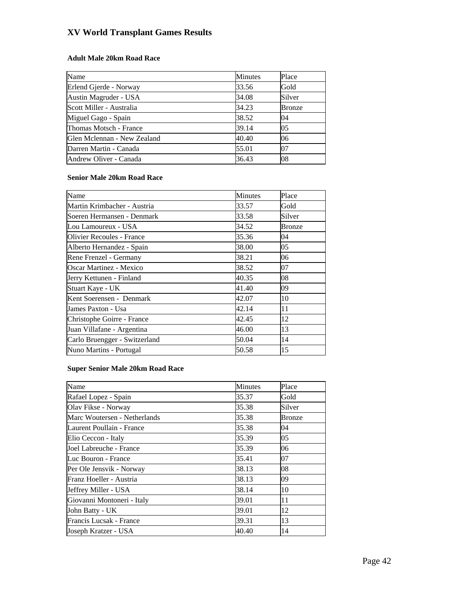# **Adult Male 20km Road Race**

| Name                        | Minutes | Place         |
|-----------------------------|---------|---------------|
| Erlend Gjerde - Norway      | 33.56   | Gold          |
| Austin Magruder - USA       | 34.08   | Silver        |
| Scott Miller - Australia    | 34.23   | <b>Bronze</b> |
| Miguel Gago - Spain         | 38.52   | 04            |
| Thomas Motsch - France      | 39.14   | 05            |
| Glen Mclennan - New Zealand | 40.40   | 06            |
| Darren Martin - Canada      | 55.01   | 07            |
| Andrew Oliver - Canada      | 36.43   | 08            |

### **Senior Male 20km Road Race**

| Name                          | <b>Minutes</b> | Place  |
|-------------------------------|----------------|--------|
| Martin Krimbacher - Austria   | 33.57          | Gold   |
| Soeren Hermansen - Denmark    | 33.58          | Silver |
| Lou Lamoureux - USA           | 34.52          | Bronze |
| Olivier Recoules - France     | 35.36          | 04     |
| Alberto Hernandez - Spain     | 38.00          | 05     |
| Rene Frenzel - Germany        | 38.21          | 06     |
| Oscar Martinez - Mexico       | 38.52          | 07     |
| Jerry Kettunen - Finland      | 40.35          | 08     |
| Stuart Kaye - UK              | 41.40          | 09     |
| Kent Soerensen - Denmark      | 42.07          | 10     |
| James Paxton - Usa            | 42.14          | 11     |
| Christophe Goirre - France    | 42.45          | 12     |
| Juan Villafane - Argentina    | 46.00          | 13     |
| Carlo Bruengger - Switzerland | 50.04          | 14     |
| Nuno Martins - Portugal       | 50.58          | 15     |

# **Super Senior Male 20km Road Race**

| Name                         | <b>Minutes</b> | Place  |
|------------------------------|----------------|--------|
| Rafael Lopez - Spain         | 35.37          | Gold   |
| Olav Fikse - Norway          | 35.38          | Silver |
| Marc Woutersen - Netherlands | 35.38          | Bronze |
| Laurent Poullain - France    | 35.38          | 04     |
| Elio Ceccon - Italy          | 35.39          | 05     |
| Joel Labreuche - France      | 35.39          | 06     |
| Luc Bouron - France          | 35.41          | 07     |
| Per Ole Jensvik - Norway     | 38.13          | 08     |
| Franz Hoeller - Austria      | 38.13          | 09     |
| Jeffrey Miller - USA         | 38.14          | 10     |
| Giovanni Montoneri - Italy   | 39.01          | 11     |
| John Batty - UK              | 39.01          | 12     |
| Francis Lucsak - France      | 39.31          | 13     |
| Joseph Kratzer - USA         | 40.40          | 14     |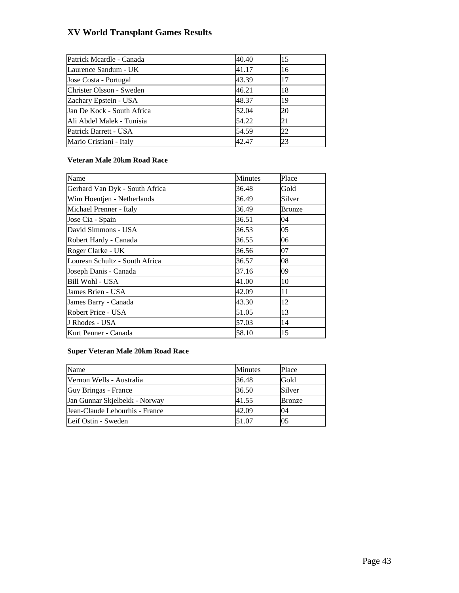| Patrick Mcardle - Canada   | 40.40 | 15 |
|----------------------------|-------|----|
| Laurence Sandum - UK       | 41.17 | 16 |
| Jose Costa - Portugal      | 43.39 | 17 |
| Christer Olsson - Sweden   | 46.21 | 18 |
| Zachary Epstein - USA      | 48.37 | 19 |
| Jan De Kock - South Africa | 52.04 | 20 |
| Ali Abdel Malek - Tunisia  | 54.22 | 21 |
| Patrick Barrett - USA      | 54.59 | 22 |
| Mario Cristiani - Italy    | 42.47 | 23 |

### **Veteran Male 20km Road Race**

| Name                           | <b>Minutes</b> | Place  |
|--------------------------------|----------------|--------|
| Gerhard Van Dyk - South Africa | 36.48          | Gold   |
| Wim Hoentjen - Netherlands     | 36.49          | Silver |
| Michael Prenner - Italy        | 36.49          | Bronze |
| Jose Cia - Spain               | 36.51          | 04     |
| David Simmons - USA            | 36.53          | 05     |
| Robert Hardy - Canada          | 36.55          | 06     |
| Roger Clarke - UK              | 36.56          | 07     |
| Louresn Schultz - South Africa | 36.57          | 08     |
| Joseph Danis - Canada          | 37.16          | 09     |
| Bill Wohl - USA                | 41.00          | 10     |
| James Brien - USA              | 42.09          | 11     |
| James Barry - Canada           | 43.30          | 12     |
| Robert Price - USA             | 51.05          | 13     |
| J Rhodes - USA                 | 57.03          | 14     |
| Kurt Penner - Canada           | 58.10          | 15     |

### **Super Veteran Male 20km Road Race**

| Name                           | <b>Minutes</b> | Place  |
|--------------------------------|----------------|--------|
| Vernon Wells - Australia       | 36.48          | Gold   |
| Guy Bringas - France           | 36.50          | Silver |
| Jan Gunnar Skjelbekk - Norway  | 41.55          | Bronze |
| Jean-Claude Lebourhis - France | 42.09          | 04     |
| Leif Ostin - Sweden            | 51.07          |        |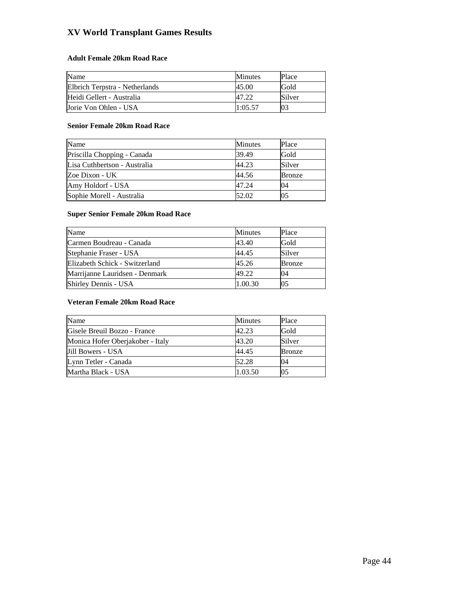# **Adult Female 20km Road Race**

| Name                           | <b>Minutes</b> | Place  |
|--------------------------------|----------------|--------|
| Elbrich Terpstra - Netherlands | 45.00          | Gold   |
| Heidi Gellert - Australia      |                | Silver |
| Jorie Von Ohlen - USA          | 1:05.57        | 03     |

### **Senior Female 20km Road Race**

| Name                         | <b>Minutes</b> | Place         |
|------------------------------|----------------|---------------|
| Priscilla Chopping - Canada  | 39.49          | Gold          |
| Lisa Cuthbertson - Australia | 44.23          | Silver        |
| Zoe Dixon - UK               | 44.56          | <b>Bronze</b> |
| Amy Holdorf - USA            | 47.24          | 04            |
| Sophie Morell - Australia    | 52.02          | 05            |

# **Super Senior Female 20km Road Race**

| Name                           | <b>Minutes</b> | Place         |
|--------------------------------|----------------|---------------|
| Carmen Boudreau - Canada       | 43.40          | Gold          |
| Stephanie Fraser - USA         | 44.45          | Silver        |
| Elizabeth Schick - Switzerland | 45.26          | <b>Bronze</b> |
| Marrijanne Lauridsen - Denmark | 49.22          | 04            |
| Shirley Dennis - USA           | 1.00.30        | 05            |

# **Veteran Female 20km Road Race**

| Name                             | <b>Minutes</b> | Place  |
|----------------------------------|----------------|--------|
| Gisele Breuil Bozzo - France     | 42.23          | Gold   |
| Monica Hofer Oberjakober - Italy | 43.20          | Silver |
| Jill Bowers - USA                | 44.45          | Bronze |
| Lynn Tetler - Canada             | 52.28          | 04     |
| Martha Black - USA               | 1.03.50        | 05     |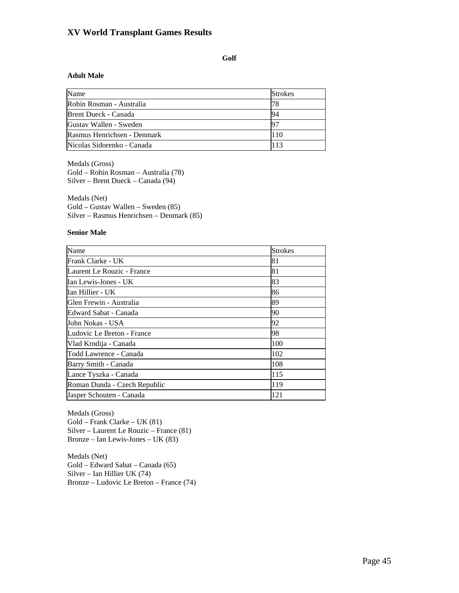# **Golf**

### **Adult Male**

| Name                        | <b>Strokes</b> |
|-----------------------------|----------------|
| Rohin Rosman - Australia    | 78             |
| Brent Dueck - Canada        | 94             |
| Gustav Wallen - Sweden      | 197            |
| Rasmus Henrichsen - Denmark | 110            |
| Nicolas Sidorenko - Canada  | 113            |

Medals (Gross)

Gold – Rohin Rosman – Australia (78) Silver – Brent Dueck – Canada (94)

Medals (Net) Gold – Gustav Wallen – Sweden (85) Silver – Rasmus Henrichsen – Denmark (85)

#### **Senior Male**

| Name                         | <b>Strokes</b> |
|------------------------------|----------------|
| Frank Clarke - UK            | 81             |
| Laurent Le Rouzic - France   | 81             |
| Ian Lewis-Jones - UK         | 83             |
| Ian Hillier - UK             | 86             |
| Glen Frewin - Australia      | 89             |
| Edward Sabat - Canada        | 90             |
| John Nokas - USA             | 92             |
| Ludovic Le Breton - France   | 98             |
| Vlad Krndija - Canada        | 100            |
| Todd Lawrence - Canada       | 102            |
| Barry Smith - Canada         | 108            |
| Lance Tyszka - Canada        | 115            |
| Roman Dunda - Czech Republic | 119            |
| Jasper Schouten - Canada     | 121            |

Medals (Gross) Gold – Frank Clarke – UK (81) Silver – Laurent Le Rouzic – France (81) Bronze – Ian Lewis-Jones – UK (83)

Medals (Net) Gold – Edward Sabat – Canada (65) Silver – Ian Hillier UK (74) Bronze – Ludovic Le Breton – France (74)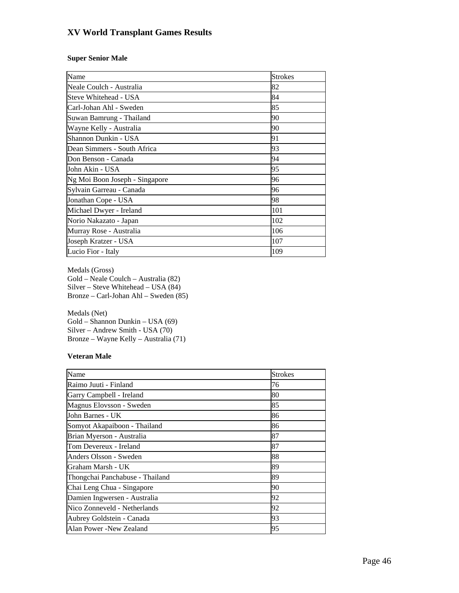### **Super Senior Male**

| Name                           | <b>Strokes</b> |
|--------------------------------|----------------|
| Neale Coulch - Australia       | 82             |
| Steve Whitehead - USA          | 84             |
| Carl-Johan Ahl - Sweden        | 85             |
| Suwan Bamrung - Thailand       | 90             |
| Wayne Kelly - Australia        | 90             |
| Shannon Dunkin - USA           | 91             |
| Dean Simmers - South Africa    | 93             |
| Don Benson - Canada            | 94             |
| John Akin - USA                | 95             |
| Ng Moi Boon Joseph - Singapore | 96             |
| Sylvain Garreau - Canada       | 96             |
| Jonathan Cope - USA            | 98             |
| Michael Dwyer - Ireland        | 101            |
| Norio Nakazato - Japan         | 102            |
| Murray Rose - Australia        | 106            |
| Joseph Kratzer - USA           | 107            |
| Lucio Fior - Italy             | 109            |

Medals (Gross) Gold – Neale Coulch – Australia (82) Silver – Steve Whitehead – USA (84) Bronze – Carl-Johan Ahl – Sweden (85)

Medals (Net) Gold – Shannon Dunkin – USA (69) Silver – Andrew Smith - USA (70) Bronze – Wayne Kelly – Australia (71)

### **Veteran Male**

| Name                            | <b>Strokes</b> |
|---------------------------------|----------------|
| Raimo Juuti - Finland           | 76             |
| Garry Campbell - Ireland        | 80             |
| Magnus Elovsson - Sweden        | 85             |
| John Barnes - UK                | 86             |
| Somyot Akapaiboon - Thailand    | 86             |
| Brian Myerson - Australia       | 87             |
| Tom Devereux - Ireland          | 87             |
| Anders Olsson - Sweden          | 88             |
| Graham Marsh - UK               | 89             |
| Thongchai Panchabuse - Thailand | 89             |
| Chai Leng Chua - Singapore      | 90             |
| Damien Ingwersen - Australia    | 92             |
| Nico Zonneveld - Netherlands    | 92             |
| Aubrey Goldstein - Canada       | 93             |
| Alan Power -New Zealand         | 95             |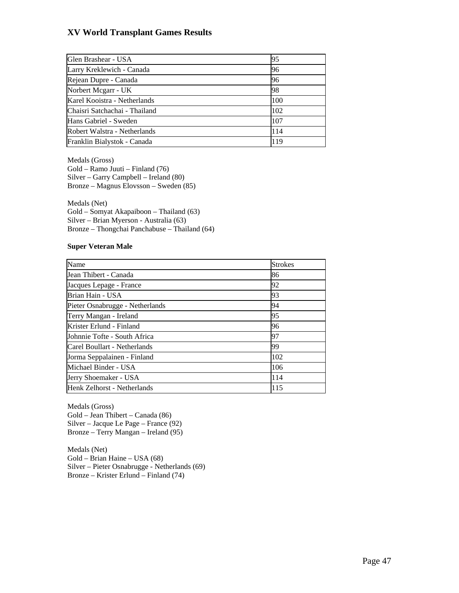| Glen Brashear - USA           | 95  |
|-------------------------------|-----|
| Larry Kreklewich - Canada     | 96  |
| Rejean Dupre - Canada         | 96  |
| Norbert Mcgarr - UK           | 98  |
| Karel Kooistra - Netherlands  | 100 |
| Chaisri Satchachai - Thailand | 102 |
| Hans Gabriel - Sweden         | 107 |
| Robert Walstra - Netherlands  | 114 |
| Franklin Bialystok - Canada   | 119 |

Medals (Gross)

Gold – Ramo Juuti – Finland (76) Silver – Garry Campbell – Ireland (80) Bronze – Magnus Elovsson – Sweden (85)

Medals (Net) Gold – Somyat Akapaiboon – Thailand (63) Silver – Brian Myerson - Australia (63) Bronze – Thongchai Panchabuse – Thailand (64)

### **Super Veteran Male**

| Name                            | <b>Strokes</b> |
|---------------------------------|----------------|
| Jean Thibert - Canada           | 86             |
| Jacques Lepage - France         | 92             |
| Brian Hain - USA                | 93             |
| Pieter Osnabrugge - Netherlands | 94             |
| Terry Mangan - Ireland          | 95             |
| Krister Erlund - Finland        | 96             |
| Johnnie Tofte - South Africa    | 97             |
| Carel Boullart - Netherlands    | 99             |
| Jorma Seppalainen - Finland     | 102            |
| Michael Binder - USA            | 106            |
| Jerry Shoemaker - USA           | 114            |
| Henk Zelhorst - Netherlands     | 115            |

Medals (Gross) Gold – Jean Thibert – Canada (86) Silver – Jacque Le Page – France (92) Bronze – Terry Mangan – Ireland (95)

Medals (Net) Gold – Brian Haine – USA (68) Silver – Pieter Osnabrugge - Netherlands (69) Bronze – Krister Erlund – Finland (74)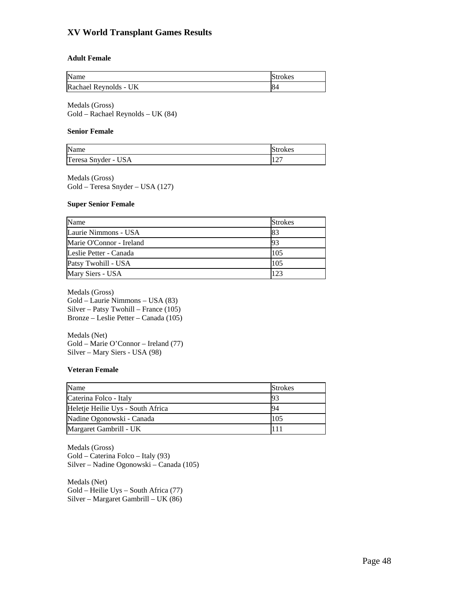### **Adult Female**

| Name                  | <b>Strokes</b> |
|-----------------------|----------------|
| Rachael Reynolds - UK | 84             |

Medals (Gross) Gold – Rachael Reynolds – UK (84)

### **Senior Female**

| Name                | Strokes |
|---------------------|---------|
| Teresa Snyder - USA | $\sim$  |

Medals (Gross) Gold – Teresa Snyder – USA (127)

### **Super Senior Female**

| Name                     | <b>Strokes</b> |
|--------------------------|----------------|
| Laurie Nimmons - USA     | 83             |
| Marie O'Connor - Ireland | 93             |
| Leslie Petter - Canada   | 105            |
| Patsy Twohill - USA      | 105            |
| Mary Siers - USA         | 123            |

Medals (Gross) Gold – Laurie Nimmons – USA (83) Silver – Patsy Twohill – France (105) Bronze – Leslie Petter – Canada (105)

Medals (Net) Gold – Marie O'Connor – Ireland (77) Silver – Mary Siers - USA (98)

### **Veteran Female**

| Name                              | <b>Strokes</b> |
|-----------------------------------|----------------|
| Caterina Folco - Italy            | -93            |
| Heletje Heilie Uys - South Africa | 94             |
| Nadine Ogonowski - Canada         | 105            |
| Margaret Gambrill - UK            | 111            |

Medals (Gross) Gold – Caterina Folco – Italy (93) Silver – Nadine Ogonowski – Canada (105)

Medals (Net) Gold – Heilie Uys – South Africa (77) Silver – Margaret Gambrill – UK (86)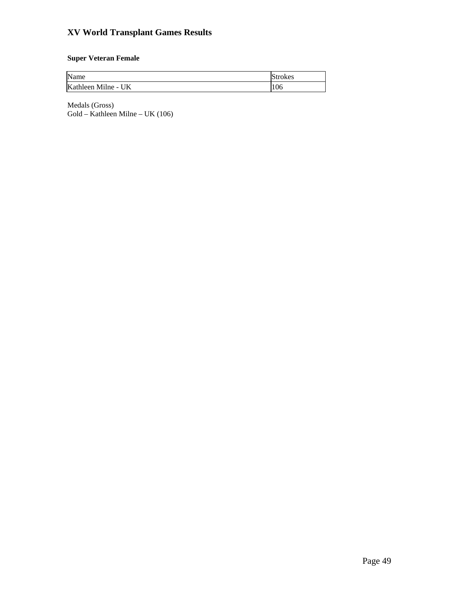# **Super Veteran Female**

| Name                | <b>Strokes</b> |
|---------------------|----------------|
| Kathleen Milne - UK | 106            |

Medals (Gross) Gold – Kathleen Milne – UK (106)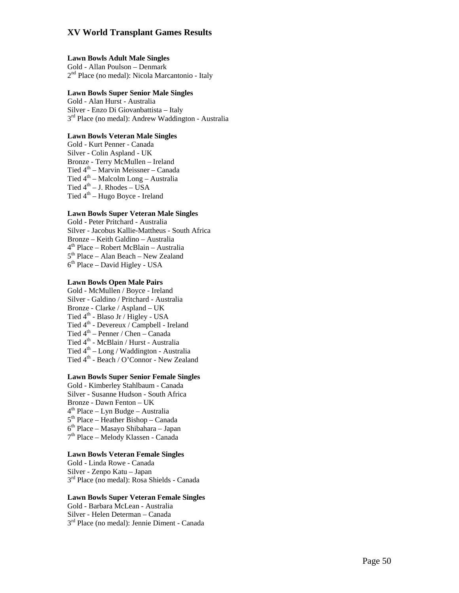### **Lawn Bowls Adult Male Singles**

Gold - Allan Poulson – Denmark<br> $2<sup>nd</sup>$  Place (no medal): Nicola Marcantonio - Italy

### **Lawn Bowls Super Senior Male Singles**

Gold - Alan Hurst - Australia Silver - Enzo Di Giovanbattista – Italy 3rd Place (no medal): Andrew Waddington - Australia

### **Lawn Bowls Veteran Male Singles**

Gold - Kurt Penner - Canada Silver - Colin Aspland - UK Bronze - Terry McMullen – Ireland Tied 4th – Marvin Meissner – Canada Tied  $4<sup>th</sup>$  – Malcolm Long – Australia Tied  $4<sup>th</sup> - J$ . Rhodes – USA Tied  $4<sup>th</sup>$  – Hugo Boyce - Ireland

### **Lawn Bowls Super Veteran Male Singles**

Gold - Peter Pritchard - Australia Silver - Jacobus Kallie-Mattheus - South Africa Bronze – Keith Galdino – Australia<br>4<sup>th</sup> Place – Robert McBlain – Australia<br>5<sup>th</sup> Place – Alan Beach – New Zealand<br>6<sup>th</sup> Place – David Higley - USA

### **Lawn Bowls Open Male Pairs**

Gold - McMullen / Boyce - Ireland Silver - Galdino / Pritchard - Australia Bronze - Clarke / Aspland – UK Tied 4<sup>th</sup> - Blaso Jr / Higley - USA Tied 4<sup>th</sup> - Devereux / Campbell - Ireland Tied $4^{\text{th}}$  – Penner / Chen – Canada Tied 4<sup>th</sup> - McBlain / Hurst - Australia Tied  $4<sup>th</sup> - Long / Waddington - Australia$ Tied  $4<sup>th</sup>$  - Beach / O'Connor - New Zealand

### **Lawn Bowls Super Senior Female Singles**

Gold - Kimberley Stahlbaum - Canada Silver - Susanne Hudson - South Africa Bronze - Dawn Fenton – UK<br>4<sup>th</sup> Place – Lyn Budge – Australia<br>5<sup>th</sup> Place – Heather Bishop – Canada<br>6<sup>th</sup> Place – Masayo Shibahara – Japan<br>7<sup>th</sup> Place – Melody Klassen - Canada

### **Lawn Bowls Veteran Female Singles**

Gold - Linda Rowe - Canada Silver - Zenpo Katu – Japan<br>3<sup>rd</sup> Place (no medal): Rosa Shields - Canada

### **Lawn Bowls Super Veteran Female Singles**

Gold - Barbara McLean - Australia Silver - Helen Determan – Canada 3rd Place (no medal): Jennie Diment - Canada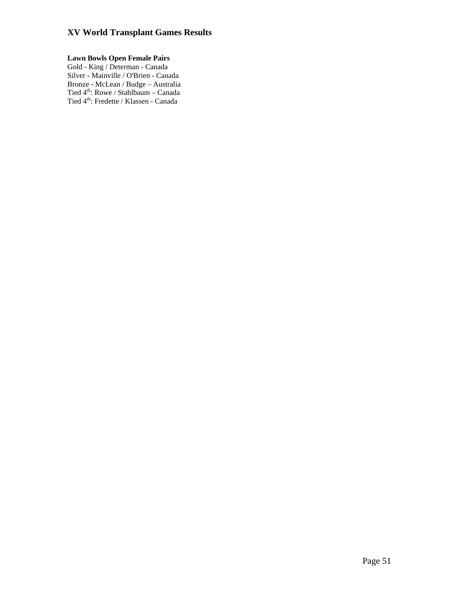# **Lawn Bowls Open Female Pairs**

Gold - King / Determan - Canada Silver - Mainville / O'Brien - Canada Bronze - McLean / Budge – Australia Tied 4<sup>th</sup>: Rowe / Stahlbaum – Canada Tied 4<sup>th</sup>: Fredette / Klassen - Canada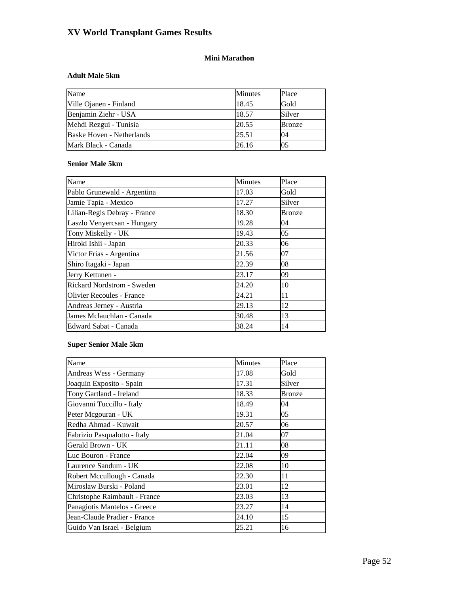# **Mini Marathon**

### **Adult Male 5km**

| Name                      | <b>Minutes</b> | Place         |
|---------------------------|----------------|---------------|
| Ville Ojanen - Finland    | 18.45          | Gold          |
| Benjamin Ziehr - USA      | 18.57          | Silver        |
| Mehdi Rezgui - Tunisia    | 20.55          | <b>Bronze</b> |
| Baske Hoven - Netherlands | 25.51          | 04            |
| Mark Black - Canada       | 26.16          | 05            |

## **Senior Male 5km**

| Name                             | Minutes | Place  |
|----------------------------------|---------|--------|
| Pablo Grunewald - Argentina      | 17.03   | Gold   |
| Jamie Tapia - Mexico             | 17.27   | Silver |
| Lilian-Regis Debray - France     | 18.30   | Bronze |
| Laszlo Venyercsan - Hungary      | 19.28   | 04     |
| Tony Miskelly - UK               | 19.43   | 05     |
| Hiroki Ishii - Japan             | 20.33   | 06     |
| Victor Frias - Argentina         | 21.56   | 07     |
| Shiro Itagaki - Japan            | 22.39   | 08     |
| Jerry Kettunen -                 | 23.17   | 09     |
| Rickard Nordstrom - Sweden       | 24.20   | 10     |
| <b>Olivier Recoules - France</b> | 24.21   | 11     |
| Andreas Jerney - Austria         | 29.13   | 12     |
| James Mclauchlan - Canada        | 30.48   | 13     |
| Edward Sabat - Canada            | 38.24   | 14     |

### **Super Senior Male 5km**

| Name                          | <b>Minutes</b> | Place  |
|-------------------------------|----------------|--------|
| Andreas Wess - Germany        | 17.08          | Gold   |
| Joaquin Exposito - Spain      | 17.31          | Silver |
| Tony Gartland - Ireland       | 18.33          | Bronze |
| Giovanni Tuccillo - Italy     | 18.49          | 04     |
| Peter Mcgouran - UK           | 19.31          | 05     |
| Redha Ahmad - Kuwait          | 20.57          | 06     |
| Fabrizio Pasqualotto - Italy  | 21.04          | 07     |
| Gerald Brown - UK             | 21.11          | 08     |
| Luc Bouron - France           | 22.04          | 09     |
| Laurence Sandum - UK          | 22.08          | 10     |
| Robert Mccullough - Canada    | 22.30          | 11     |
| Miroslaw Burski - Poland      | 23.01          | 12     |
| Christophe Raimbault - France | 23.03          | 13     |
| Panagiotis Mantelos - Greece  | 23.27          | 14     |
| Jean-Claude Pradier - France  | 24.10          | 15     |
| Guido Van Israel - Belgium    | 25.21          | 16     |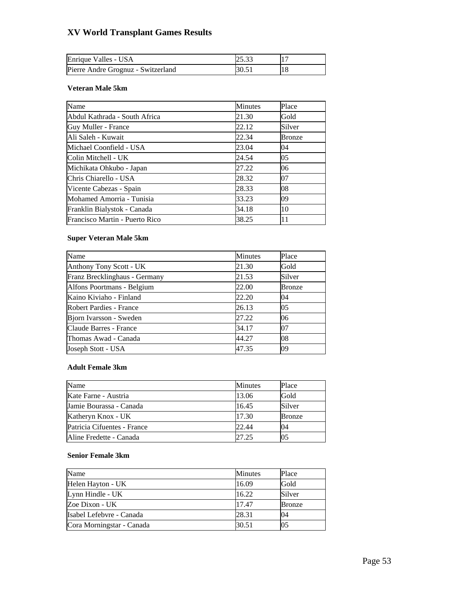| Enrique Valles - USA               |  |
|------------------------------------|--|
| Pierre Andre Grognuz - Switzerland |  |

### **Veteran Male 5km**

| Name                           | <b>Minutes</b> | Place  |
|--------------------------------|----------------|--------|
| Abdul Kathrada - South Africa  | 21.30          | Gold   |
| Guy Muller - France            | 22.12          | Silver |
| Ali Saleh - Kuwait             | 22.34          | Bronze |
| Michael Coonfield - USA        | 23.04          | 04     |
| Colin Mitchell - UK            | 24.54          | 05     |
| Michikata Ohkubo - Japan       | 27.22          | 06     |
| Chris Chiarello - USA          | 28.32          | 07     |
| Vicente Cabezas - Spain        | 28.33          | 08     |
| Mohamed Amorria - Tunisia      | 33.23          | 09     |
| Franklin Bialystok - Canada    | 34.18          | 10     |
| Francisco Martin - Puerto Rico | 38.25          | 11     |

### **Super Veteran Male 5km**

| Name                          | <b>Minutes</b> | Place         |
|-------------------------------|----------------|---------------|
| Anthony Tony Scott - UK       | 21.30          | Gold          |
| Franz Brecklinghaus - Germany | 21.53          | Silver        |
| Alfons Poortmans - Belgium    | 22.00          | <b>Bronze</b> |
| Kaino Kiviaho - Finland       | 22.20          | 04            |
| Robert Pardies - France       | 26.13          | 05            |
| Bjorn Ivarsson - Sweden       | 27.22          | 06            |
| Claude Barres - France        | 34.17          | 07            |
| Thomas Awad - Canada          | 44.27          | 108           |
| Joseph Stott - USA            | 47.35          | 09            |

# **Adult Female 3km**

| Name                        | <b>Minutes</b> | Place         |
|-----------------------------|----------------|---------------|
| Kate Farne - Austria        | 13.06          | Gold          |
| Jamie Bourassa - Canada     | 16.45          | Silver        |
| Katheryn Knox - UK          | 17.30          | <b>Bronze</b> |
| Patricia Cifuentes - France | 22.44          | 04            |
| Aline Fredette - Canada     | 27.25          |               |

### **Senior Female 3km**

| Name                      | Minutes | Place  |
|---------------------------|---------|--------|
| Helen Hayton - UK         | 16.09   | Gold   |
| Lynn Hindle - UK          | 16.22   | Silver |
| Zoe Dixon - UK            | 17.47   | Bronze |
| Isabel Lefebvre - Canada  | 28.31   | 04     |
| Cora Morningstar - Canada | 30.51   | 05     |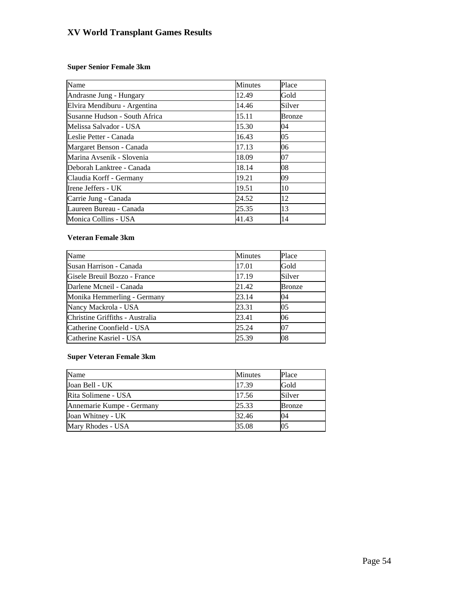### **Super Senior Female 3km**

| Name                          | <b>Minutes</b> | Place  |
|-------------------------------|----------------|--------|
| Andrasne Jung - Hungary       | 12.49          | Gold   |
| Elvira Mendiburu - Argentina  | 14.46          | Silver |
| Susanne Hudson - South Africa | 15.11          | Bronze |
| Melissa Salvador - USA        | 15.30          | 04     |
| Leslie Petter - Canada        | 16.43          | 05     |
| Margaret Benson - Canada      | 17.13          | 06     |
| Marina Avsenik - Slovenia     | 18.09          | 07     |
| Deborah Lanktree - Canada     | 18.14          | 08     |
| Claudia Korff - Germany       | 19.21          | 09     |
| Irene Jeffers - UK            | 19.51          | 10     |
| Carrie Jung - Canada          | 24.52          | 12     |
| Laureen Bureau - Canada       | 25.35          | 13     |
| Monica Collins - USA          | 41.43          | 14     |

### **Veteran Female 3km**

| Name                            | <b>Minutes</b> | Place          |
|---------------------------------|----------------|----------------|
| Susan Harrison - Canada         | 17.01          | Gold           |
| Gisele Breuil Bozzo - France    | 17.19          | Silver         |
| Darlene Mcneil - Canada         | 21.42          | Bronze         |
| Monika Hemmerling - Germany     | 23.14          | 04             |
| Nancy Mackrola - USA            | 23.31          | 0 <sub>5</sub> |
| Christine Griffiths - Australia | 23.41          | 06             |
| Catherine Coonfield - USA       | 25.24          | 07             |
| Catherine Kasriel - USA         | 25.39          | 108            |

### **Super Veteran Female 3km**

| Name                      | <b>Minutes</b> | Place  |
|---------------------------|----------------|--------|
| Joan Bell - UK            | 17.39          | Gold   |
| Rita Solimene - USA       | 17.56          | Silver |
| Annemarie Kumpe - Germany | 25.33          | Bronze |
| Joan Whitney - UK         | 32.46          | 04     |
| Mary Rhodes - USA         | 35.08          | 05     |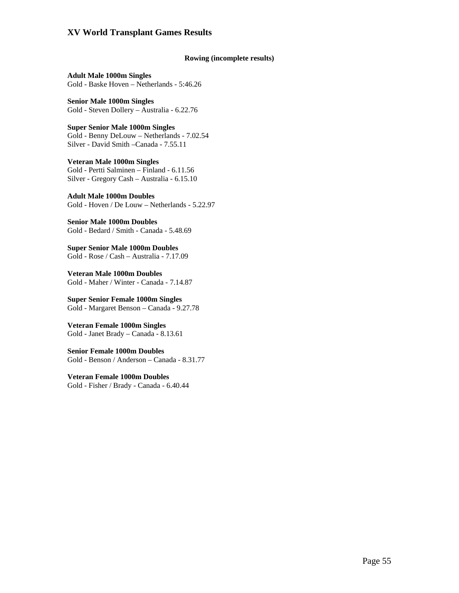### **Rowing (incomplete results)**

**Adult Male 1000m Singles**  Gold - Baske Hoven – Netherlands - 5:46.26

**Senior Male 1000m Singles**  Gold - Steven Dollery – Australia - 6.22.76

**Super Senior Male 1000m Singles**  Gold - Benny DeLouw – Netherlands - 7.02.54 Silver - David Smith –Canada - 7.55.11

**Veteran Male 1000m Singles**  Gold - Pertti Salminen – Finland - 6.11.56 Silver - Gregory Cash – Australia - 6.15.10

**Adult Male 1000m Doubles**  Gold - Hoven / De Louw – Netherlands - 5.22.97

**Senior Male 1000m Doubles**  Gold - Bedard / Smith - Canada - 5.48.69

**Super Senior Male 1000m Doubles**  Gold - Rose / Cash – Australia - 7.17.09

**Veteran Male 1000m Doubles**  Gold - Maher / Winter - Canada - 7.14.87

**Super Senior Female 1000m Singles**  Gold - Margaret Benson – Canada - 9.27.78

**Veteran Female 1000m Singles**  Gold - Janet Brady – Canada - 8.13.61

**Senior Female 1000m Doubles**  Gold - Benson / Anderson – Canada - 8.31.77

**Veteran Female 1000m Doubles**  Gold - Fisher / Brady - Canada - 6.40.44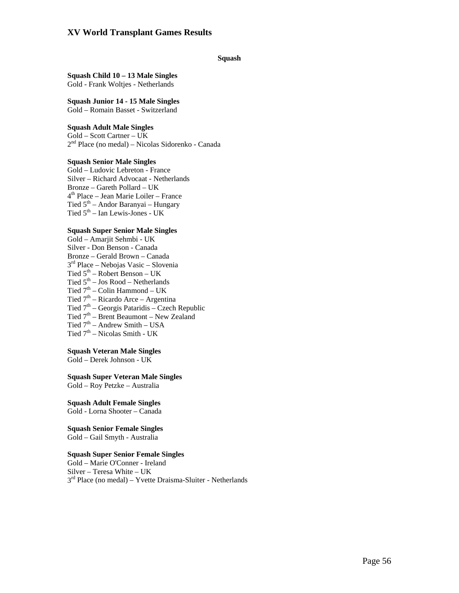### **Squash**

### **Squash Child 10 – 13 Male Singles**  Gold - Frank Woltjes - Netherlands

**Squash Junior 14 - 15 Male Singles**  Gold – Romain Basset - Switzerland

### **Squash Adult Male Singles**

Gold – Scott Cartner – UK 2nd Place (no medal) – Nicolas Sidorenko - Canada

### **Squash Senior Male Singles**

Gold – Ludovic Lebreton - France Silver – Richard Advocaat - Netherlands Bronze – Gareth Pollard – UK 4th Place – Jean Marie Loiler – France Tied  $5<sup>th</sup>$  – Andor Baranyai – Hungary Tied 5th – Ian Lewis-Jones - UK

### **Squash Super Senior Male Singles**

Gold – Amarjit Sehmbi - UK Silver - Don Benson - Canada Bronze – Gerald Brown – Canada 3rd Place – Nebojas Vasic – Slovenia Tied  $5<sup>th</sup>$  – Robert Benson – UK Tied  $5<sup>th</sup> - Jos Rood - Netherlands$ Tied  $7<sup>th</sup>$  – Colin Hammond – UK Tied  $7<sup>th</sup>$  – Ricardo Arce – Argentina Tied  $7<sup>th</sup>$  – Georgis Pataridis – Czech Republic Tied  $7<sup>th</sup>$  – Brent Beaumont – New Zealand Tied  $7<sup>th</sup>$  – Andrew Smith – USA Tied  $7<sup>th</sup>$  – Nicolas Smith - UK

### **Squash Veteran Male Singles**

Gold – Derek Johnson - UK

**Squash Super Veteran Male Singles** Gold – Roy Petzke – Australia

**Squash Adult Female Singles**  Gold - Lorna Shooter – Canada

#### **Squash Senior Female Singles**  Gold – Gail Smyth - Australia

### **Squash Super Senior Female Singles**

Gold – Marie O'Conner - Ireland Silver – Teresa White – UK  $3<sup>rd</sup>$  Place (no medal) – Yvette Draisma-Sluiter - Netherlands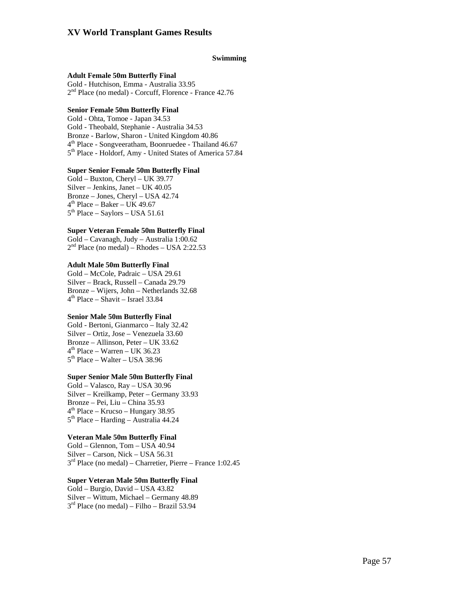### **Swimming**

#### **Adult Female 50m Butterfly Final**

Gold - Hutchison, Emma - Australia 33.95  $2<sup>nd</sup>$  Place (no medal) - Corcuff, Florence - France 42.76

### **Senior Female 50m Butterfly Final**

Gold - Ohta, Tomoe - Japan 34.53 Gold - Theobald, Stephanie - Australia 34.53 Bronze - Barlow, Sharon - United Kingdom 40.86  $4<sup>th</sup>$  Place - Songveeratham, Boonruedee - Thailand 46.67 5<sup>th</sup> Place - Holdorf, Amy - United States of America 57.84

### **Super Senior Female 50m Butterfly Final**

Gold – Buxton, Cheryl – UK 39.77 Silver – Jenkins, Janet – UK 40.05 Bronze – Jones, Cheryl – USA 42.74  $4<sup>th</sup>$  Place – Baker – UK 49.67  $5<sup>th</sup> Place - Savlors - USA 51.61$ 

### **Super Veteran Female 50m Butterfly Final**

Gold – Cavanagh, Judy – Australia 1:00.62  $2<sup>nd</sup> Place (no medal) – Rhodes – USA 2:22.53$ 

### **Adult Male 50m Butterfly Final**

Gold – McCole, Padraic – USA 29.61 Silver – Brack, Russell – Canada 29.79 Bronze – Wijers, John – Netherlands 32.68  $4<sup>th</sup>$  Place – Shavit – Israel 33.84

#### **Senior Male 50m Butterfly Final**

Gold - Bertoni, Gianmarco – Italy 32.42 Silver – Ortiz, Jose – Venezuela 33.60 Bronze – Allinson, Peter – UK 33.62  $4<sup>th</sup>$  Place – Warren – UK 36.23  $5<sup>th</sup> Place - Walter - USA 38.96$ 

### **Super Senior Male 50m Butterfly Final**

Gold – Valasco, Ray – USA 30.96 Silver – Kreilkamp, Peter – Germany 33.93 Bronze – Pei, Liu – China 35.93  $4<sup>th</sup>$  Place – Krucso – Hungary 38.95 5th Place – Harding – Australia 44.24

### **Veteran Male 50m Butterfly Final**

Gold – Glennon, Tom – USA 40.94 Silver – Carson, Nick – USA 56.31  $3<sup>rd</sup>$  Place (no medal) – Charretier, Pierre – France 1:02.45

### **Super Veteran Male 50m Butterfly Final**

Gold – Burgio, David – USA 43.82 Silver – Wittum, Michael – Germany 48.89  $3<sup>rd</sup>$  Place (no medal) – Filho – Brazil 53.94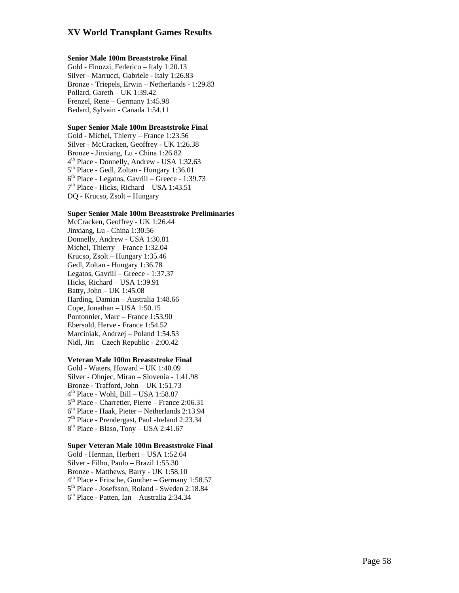### **Senior Male 100m Breaststroke Final**

Gold - Finozzi, Federico – Italy 1:20.13 Silver - Marrucci, Gabriele - Italy 1:26.83 Bronze - Triepels, Erwin – Netherlands - 1:29.83 Pollard, Gareth – UK 1:39.42 Frenzel, Rene – Germany 1:45.98 Bedard, Sylvain - Canada 1:54.11

### **Super Senior Male 100m Breaststroke Final**

Gold - Michel, Thierry – France 1:23.56 Silver - McCracken, Geoffrey - UK 1:26.38 Bronze - Jinxiang, Lu - China 1:26.82<br>  $4^{\text{th}}$  Place - Donnelly, Andrew - USA 1:32.63<br>  $5^{\text{th}}$  Place - Gedl, Zoltan - Hungary 1:36.01<br>  $6^{\text{th}}$  Place - Legatos, Gavriil – Greece - 1:39.73<br>  $7^{\text{th}}$  Place - Hicks, Ri DQ - Krucso, Zsolt – Hungary

### **Super Senior Male 100m Breaststroke Preliminaries**

McCracken, Geoffrey - UK 1:26.44 Jinxiang, Lu - China 1:30.56 Donnelly, Andrew - USA 1:30.81 Michel, Thierry – France 1:32.04 Krucso, Zsolt – Hungary 1:35.46 Gedl, Zoltan - Hungary 1:36.78 Legatos, Gavriil – Greece - 1:37.37 Hicks, Richard – USA 1:39.91 Batty, John – UK 1:45.08 Harding, Damian – Australia 1:48.66 Cope, Jonathan – USA 1:50.15 Pontonnier, Marc – France 1:53.90 Ebersold, Herve - France 1:54.52 Marciniak, Andrzej – Poland 1:54.53 Nidl, Jiri – Czech Republic - 2:00.42

### **Veteran Male 100m Breaststroke Final**

Gold - Waters, Howard – UK 1:40.09 Silver - Ohnjec, Miran – Slovenia - 1:41.98 Bronze - Trafford, John - UK 1:51.73<br>  $4^{\text{th}}$  Place - Wohl, Bill - USA 1:58.87<br>  $5^{\text{th}}$  Place - Charretier, Pierre - France 2:06.31<br>  $6^{\text{th}}$  Place - Haak, Pieter - Netherlands 2:13.94<br>  $7^{\text{th}}$  Place - Prendergast,

### **Super Veteran Male 100m Breaststroke Final**

Gold - Herman, Herbert – USA 1:52.64 Silver - Filho, Paulo – Brazil 1:55.30 Bronze - Matthews, Barry - UK 1:58.10<br>  $4<sup>th</sup>$  Place - Fritsche, Gunther – Germany 1:58.57<br>  $5<sup>th</sup>$  Place - Josefsson, Roland - Sweden 2:18.84<br>  $6<sup>th</sup>$  Place - Patten, Ian – Australia 2:34.34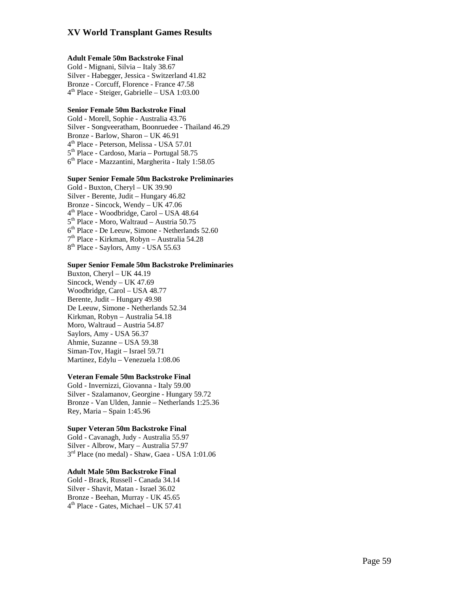### **Adult Female 50m Backstroke Final**

Gold - Mignani, Silvia – Italy 38.67 Silver - Habegger, Jessica - Switzerland 41.82 Bronze - Corcuff, Florence - France 47.58<br>4<sup>th</sup> Place - Steiger, Gabrielle – USA 1:03.00

### **Senior Female 50m Backstroke Final**

Gold - Morell, Sophie - Australia 43.76 Silver - Songveeratham, Boonruedee - Thailand 46.29  $4<sup>th</sup>$  Place - Peterson, Melissa - USA 57.01<br> $5<sup>th</sup>$  Place - Cardoso, Maria – Portugal 58.75  $6<sup>th</sup>$  Place - Mazzantini, Margherita - Italy 1:58.05

### **Super Senior Female 50m Backstroke Preliminaries**

Gold - Buxton, Cheryl – UK 39.90 Silver - Berente, Judit – Hungary 46.82 Bronze - Sincock, Wendy – UK 47.06<br>  $4^{\text{th}}$  Place - Woodbridge, Carol – USA 48.64<br>  $5^{\text{th}}$  Place - Moro, Waltraud – Austria 50.75<br>  $6^{\text{th}}$  Place - De Leeuw, Simone - Netherlands 52.60<br>  $7^{\text{th}}$  Place - Kirkman, Rob

### **Super Senior Female 50m Backstroke Preliminaries**

Buxton, Cheryl – UK 44.19 Sincock, Wendy – UK 47.69 Woodbridge, Carol – USA 48.77 Berente, Judit – Hungary 49.98 De Leeuw, Simone - Netherlands 52.34 Kirkman, Robyn – Australia 54.18 Moro, Waltraud – Austria 54.87 Saylors, Amy - USA 56.37 Ahmie, Suzanne – USA 59.38 Siman-Tov, Hagit – Israel 59.71 Martinez, Edylu – Venezuela 1:08.06

### **Veteran Female 50m Backstroke Final**

Gold - Invernizzi, Giovanna - Italy 59.00 Silver - Szalamanov, Georgine - Hungary 59.72 Bronze - Van Ulden, Jannie – Netherlands 1:25.36 Rey, Maria – Spain 1:45.96

### **Super Veteran 50m Backstroke Final**

Gold - Cavanagh, Judy - Australia 55.97 Silver - Albrow, Mary – Australia 57.97<br> $3<sup>rd</sup>$  Place (no medal) - Shaw, Gaea - USA 1:01.06

### **Adult Male 50m Backstroke Final**

Gold - Brack, Russell - Canada 34.14 Silver - Shavit, Matan - Israel 36.02 Bronze - Beehan, Murray - UK 45.65<br>4<sup>th</sup> Place - Gates, Michael – UK 57.41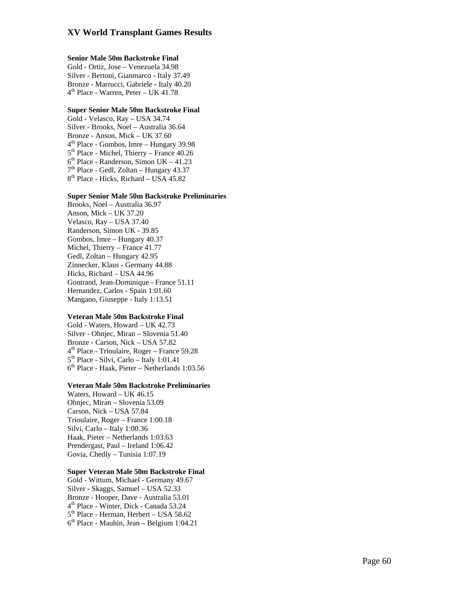### **Senior Male 50m Backstroke Final**

Gold - Ortiz, Jose – Venezuela 34.98 Silver - Bertoni, Gianmarco - Italy 37.49 Bronze - Marrucci, Gabriele - Italy 40.20<br>4<sup>th</sup> Place - Warren, Peter – UK 41.78

### **Super Senior Male 50m Backstroke Final**

Gold - Velasco, Ray – USA 34.74 Silver - Brooks, Noel – Australia 36.64 Bronze - Anson, Mick – UK 37.60<br>  $4^{\text{th}}$  Place - Gombos, Imre – Hungary 39.98<br>  $5^{\text{th}}$  Place - Michel, Thierry – France 40.26<br>  $6^{\text{th}}$  Place - Randerson, Simon UK – 41.23<br>  $7^{\text{th}}$  Place - Gedl, Zoltan – Hungary 43

### **Super Senior Male 50m Backstroke Preliminaries**

Brooks, Noel – Australia 36.97 Anson, Mick – UK 37.20 Velasco, Ray – USA 37.40 Randerson, Simon UK - 39.85 Gombos, Imre – Hungary 40.37 Michel, Thierry – France 41.77 Gedl, Zoltan – Hungary 42.95 Zinnecker, Klaus - Germany 44.88 Hicks, Richard – USA 44.96 Gontrand, Jean-Dominique - France 51.11 Hernandez, Carlos - Spain 1:01.60 Mangano, Giuseppe - Italy 1:13.51

### **Veteran Male 50m Backstroke Final**

Gold - Waters, Howard – UK 42.73 Silver - Ohnjec, Miran – Slovenia 51.40 Bronze - Carson, Nick – USA 57.82<br>  $4<sup>th</sup>$  Place - Trioulaire, Roger – France 59.28<br>  $5<sup>th</sup>$  Place - Silvi, Carlo – Italy 1:01.41<br>  $6<sup>th</sup>$  Place - Haak, Pieter – Netherlands 1:03.56

#### **Veteran Male 50m Backstroke Preliminaries**

Waters, Howard – UK 46.15 Ohnjec, Miran – Slovenia 53.09 Carson, Nick – USA 57.84 Trioulaire, Roger – France 1:00.18 Silvi, Carlo – Italy 1:00.36 Haak, Pieter – Netherlands 1:03.63 Prendergast, Paul – Ireland 1:06.42 Govia, Chedly – Tunisia 1:07.19

### **Super Veteran Male 50m Backstroke Final**

Gold - Wittum, Michael - Germany 49.67 Silver - Skaggs, Samuel – USA 52.33 Bronze - Hooper, Dave - Australia 53.01<br>4<sup>th</sup> Place - Winter, Dick - Canada 53.24<br>5<sup>th</sup> Place - Herman, Herbert – USA 58.62<br>6<sup>th</sup> Place - Mauhin, Jean – Belgium 1:04.21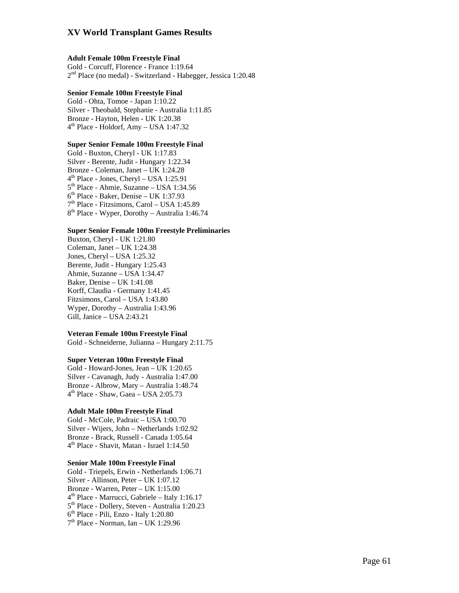### **Adult Female 100m Freestyle Final**

Gold - Corcuff, Florence - France 1:19.64  $2<sup>nd</sup>$  Place (no medal) - Switzerland - Habegger, Jessica 1:20.48

### **Senior Female 100m Freestyle Final**

Gold - Ohta, Tomoe - Japan 1:10.22 Silver - Theobald, Stephanie - Australia 1:11.85 Bronze - Hayton, Helen - UK 1:20.38  $4<sup>th</sup>$  Place - Holdorf, Amy – USA 1:47.32

### **Super Senior Female 100m Freestyle Final**

Gold - Buxton, Cheryl - UK 1:17.83 Silver - Berente, Judit - Hungary 1:22.34 Bronze - Coleman, Janet – UK 1:24.28 4th Place - Jones, Cheryl – USA 1:25.91 5th Place - Ahmie, Suzanne – USA 1:34.56  $6<sup>th</sup>$  Place - Baker, Denise – UK 1:37.93 7th Place - Fitzsimons, Carol – USA 1:45.89 8<sup>th</sup> Place - Wyper, Dorothy – Australia 1:46.74

### **Super Senior Female 100m Freestyle Preliminaries**

Buxton, Cheryl - UK 1:21.80 Coleman, Janet – UK 1:24.38 Jones, Cheryl – USA 1:25.32 Berente, Judit - Hungary 1:25.43 Ahmie, Suzanne – USA 1:34.47 Baker, Denise – UK 1:41.08 Korff, Claudia - Germany 1:41.45 Fitzsimons, Carol – USA 1:43.80 Wyper, Dorothy – Australia 1:43.96 Gill, Janice – USA 2:43.21

### **Veteran Female 100m Freestyle Final**

Gold - Schneiderne, Julianna – Hungary 2:11.75

### **Super Veteran 100m Freestyle Final**

Gold - Howard-Jones, Jean – UK 1:20.65 Silver - Cavanagh, Judy - Australia 1:47.00 Bronze - Albrow, Mary – Australia 1:48.74  $4<sup>th</sup>$  Place - Shaw, Gaea - USA 2:05.73

### **Adult Male 100m Freestyle Final**

Gold - McCole, Padraic – USA 1:00.70 Silver - Wijers, John – Netherlands 1:02.92 Bronze - Brack, Russell - Canada 1:05.64 4th Place - Shavit, Matan - Israel 1:14.50

### **Senior Male 100m Freestyle Final**

Gold - Triepels, Erwin - Netherlands 1:06.71 Silver - Allinson, Peter – UK 1:07.12 Bronze - Warren, Peter – UK 1:15.00 4th Place - Marrucci, Gabriele – Italy 1:16.17 5<sup>th</sup> Place - Dollery, Steven - Australia 1:20.23 6th Place - Pili, Enzo - Italy 1:20.80  $7<sup>th</sup>$  Place - Norman, Ian – UK 1:29.96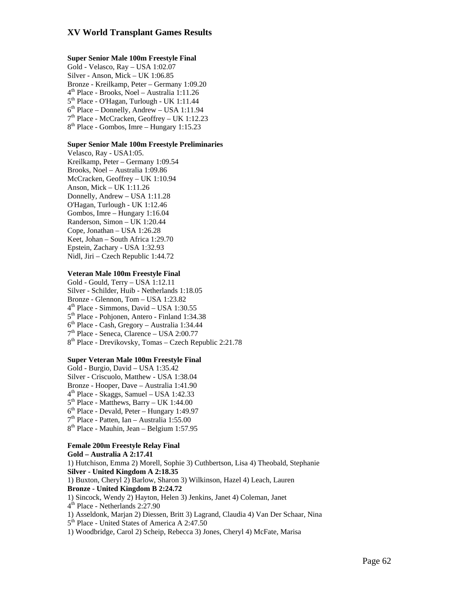### **Super Senior Male 100m Freestyle Final**

Gold - Velasco, Ray – USA 1:02.07 Silver - Anson, Mick – UK 1:06.85 Bronze - Kreilkamp, Peter – Germany 1:09.20 4th Place - Brooks, Noel – Australia 1:11.26  $5<sup>th</sup>$  Place - O'Hagan, Turlough - UK 1:11.44  $6<sup>th</sup> Place – Donnelly, Andrew – USA 1:11.94$ 7th Place - McCracken, Geoffrey – UK 1:12.23 8<sup>th</sup> Place - Gombos, Imre – Hungary 1:15.23

### **Super Senior Male 100m Freestyle Preliminaries**

Velasco, Ray - USA1:05. Kreilkamp, Peter – Germany 1:09.54 Brooks, Noel – Australia 1:09.86 McCracken, Geoffrey – UK 1:10.94 Anson, Mick – UK 1:11.26 Donnelly, Andrew – USA 1:11.28 O'Hagan, Turlough - UK 1:12.46 Gombos, Imre – Hungary 1:16.04 Randerson, Simon – UK 1:20.44 Cope, Jonathan – USA 1:26.28 Keet, Johan – South Africa 1:29.70 Epstein, Zachary - USA 1:32.93 Nidl, Jiri – Czech Republic 1:44.72

### **Veteran Male 100m Freestyle Final**

Gold - Gould, Terry – USA 1:12.11 Silver - Schilder, Huib - Netherlands 1:18.05 Bronze - Glennon, Tom – USA 1:23.82 4th Place - Simmons, David – USA 1:30.55 5<sup>th</sup> Place - Pohjonen, Antero - Finland 1:34.38 6th Place - Cash, Gregory – Australia 1:34.44 7th Place - Seneca, Clarence – USA 2:00.77 8<sup>th</sup> Place - Drevikovsky, Tomas – Czech Republic 2:21.78

### **Super Veteran Male 100m Freestyle Final**

Gold - Burgio, David – USA 1:35.42 Silver - Criscuolo, Matthew - USA 1:38.04 Bronze - Hooper, Dave – Australia 1:41.90 4th Place - Skaggs, Samuel – USA 1:42.33  $5<sup>th</sup>$  Place - Matthews, Barry – UK 1:44.00  $6<sup>th</sup>$  Place - Devald, Peter – Hungary 1:49.97 7th Place - Patten, Ian – Australia 1:55.00 8<sup>th</sup> Place - Mauhin, Jean – Belgium 1:57.95

### **Female 200m Freestyle Relay Final**

**Gold – Australia A 2:17.41**  1) Hutchison, Emma 2) Morell, Sophie 3) Cuthbertson, Lisa 4) Theobald, Stephanie **Silver - United Kingdom A 2:18.35**  1) Buxton, Cheryl 2) Barlow, Sharon 3) Wilkinson, Hazel 4) Leach, Lauren **Bronze - United Kingdom B 2:24.72**  1) Sincock, Wendy 2) Hayton, Helen 3) Jenkins, Janet 4) Coleman, Janet 4th Place - Netherlands 2:27.90 1) Asseldonk, Marjan 2) Diessen, Britt 3) Lagrand, Claudia 4) Van Der Schaar, Nina 5<sup>th</sup> Place - United States of America A 2:47.50 1) Woodbridge, Carol 2) Scheip, Rebecca 3) Jones, Cheryl 4) McFate, Marisa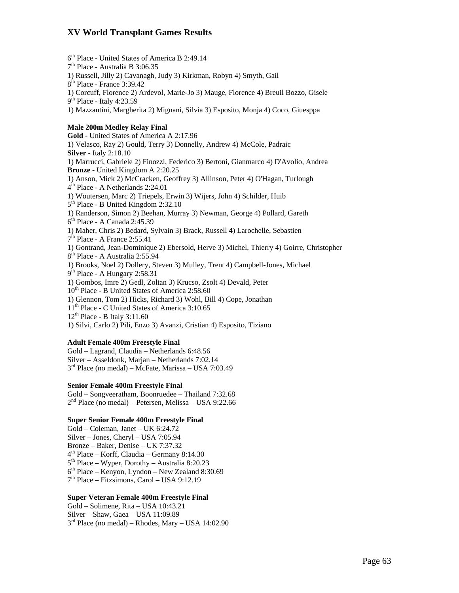6th Place - United States of America B 2:49.14

7th Place - Australia B 3:06.35 1) Russell, Jilly 2) Cavanagh, Judy 3) Kirkman, Robyn 4) Smyth, Gail 8th Place - France 3:39.42 1) Corcuff, Florence 2) Ardevol, Marie-Jo 3) Mauge, Florence 4) Breuil Bozzo, Gisele  $9<sup>th</sup>$  Place - Italy 4:23.59 1) Mazzantini, Margherita 2) Mignani, Silvia 3) Esposito, Monja 4) Coco, Giuesppa **Male 200m Medley Relay Final Gold** - United States of America A 2:17.96 1) Velasco, Ray 2) Gould, Terry 3) Donnelly, Andrew 4) McCole, Padraic **Silver** - Italy 2:18.10 1) Marrucci, Gabriele 2) Finozzi, Federico 3) Bertoni, Gianmarco 4) D'Avolio, Andrea **Bronze** - United Kingdom A 2:20.25 1) Anson, Mick 2) McCracken, Geoffrey 3) Allinson, Peter 4) O'Hagan, Turlough 4<sup>th</sup> Place - A Netherlands 2:24.01 1) Woutersen, Marc 2) Triepels, Erwin 3) Wijers, John 4) Schilder, Huib 5<sup>th</sup> Place - B United Kingdom 2:32.10 1) Randerson, Simon 2) Beehan, Murray 3) Newman, George 4) Pollard, Gareth 6th Place - A Canada 2:45.39 1) Maher, Chris 2) Bedard, Sylvain 3) Brack, Russell 4) Larochelle, Sebastien 7th Place - A France 2:55.41 1) Gontrand, Jean-Dominique 2) Ebersold, Herve 3) Michel, Thierry 4) Goirre, Christopher 8<sup>th</sup> Place - A Australia 2:55.94 1) Brooks, Noel 2) Dollery, Steven 3) Mulley, Trent 4) Campbell-Jones, Michael  $9<sup>th</sup>$  Place - A Hungary 2:58.31 1) Gombos, Imre 2) Gedl, Zoltan 3) Krucso, Zsolt 4) Devald, Peter  $10^{th}$  Place - B United States of America 2:58.60 1) Glennon, Tom 2) Hicks, Richard 3) Wohl, Bill 4) Cope, Jonathan 11<sup>th</sup> Place - C United States of America 3:10.65  $12<sup>th</sup>$  Place - B Italy 3:11.60 1) Silvi, Carlo 2) Pili, Enzo 3) Avanzi, Cristian 4) Esposito, Tiziano

### **Adult Female 400m Freestyle Final**

Gold – Lagrand, Claudia – Netherlands 6:48.56 Silver – Asseldonk, Marjan – Netherlands 7:02.14  $3<sup>rd</sup>$  Place (no medal) – McFate, Marissa – USA 7:03.49

### **Senior Female 400m Freestyle Final**

Gold – Songveeratham, Boonruedee – Thailand 7:32.68  $2<sup>nd</sup>$  Place (no medal) – Petersen, Melissa – USA 9:22.66

### **Super Senior Female 400m Freestyle Final**

Gold – Coleman, Janet – UK 6:24.72 Silver – Jones, Cheryl – USA 7:05.94 Bronze – Baker, Denise – UK 7:37.32 4th Place – Korff, Claudia – Germany 8:14.30  $5<sup>th</sup> Place - Wyper, Dorothy - Australia 8:20.23$  $6<sup>th</sup> Place - Kenyon, Lyndon - New Zealand 8:30.69$  $7<sup>th</sup>$  Place – Fitzsimons, Carol – USA 9:12.19

### **Super Veteran Female 400m Freestyle Final**

Gold – Solimene, Rita – USA 10:43.21 Silver – Shaw, Gaea – USA 11:09.89  $3<sup>rd</sup>$  Place (no medal) – Rhodes, Mary – USA 14:02.90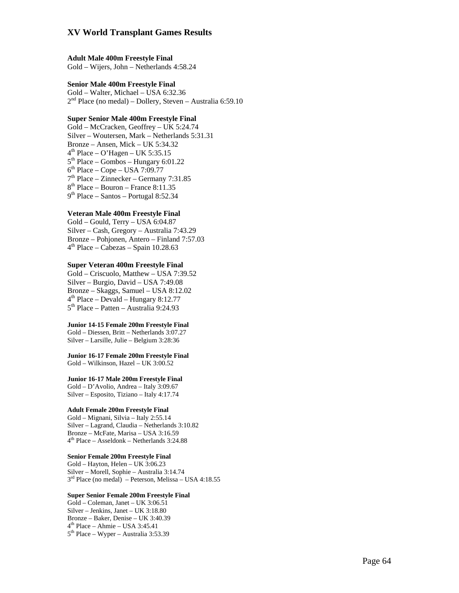### **Adult Male 400m Freestyle Final**

Gold – Wijers, John – Netherlands 4:58.24

### **Senior Male 400m Freestyle Final**

Gold – Walter, Michael – USA 6:32.36<br>2<sup>nd</sup> Place (no medal) – Dollery, Steven – Australia 6:59.10

### **Super Senior Male 400m Freestyle Final**

Gold – McCracken, Geoffrey – UK 5:24.74 Silver – Woutersen, Mark – Netherlands 5:31.31 Bronze – Ansen, Mick – UK 5:34.32<br>  $4^{\text{th}}$  Place – O'Hagen – UK 5:35.15<br>  $5^{\text{th}}$  Place – Gombos – Hungary 6:01.22<br>  $6^{\text{th}}$  Place – Cope – USA 7:09.77<br>  $7^{\text{th}}$  Place – Zinnecker – Germany 7:31.85<br>  $8^{\text{th}}$  Place –

#### **Veteran Male 400m Freestyle Final**

Gold – Gould, Terry – USA 6:04.87 Silver – Cash, Gregory – Australia 7:43.29 Bronze – Pohjonen, Antero – Finland 7:57.03<br> $4<sup>th</sup>$  Place – Cabezas – Spain 10.28.63

#### **Super Veteran 400m Freestyle Final**

Gold – Criscuolo, Matthew – USA 7:39.52 Silver – Burgio, David – USA 7:49.08 Bronze – Skaggs, Samuel – USA 8:12.02<br> $4<sup>th</sup>$  Place – Devald – Hungary 8:12.77<br> $5<sup>th</sup>$  Place – Patten – Australia 9:24.93

#### **Junior 14-15 Female 200m Freestyle Final**

Gold – Diessen, Britt – Netherlands 3:07.27 Silver – Larsille, Julie – Belgium 3:28:36

**Junior 16-17 Female 200m Freestyle Final**  Gold – Wilkinson, Hazel – UK 3:00.52

#### **Junior 16-17 Male 200m Freestyle Final**

Gold – D'Avolio, Andrea – Italy 3:09.67 Silver – Esposito, Tiziano – Italy 4:17.74

### **Adult Female 200m Freestyle Final**

Gold – Mignani, Silvia – Italy 2:55.14 Silver – Lagrand, Claudia – Netherlands 3:10.82 Bronze – McFate, Marisa – USA 3:16.59 4th Place – Asseldonk – Netherlands 3:24.88

### **Senior Female 200m Freestyle Final**

Gold – Hayton, Helen – UK 3:06.23 Silver – Morell, Sophie – Australia 3:14.74<br>3<sup>rd</sup> Place (no medal) – Peterson, Melissa – USA 4:18.55

### **Super Senior Female 200m Freestyle Final**

Gold – Coleman, Janet – UK 3:06.51 Silver – Jenkins, Janet – UK 3:18.80<br>Bronze – Baker, Denise – UK 3:40.39  $4<sup>th</sup>$  Place – Ahmie – USA 3:45.41<br> $5<sup>th</sup>$  Place – Wyper – Australia 3:53.39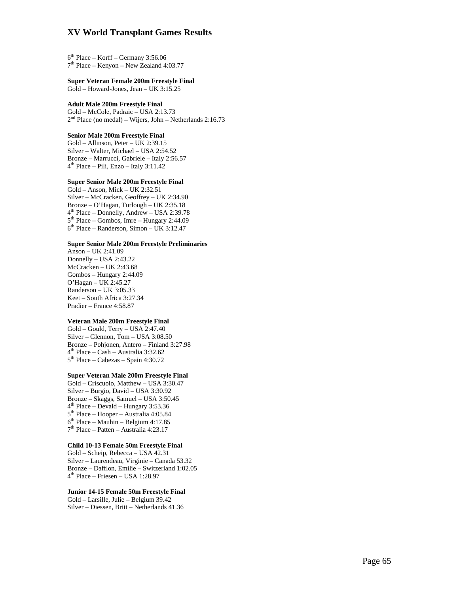$6<sup>th</sup> Place - Korff - Germany 3:56.06$ <br>  $7<sup>th</sup> Place - Kenyon - New Zealand 4:03.77$ 

### **Super Veteran Female 200m Freestyle Final**

Gold – Howard-Jones, Jean – UK 3:15.25

# **Adult Male 200m Freestyle Final**

 $2<sup>nd</sup> Place (no medal) – Wijers, John – Netherlands 2:16.73$ 

#### **Senior Male 200m Freestyle Final**

Gold – Allinson, Peter – UK 2:39.15 Silver – Walter, Michael – USA 2:54.52 Bronze – Marrucci, Gabriele – Italy 2:56.57<br> $4<sup>th</sup>$  Place – Pili, Enzo – Italy 3:11.42

#### **Super Senior Male 200m Freestyle Final**

Gold – Anson, Mick – UK 2:32.51 Silver – McCracken, Geoffrey – UK 2:34.90 Bronze – O'Hagan, Turlough – UK 2:35.18<br>  $4<sup>th</sup> Place$  – Donnelly, Andrew – USA 2:39.78<br>  $5<sup>th</sup> Place$  – Gombos, Imre – Hungary 2:44.09<br>  $6<sup>th</sup> Place$  – Randerson, Simon – UK 3:12.47

### **Super Senior Male 200m Freestyle Preliminaries**

Anson – UK 2:41.09 Donnelly – USA 2:43.22 McCracken – UK 2:43.68 Gombos – Hungary 2:44.09 O'Hagan – UK 2:45.27 Randerson – UK 3:05.33 Keet – South Africa 3:27.34 Pradier – France 4:58.87

### **Veteran Male 200m Freestyle Final**

Gold – Gould, Terry – USA 2:47.40 Silver – Glennon, Tom – USA 3:08.50 Bronze – Pohjonen, Antero – Finland 3:27.98<br>  $4<sup>th</sup> Place - Cash - Australia 3:32.62$ <br>  $5<sup>th</sup> Place - Cabezas - Spain 4:30.72$ 

#### **Super Veteran Male 200m Freestyle Final**

Gold – Criscuolo, Matthew – USA 3:30.47 Silver – Burgio, David – USA 3:30.92 Bronze – Skaggs, Samuel – USA 3:50.45<br>  $4<sup>th</sup> Place - Devald - Hungary 3:53.36$ <br>  $5<sup>th</sup> Place - Hooper - Australia 4:05.84$ <br>  $6<sup>th</sup> Place - Mauhin - Belgium 4:17.85$ <br>  $7<sup>th</sup> Place - Pattern - Australia 4:23.17$ 

### **Child 10-13 Female 50m Freestyle Final**

Gold – Scheip, Rebecca – USA 42.31 Silver – Laurendeau, Virginie – Canada 53.32 Bronze – Dafflon, Emilie – Switzerland 1:02.05<br> $4<sup>th</sup>$  Place – Friesen – USA 1:28.97

#### **Junior 14-15 Female 50m Freestyle Final**

Gold – Larsille, Julie – Belgium 39.42 Silver – Diessen, Britt – Netherlands 41.36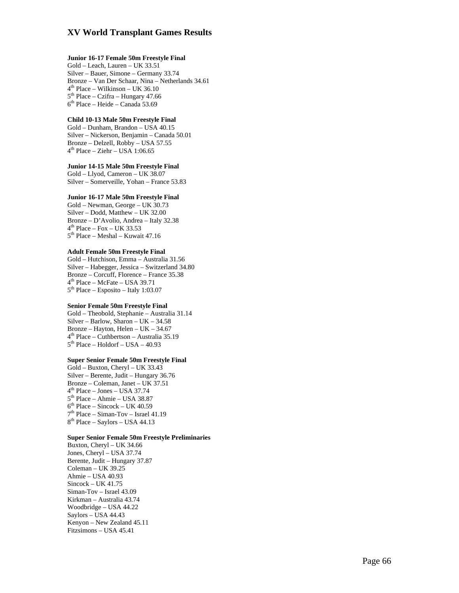### **Junior 16-17 Female 50m Freestyle Final**

Gold – Leach, Lauren – UK 33.51 Silver – Bauer, Simone – Germany 33.74 Bronze – Van Der Schaar, Nina – Netherlands 34.61<br>  $4<sup>th</sup>$  Place – Wilkinson – UK 36.10<br>  $5<sup>th</sup>$  Place – Czifra – Hungary 47.66<br>  $6<sup>th</sup>$  Place – Heide – Canada 53.69

#### **Child 10-13 Male 50m Freestyle Final**

Gold – Dunham, Brandon – USA 40.15 Silver – Nickerson, Benjamin – Canada 50.01 Bronze – Delzell, Robby – USA 57.55<br> $4<sup>th</sup>$  Place – Ziehr – USA 1:06.65

#### **Junior 14-15 Male 50m Freestyle Final**

Gold – Llyod, Cameron – UK 38.07 Silver – Somerveille, Yohan – France 53.83

#### **Junior 16-17 Male 50m Freestyle Final**

Gold – Newman, George – UK 30.73 Silver – Dodd, Matthew – UK 32.00 Bronze – D'Avolio, Andrea – Italy 32.38<br>  $4<sup>th</sup>$  Place – Fox – UK 33.53<br>  $5<sup>th</sup>$  Place – Meshal – Kuwait 47.16

### **Adult Female 50m Freestyle Final**

Gold – Hutchison, Emma – Australia 31.56 Silver – Habegger, Jessica – Switzerland 34.80 Bronze – Corcuff, Florence – France 35.38<br>  $4<sup>th</sup>$  Place – McFate – USA 39.71<br>  $5<sup>th</sup>$  Place – Esposito – Italy 1:03.07

#### **Senior Female 50m Freestyle Final**

Gold – Theobold, Stephanie – Australia 31.14 Silver – Barlow, Sharon – UK – 34.58<br>Bronze – Hayton, Helen – UK – 34.67  $4<sup>th</sup> Place - Cuthbertson - Australia 35.19$ <br> $5<sup>th</sup> Place - Holdorf - USA - 40.93$ 

#### **Super Senior Female 50m Freestyle Final**

Gold – Buxton, Cheryl – UK 33.43 Silver – Berente, Judit – Hungary 36.76 Bronze – Coleman, Janet – UK 37.51<br>  $4<sup>th</sup>$  Place – Jones – USA 37.74<br>  $5<sup>th</sup>$  Place – Ahmie – USA 38.87<br>  $6<sup>th</sup>$  Place – Siman-Tov – Israel 41.19<br>  $8<sup>th</sup>$  Place – Saylors – USA 44.13

#### **Super Senior Female 50m Freestyle Preliminaries**

Buxton, Cheryl – UK 34.66 Jones, Cheryl – USA 37.74 Berente, Judit – Hungary 37.87 Coleman – UK 39.25 Ahmie – USA 40.93 Sincock – UK 41.75 Siman-Tov – Israel 43.09 Kirkman – Australia 43.74 Woodbridge – USA 44.22 Saylors – USA 44.43 Kenyon – New Zealand 45.11 Fitzsimons – USA 45.41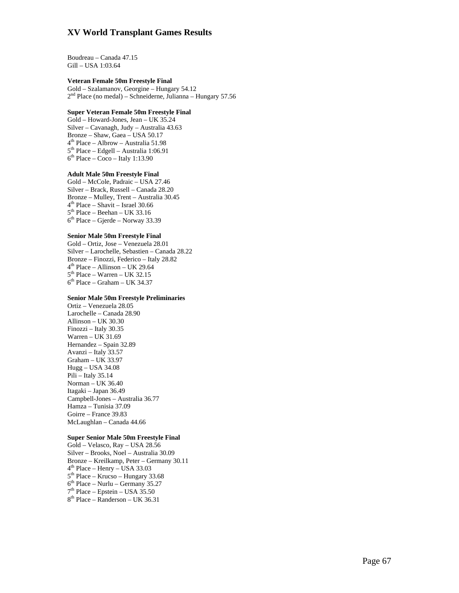Boudreau – Canada 47.15 Gill – USA 1:03.64

#### **Veteran Female 50m Freestyle Final**

Gold – Szalamanov, Georgine – Hungary 54.12  $2<sup>nd</sup>$  Place (no medal) – Schneiderne, Julianna – Hungary 57.56

### **Super Veteran Female 50m Freestyle Final**

Gold – Howard-Jones, Jean – UK 35.24 Silver – Cavanagh, Judy – Australia 43.63 Bronze – Shaw, Gaea – USA 50.17 4th Place – Albrow – Australia 51.98 5<sup>th</sup> Place – Edgell – Australia 1:06.91  $6<sup>th</sup> Place – Coco – Italy 1:13.90$ 

#### **Adult Male 50m Freestyle Final**

Gold – McCole, Padraic – USA 27.46 Silver – Brack, Russell – Canada 28.20 Bronze – Mulley, Trent – Australia 30.45  $4<sup>th</sup> Place - Shavit - Israel 30.66$  $5<sup>th</sup> Place - Beehan - UK 33.16$  $6<sup>th</sup> Place - Gjerde - Norway 33.39$ 

### **Senior Male 50m Freestyle Final**

Gold – Ortiz, Jose – Venezuela 28.01 Silver – Larochelle, Sebastien – Canada 28.22 Bronze – Finozzi, Federico – Italy 28.82  $4<sup>th</sup>$  Place – Allinson – UK 29.64  $5<sup>th</sup>$  Place – Warren – UK 32.15  $6<sup>th</sup> Place - Graham - UK 34.37$ 

#### **Senior Male 50m Freestyle Preliminaries**

Ortiz – Venezuela 28.05 Larochelle – Canada 28.90 Allinson – UK 30.30 Finozzi – Italy 30.35 Warren – UK 31.69 Hernandez – Spain 32.89 Avanzi – Italy 33.57 Graham – UK 33.97 Hugg – USA 34.08 Pili – Italy 35.14 Norman – UK 36.40 Itagaki – Japan 36.49 Campbell-Jones – Australia 36.77 Hamza – Tunisia 37.09 Goirre – France 39.83 McLaughlan – Canada 44.66

#### **Super Senior Male 50m Freestyle Final**

Gold – Velasco, Ray – USA 28.56 Silver – Brooks, Noel – Australia 30.09 Bronze – Kreilkamp, Peter – Germany 30.11  $4<sup>th</sup> Place - Henry - USA 33.03$  $5<sup>th</sup>$  Place – Krucso – Hungary 33.68  $6<sup>th</sup> Place - Nurlu - Germany 35.27$  $7<sup>th</sup>$  Place – Epstein – USA 35.50  $8<sup>th</sup>$  Place – Randerson – UK 36.31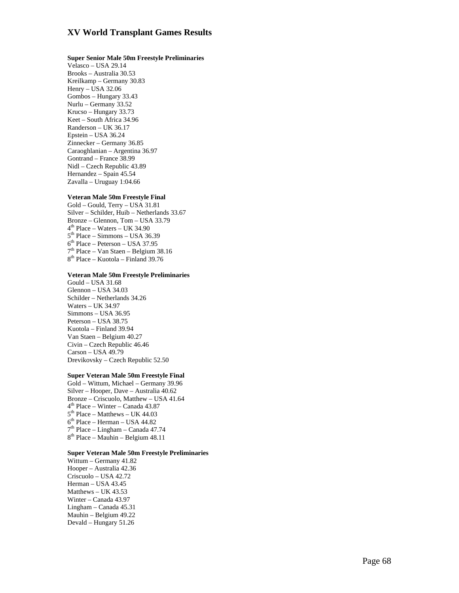#### **Super Senior Male 50m Freestyle Preliminaries**

Velasco – USA 29.14 Brooks – Australia 30.53 Kreilkamp – Germany 30.83 Henry – USA 32.06 Gombos – Hungary 33.43 Nurlu – Germany 33.52 Krucso – Hungary 33.73 Keet – South Africa 34.96 Randerson – UK 36.17 Epstein – USA 36.24 Zinnecker – Germany 36.85 Caraoghlanian – Argentina 36.97 Gontrand – France 38.99 Nidl – Czech Republic 43.89 Hernandez – Spain 45.54 Zavalla – Uruguay 1:04.66

#### **Veteran Male 50m Freestyle Final**

Gold – Gould, Terry – USA 31.81 Silver – Schilder, Huib – Netherlands 33.67  $4<sup>th</sup>$  Place – Waters – UK 34.90<br>  $5<sup>th</sup>$  Place – Simmons – USA 36.39<br>  $6<sup>th</sup>$  Place – Peterson – USA 37.95<br>  $7<sup>th</sup>$  Place – Van Staen – Belgium 38.16<br>  $8<sup>th</sup>$  Place – Kuotola – Finland 39.76

#### **Veteran Male 50m Freestyle Preliminaries**

Gould – USA 31.68 Glennon – USA 34.03 Schilder – Netherlands 34.26 Waters – UK 34.97 Simmons – USA 36.95 Peterson – USA 38.75 Kuotola – Finland 39.94 Van Staen – Belgium 40.27 Civin – Czech Republic 46.46 Carson – USA 49.79 Drevikovsky – Czech Republic 52.50

#### **Super Veteran Male 50m Freestyle Final**

Gold – Wittum, Michael – Germany 39.96 Silver – Hooper, Dave – Australia 40.62 Bronze – Criscuolo, Matthew – USA 41.64<br>  $4<sup>th</sup>$  Place – Winter – Canada 43.87<br>  $5<sup>th</sup>$  Place – Matthews – UK 44.03<br>  $6<sup>th</sup>$  Place – Herman – USA 44.82<br>  $7<sup>th</sup>$  Place – Lingham – Canada 47.74<br>  $8<sup>th</sup>$  Place

#### **Super Veteran Male 50m Freestyle Preliminaries**

Wittum – Germany 41.82 Hooper – Australia 42.36 Criscuolo – USA 42.72 Herman – USA 43.45 Matthews – UK 43.53 Winter – Canada 43.97 Lingham – Canada 45.31 Mauhin – Belgium 49.22 Devald – Hungary 51.26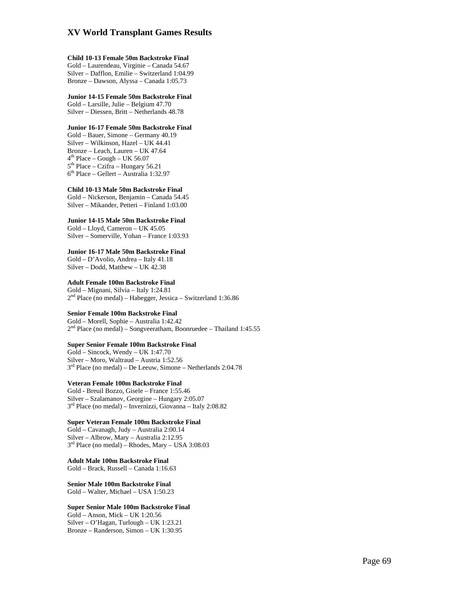#### **Child 10-13 Female 50m Backstroke Final**

Gold – Laurendeau, Virginie – Canada 54.67 Silver – Dafflon, Emilie – Switzerland 1:04.99 Bronze – Dawson, Alyssa – Canada 1:05.73

#### **Junior 14-15 Female 50m Backstroke Final**

Gold – Larsille, Julie – Belgium 47.70 Silver – Diessen, Britt – Netherlands 48.78

#### **Junior 16-17 Female 50m Backstroke Final**

Gold – Bauer, Simone – Germany 40.19 Silver – Wilkinson, Hazel – UK 44.41 Bronze – Leach, Lauren – UK 47.64  $4<sup>th</sup>$  Place – Gough – UK 56.07  $5<sup>th</sup>$  Place – Czifra – Hungary 56.21 6th Place – Gellert – Australia 1:32.97

#### **Child 10-13 Male 50m Backstroke Final**

Gold – Nickerson, Benjamin – Canada 54.45 Silver – Mikander, Petteri – Finland 1:03.00

### **Junior 14-15 Male 50m Backstroke Final**

Gold – Lloyd, Cameron – UK 45.05 Silver – Somerville, Yohan – France 1:03.93

### **Junior 16-17 Male 50m Backstroke Final**

Gold – D'Avolio, Andrea – Italy 41.18 Silver – Dodd, Matthew – UK 42.38

#### **Adult Female 100m Backstroke Final**

Gold – Mignani, Silvia – Italy 1:24.81  $2<sup>nd</sup>$  Place (no medal) – Habegger, Jessica – Switzerland 1:36.86

### **Senior Female 100m Backstroke Final**

Gold – Morell, Sophie – Australia 1:42.42  $2<sup>nd</sup>$  Place (no medal) – Songveeratham, Boonruedee – Thailand 1:45.55

### **Super Senior Female 100m Backstroke Final**

Gold – Sincock, Wendy – UK 1:47.70 Silver – Moro, Waltraud – Austria 1:52.56  $3<sup>rd</sup>$  Place (no medal) – De Leeuw, Simone – Netherlands 2:04.78

### **Veteran Female 100m Backstroke Final**

Gold - Breuil Bozzo, Gisele – France 1:55.46 Silver – Szalamanov, Georgine – Hungary 2:05.07  $3<sup>rd</sup>$  Place (no medal) – Invernizzi, Giovanna – Italy 2:08.82

#### **Super Veteran Female 100m Backstroke Final**

Gold – Cavanagh, Judy – Australia 2:00.14 Silver – Albrow, Mary – Australia 2:12.95  $3<sup>rd</sup>$  Place (no medal) – Rhodes, Mary – USA 3:08.03

#### **Adult Male 100m Backstroke Final**  Gold – Brack, Russell – Canada 1:16.63

**Senior Male 100m Backstroke Final**  Gold – Walter, Michael – USA 1:50.23

### **Super Senior Male 100m Backstroke Final**

Gold – Anson, Mick – UK 1:20.56 Silver – O'Hagan, Turlough – UK 1:23.21 Bronze – Randerson, Simon – UK 1:30.95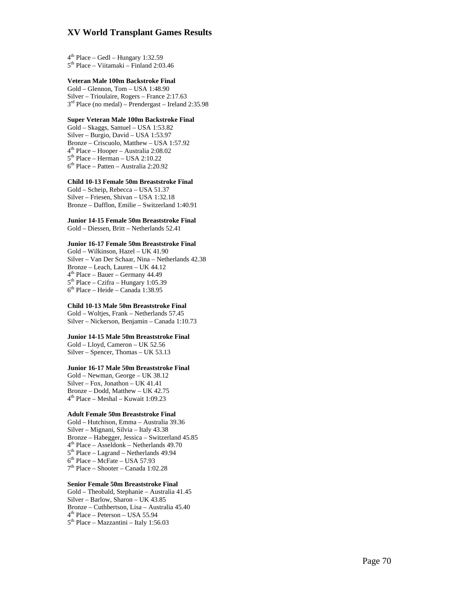$4<sup>th</sup>$  Place – Gedl – Hungary 1:32.59<br> $5<sup>th</sup>$  Place – Viitamaki – Finland 2:03.46

### **Veteran Male 100m Backstroke Final**

Gold – Glennon, Tom – USA 1:48.90 Silver – Trioulaire, Rogers – France 2:17.63<br> $3<sup>rd</sup>$  Place (no medal) – Prendergast – Ireland 2:35.98

### **Super Veteran Male 100m Backstroke Final**

Gold – Skaggs, Samuel – USA 1:53.82 Silver – Burgio, David – USA 1:53.97 Bronze – Criscuolo, Matthew – USA 1:57.92<br>  $4<sup>th</sup>$  Place – Hooper – Australia 2:08.02<br>  $5<sup>th</sup>$  Place – Herman – USA 2:10.22<br>  $6<sup>th</sup>$  Place – Patten – Australia 2:20.92

### **Child 10-13 Female 50m Breaststroke Final**

Gold – Scheip, Rebecca – USA 51.37 Silver – Friesen, Shivan – USA 1:32.18 Bronze – Dafflon, Emilie – Switzerland 1:40.91

**Junior 14-15 Female 50m Breaststroke Final**  Gold – Diessen, Britt – Netherlands 52.41

### **Junior 16-17 Female 50m Breaststroke Final**

Gold – Wilkinson, Hazel – UK 41.90 Silver – Van Der Schaar, Nina – Netherlands 42.38  $4^{th}$  Place – Bauer – Germany 44.49<br> $5^{th}$  Place – Czifra – Hungary 1:05.39<br> $6^{th}$  Place – Heide – Canada 1:38.95

### **Child 10-13 Male 50m Breaststroke Final**

Gold – Woltjes, Frank – Netherlands 57.45 Silver – Nickerson, Benjamin – Canada 1:10.73

### **Junior 14-15 Male 50m Breaststroke Final**

Gold – Lloyd, Cameron – UK 52.56 Silver – Spencer, Thomas – UK 53.13

### **Junior 16-17 Male 50m Breaststroke Final**

Gold – Newman, George – UK 38.12 Silver – Fox, Jonathon – UK 41.41 Bronze – Dodd, Matthew – UK 42.75<br> $4^{\text{th}}$  Place – Meshal – Kuwait 1:09.23

### **Adult Female 50m Breaststroke Final**

Gold – Hutchison, Emma – Australia 39.36 Silver – Mignani, Silvia – Italy 43.38 Bronze – Habegger, Jessica – Switzerland 45.85<br>  $4^{th}$  Place – Asseldonk – Netherlands 49.70<br>  $5^{th}$  Place – Lagrand – Netherlands 49.94<br>  $6^{th}$  Place – McFate – USA 57.93<br>  $7^{th}$  Place – Shooter – Canada 1:02.28

### **Senior Female 50m Breaststroke Final**

Gold – Theobald, Stephanie – Australia 41.45 Silver – Barlow, Sharon – UK 43.85 Bronze – Cuthbertson, Lisa – Australia 45.40<br>  $4<sup>th</sup>$  Place – Peterson – USA 55.94<br>  $5<sup>th</sup>$  Place – Mazzantini – Italy 1:56.03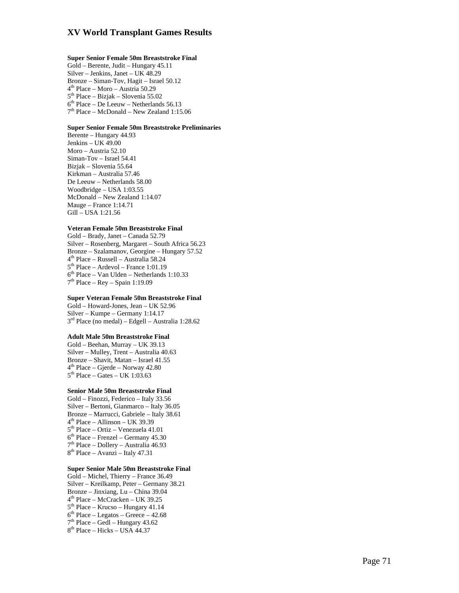### **Super Senior Female 50m Breaststroke Final**

Gold – Berente, Judit – Hungary 45.11 Silver – Jenkins, Janet – UK 48.29 Bronze – Siman-Tov, Hagit – Israel 50.12<br>  $4^{th}$  Place – Moro – Austria 50.29<br>  $5^{th}$  Place – Bizjak – Slovenia 55.02<br>  $6^{th}$  Place – De Leeuw – Netherlands 56.13<br>  $7^{th}$  Place – McDonald – New Zealand 1:15.06

### **Super Senior Female 50m Breaststroke Preliminaries**

Berente – Hungary 44.93 Jenkins – UK 49.00 Moro – Austria 52.10 Siman-Tov – Israel 54.41 Bizjak – Slovenia 55.64 Kirkman – Australia 57.46 De Leeuw – Netherlands 58.00 Woodbridge – USA 1:03.55 McDonald – New Zealand 1:14.07 Mauge – France 1:14.71 Gill – USA 1:21.56

### **Veteran Female 50m Breaststroke Final**

Gold – Brady, Janet – Canada 52.79 Silver – Rosenberg, Margaret – South Africa 56.23 4<sup>th</sup> Place – Russell – Australia 58.24<br>5<sup>th</sup> Place – Ardevol – France 1:01.19<br>6<sup>th</sup> Place – Van Ulden – Netherlands 1:10.33<br>7<sup>th</sup> Place – Rey – Spain 1:19.09

### **Super Veteran Female 50m Breaststroke Final**

Gold – Howard-Jones, Jean – UK 52.96 Silver – Kumpe – Germany 1:14.17<br> $3<sup>rd</sup> Place (no medal) – Edgell – Australia 1:28.62$ 

## **Adult Male 50m Breaststroke Final**

Gold – Beehan, Murray – UK 39.13 Silver – Mulley, Trent – Australia 40.63 Bronze – Shavit, Matan – Israel 41.55<br>  $4^{th}$  Place – Gjerde – Norway 42.80<br>  $5^{th}$  Place – Gates – UK 1:03.63

### **Senior Male 50m Breaststroke Final**

Gold – Finozzi, Federico – Italy 33.56 Silver – Bertoni, Gianmarco – Italy 36.05 Bronze – Marrucci, Gabriele – Italy 38.61<br>  $4<sup>th</sup> Place - Allinson - UK 39.39$ <br>  $5<sup>th</sup> Place - Ortiz - Venezuela 41.01$ <br>  $6<sup>th</sup> Place - Frenchzel - Germany 45.30$ <br>  $7<sup>th</sup> Place - Dolley - Australia 46.93$ <br>  $8<sup>th</sup> Place - Avanzi - Italy 47.31$ 

### **Super Senior Male 50m Breaststroke Final**

Gold – Michel, Thierry – France 36.49 Silver – Kreilkamp, Peter – Germany 38.21 Bronze – Jinxiang, Lu – China 39.04<br>  $4^{\text{th}}$  Place – McCracken – UK 39.25<br>  $5^{\text{th}}$  Place – Krucso – Hungary 41.14<br>  $6^{\text{th}}$  Place – Legatos – Greece – 42.68<br>  $7^{\text{th}}$  Place – Gedl – Hungary 43.62<br>  $8^{\text{th}}$  Place –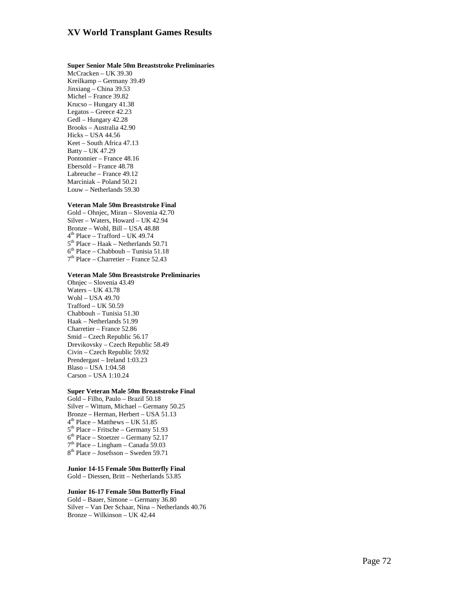### **Super Senior Male 50m Breaststroke Preliminaries**

McCracken – UK 39.30 Kreilkamp – Germany 39.49 Jinxiang – China 39.53 Michel – France 39.82 Krucso – Hungary 41.38 Legatos – Greece 42.23 Gedl – Hungary 42.28 Brooks – Australia 42.90 Hicks – USA 44.56 Keet – South Africa 47.13 Batty – UK 47.29 Pontonnier – France 48.16 Ebersold – France 48.78 Labreuche – France 49.12 Marciniak – Poland 50.21 Louw – Netherlands 59.30

### **Veteran Male 50m Breaststroke Final**

Gold – Ohnjec, Miran – Slovenia 42.70 Silver – Waters, Howard – UK 42.94 Bronze – Wohl, Bill – USA 48.88<br>  $4<sup>th</sup>$  Place – Trafford – UK 49.74<br>  $5<sup>th</sup>$  Place – Haak – Netherlands 50.71<br>  $6<sup>th</sup>$  Place – Chabbouh – Tunisia 51.18<br>  $7<sup>th</sup>$  Place – Charretier – France 52.43

### **Veteran Male 50m Breaststroke Preliminaries**

Ohnjec – Slovenia 43.49 Waters – UK 43.78 Wohl – USA 49.70 Trafford – UK 50.59 Chabbouh – Tunisia 51.30 Haak – Netherlands 51.99 Charretier – France 52.86 Smid – Czech Republic 56.17 Drevikovsky – Czech Republic 58.49 Civin – Czech Republic 59.92 Prendergast – Ireland 1:03.23 Blaso – USA 1:04.58 Carson – USA 1:10.24

## **Super Veteran Male 50m Breaststroke Final**

Gold – Filho, Paulo – Brazil 50.18 Silver – Wittum, Michael – Germany 50.25 Bronze – Herman, Herbert – USA 51.13<br>  $4^{\text{th}}$  Place – Matthews – UK 51.85<br>  $5^{\text{th}}$  Place – Fritsche – Germany 51.93<br>  $6^{\text{th}}$  Place – Stoetzer – Germany 52.17<br>  $7^{\text{th}}$  Place – Lingham – Canada 59.03<br>  $8^{\text{th}}$  Plac

**Junior 14-15 Female 50m Butterfly Final**  Gold – Diessen, Britt – Netherlands 53.85

### **Junior 16-17 Female 50m Butterfly Final**

Gold – Bauer, Simone – Germany 36.80 Silver – Van Der Schaar, Nina – Netherlands 40.76 Bronze – Wilkinson – UK 42.44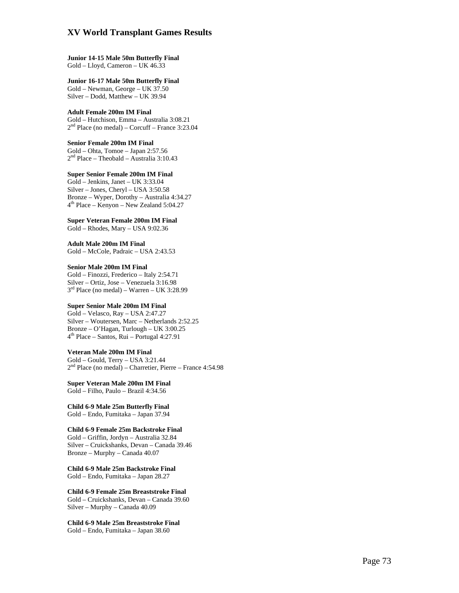**Junior 14-15 Male 50m Butterfly Final**  Gold – Lloyd, Cameron – UK 46.33

**Junior 16-17 Male 50m Butterfly Final**  Gold – Newman, George – UK 37.50 Silver – Dodd, Matthew – UK 39.94

**Adult Female 200m IM Final**  Gold – Hutchison, Emma – Australia 3:08.21  $2<sup>nd</sup>$  Place (no medal) – Corcuff – France 3:23.04

**Senior Female 200m IM Final**  Gold – Ohta, Tomoe – Japan 2:57.56 2nd Place – Theobald – Australia 3:10.43

**Super Senior Female 200m IM Final**  Gold – Jenkins, Janet – UK 3:33.04 Silver – Jones, Cheryl – USA 3:50.58 Bronze – Wyper, Dorothy – Australia 4:34.27 4th Place – Kenyon – New Zealand 5:04.27

**Super Veteran Female 200m IM Final**  Gold – Rhodes, Mary – USA 9:02.36

**Adult Male 200m IM Final**  Gold – McCole, Padraic – USA 2:43.53

**Senior Male 200m IM Final**  Gold – Finozzi, Frederico – Italy 2:54.71 Silver – Ortiz, Jose – Venezuela 3:16.98  $3<sup>rd</sup>$  Place (no medal) – Warren – UK 3:28.99

## **Super Senior Male 200m IM Final**

Gold – Velasco, Ray – USA 2:47.27 Silver – Woutersen, Marc – Netherlands 2:52.25 Bronze – O'Hagan, Turlough – UK 3:00.25 4th Place – Santos, Rui – Portugal 4:27.91

### **Veteran Male 200m IM Final**

Gold – Gould, Terry – USA 3:21.44 2nd Place (no medal) – Charretier, Pierre – France 4:54.98

**Super Veteran Male 200m IM Final**  Gold – Filho, Paulo – Brazil 4:34.56

**Child 6-9 Male 25m Butterfly Final**  Gold – Endo, Fumitaka – Japan 37.94

### **Child 6-9 Female 25m Backstroke Final**

Gold – Griffin, Jordyn – Australia 32.84 Silver – Cruickshanks, Devan – Canada 39.46 Bronze – Murphy – Canada 40.07

**Child 6-9 Male 25m Backstroke Final**  Gold – Endo, Fumitaka – Japan 28.27

**Child 6-9 Female 25m Breaststroke Final**  Gold – Cruickshanks, Devan – Canada 39.60 Silver – Murphy – Canada 40.09

**Child 6-9 Male 25m Breaststroke Final**  Gold – Endo, Fumitaka – Japan 38.60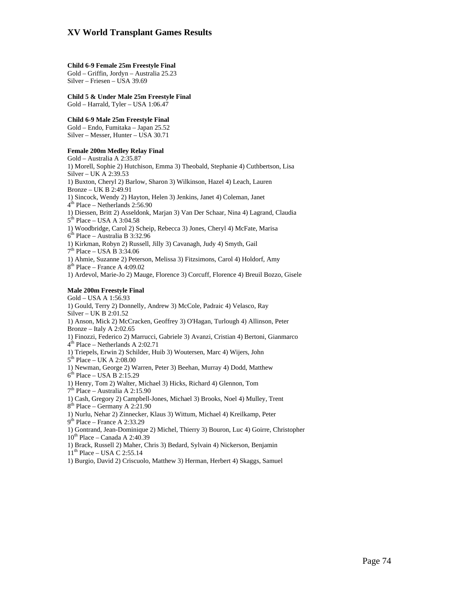#### **Child 6-9 Female 25m Freestyle Final**

Gold – Griffin, Jordyn – Australia 25.23 Silver – Friesen – USA 39.69

**Child 5 & Under Male 25m Freestyle Final**  Gold – Harrald, Tyler – USA 1:06.47

### **Child 6-9 Male 25m Freestyle Final**

Gold – Endo, Fumitaka – Japan 25.52 Silver – Messer, Hunter – USA 30.71

### **Female 200m Medley Relay Final**

Gold – Australia A 2:35.87 1) Morell, Sophie 2) Hutchison, Emma 3) Theobald, Stephanie 4) Cuthbertson, Lisa Silver – UK A 2:39.53 1) Buxton, Cheryl 2) Barlow, Sharon 3) Wilkinson, Hazel 4) Leach, Lauren Bronze – UK B 2:49.91 1) Sincock, Wendy 2) Hayton, Helen 3) Jenkins, Janet 4) Coleman, Janet  $4<sup>th</sup>$  Place – Netherlands 2:56.90 1) Diessen, Britt 2) Asseldonk, Marjan 3) Van Der Schaar, Nina 4) Lagrand, Claudia 5<sup>th</sup> Place – USA A 3:04.58 1) Woodbridge, Carol 2) Scheip, Rebecca 3) Jones, Cheryl 4) McFate, Marisa 6th Place – Australia B 3:32.96 1) Kirkman, Robyn 2) Russell, Jilly 3) Cavanagh, Judy 4) Smyth, Gail  $7<sup>th</sup>$  Place – USA B 3:34.06 1) Ahmie, Suzanne 2) Peterson, Melissa 3) Fitzsimons, Carol 4) Holdorf, Amy  $8<sup>th</sup>$  Place – France A 4:09.02 1) Ardevol, Marie-Jo 2) Mauge, Florence 3) Corcuff, Florence 4) Breuil Bozzo, Gisele

### **Male 200m Freestyle Final**

Gold – USA A 1:56.93 1) Gould, Terry 2) Donnelly, Andrew 3) McCole, Padraic 4) Velasco, Ray Silver – UK B 2:01.52 1) Anson, Mick 2) McCracken, Geoffrey 3) O'Hagan, Turlough 4) Allinson, Peter Bronze – Italy A  $2:02.65$ 1) Finozzi, Federico 2) Marrucci, Gabriele 3) Avanzi, Cristian 4) Bertoni, Gianmarco  $4<sup>th</sup>$  Place – Netherlands A 2:02.71 1) Triepels, Erwin 2) Schilder, Huib 3) Woutersen, Marc 4) Wijers, John  $5<sup>th</sup>$  Place – UK A 2:08.00 1) Newman, George 2) Warren, Peter 3) Beehan, Murray 4) Dodd, Matthew  $6<sup>th</sup> Place – USA B 2:15.29$ 1) Henry, Tom 2) Walter, Michael 3) Hicks, Richard 4) Glennon, Tom 7th Place – Australia A 2:15.90 1) Cash, Gregory 2) Campbell-Jones, Michael 3) Brooks, Noel 4) Mulley, Trent  $8<sup>th</sup>$  Place – Germany A 2:21.90 1) Nurlu, Nehar 2) Zinnecker, Klaus 3) Wittum, Michael 4) Kreilkamp, Peter  $9<sup>th</sup>$  Place – France A 2:33.29 1) Gontrand, Jean-Dominique 2) Michel, Thierry 3) Bouron, Luc 4) Goirre, Christopher  $10^{th}$  Place – Canada A 2:40.39

1) Brack, Russell 2) Maher, Chris 3) Bedard, Sylvain 4) Nickerson, Benjamin

 $11<sup>th</sup>$  Place – USA C 2:55.14

1) Burgio, David 2) Criscuolo, Matthew 3) Herman, Herbert 4) Skaggs, Samuel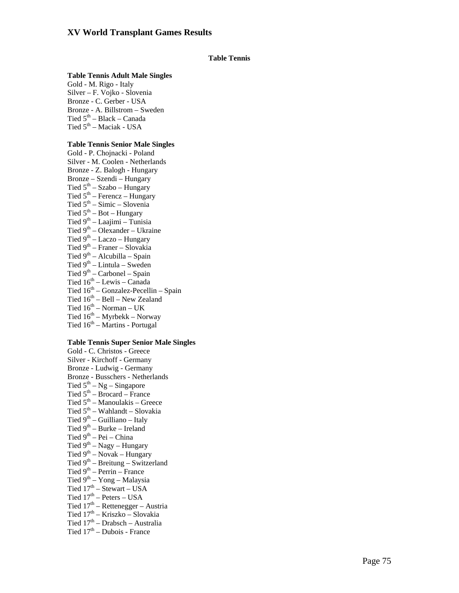# **Table Tennis**

### **Table Tennis Adult Male Singles**

Gold - M. Rigo - Italy Silver – F. Vojko - Slovenia Bronze - C. Gerber - USA Bronze - A. Billstrom – Sweden Tied 5<sup>th</sup> – Black – Canada Tied 5<sup>th</sup> – Maciak - USA

# **Table Tennis Senior Male Singles**

Gold - P. Chojnacki - Poland Silver - M. Coolen - Netherlands Bronze - Z. Balogh - Hungary Bronze – Szendi – Hungary Tied  $5<sup>th</sup> - Szabo - Hungary$ Tied  $5<sup>th</sup>$  – Ferencz – Hungary Tied  $5<sup>th</sup>$  – Simic – Slovenia Tied  $5^{th}$  – Bot – Hungary Tied  $9<sup>th</sup> - Laajimi - Tunisia$ Tied  $9<sup>th</sup>$  – Olexander – Ukraine Tied  $9^{th}$  – Laczo – Hungary Tied  $9<sup>th</sup>$  – Franer – Slovakia Tied  $9<sup>th</sup>$  – Alcubilla – Spain Tied  $9<sup>th</sup> - Lintula - Sweden$ Tied  $9<sup>th</sup>$  – Carbonel – Spain Tied  $16<sup>th</sup>$  – Lewis – Canada Tied  $16<sup>th</sup>$  – Gonzalez-Pecellin – Spain Tied  $16^{th}$  – Bell – New Zealand Tied  $16^{th}$  – Norman – UK Tied  $16^{th}$  – Myrbekk – Norway Tied  $16<sup>th</sup>$  – Martins - Portugal

## **Table Tennis Super Senior Male Singles**

Gold - C. Christos - Greece Silver - Kirchoff - Germany Bronze - Ludwig - Germany Bronze - Busschers - Netherlands Tied  $5^{th} - Ng - Singapore$ Tied  $5<sup>th</sup>$  – Brocard – France Tied  $5<sup>th</sup>$  – Manoulakis – Greece Tied 5<sup>th</sup> – Wahlandt – Slovakia Tied  $9<sup>th</sup>$  – Guilliano – Italy Tied  $9^{th}$  – Burke – Ireland Tied  $9^{th}$  – Pei – China Tied  $9^{th}$  – Nagy – Hungary Tied  $9^{th}$  – Novak – Hungary Tied  $9<sup>th</sup>$  – Breitung – Switzerland Tied  $9<sup>th</sup>$  – Perrin – France Tied  $9^{th}$  – Yong – Malaysia Tied  $17<sup>th</sup>$  – Stewart – USA Tied  $17<sup>th</sup>$  – Peters – USA Tied  $17<sup>th</sup>$  – Rettenegger – Austria Tied  $17<sup>th</sup> - Kriszko - Slovakia$ Tied  $17<sup>th</sup>$  – Drabsch – Australia Tied  $17<sup>th</sup>$  – Dubois - France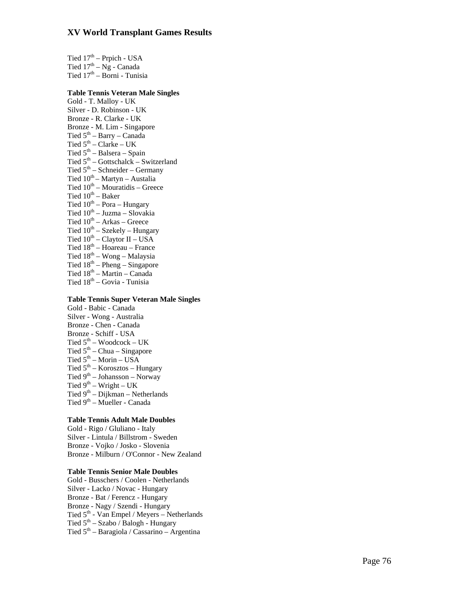Tied  $17<sup>th</sup>$  – Prpich - USA Tied  $17^{th} - Ng - Canada$ Tied  $17<sup>th</sup>$  – Borni - Tunisia

# **Table Tennis Veteran Male Singles**

Gold - T. Malloy - UK Silver - D. Robinson - UK Bronze - R. Clarke - UK Bronze - M. Lim - Singapore Tied  $5<sup>th</sup>$  – Barry – Canada Tied  $5<sup>th</sup>$  – Clarke – UK Tied  $5<sup>th</sup>$  – Balsera – Spain Tied  $5<sup>th</sup>$  – Gottschalck – Switzerland Tied  $5<sup>th</sup>$  – Schneider – Germany Tied  $10^{th}$  – Martyn – Austalia Tied  $10^{th}$  – Mouratidis – Greece Tied  $10^{th}$  – Baker Tied  $10^{th}$  – Pora – Hungary Tied  $10^{th}$  – Juzma – Slovakia Tied  $10^{th}$  – Arkas – Greece Tied  $10^{th}$  – Szekely – Hungary Tied  $10^{th}$  – Claytor II – USA Tied  $18^{th}$  – Hoareau – France Tied 18th – Wong – Malaysia Tied  $18^{th}$  – Pheng – Singapore Tied  $18^{th}$  – Martin – Canada

Tied 18th – Govia - Tunisia

### **Table Tennis Super Veteran Male Singles**

Gold - Babic - Canada Silver - Wong - Australia Bronze - Chen - Canada Bronze - Schiff - USA Tied  $5^{th}$  – Woodcock – UK Tied  $5<sup>th</sup>$  – Chua – Singapore Tied  $5<sup>th</sup>$  – Morin – USA Tied  $5<sup>th</sup>$  – Korosztos – Hungary Tied  $9<sup>th</sup> - Johansson - Norway$ Tied  $9^{th}$  – Wright – UK Tied 9<sup>th</sup> – Dijkman – Netherlands Tied 9<sup>th</sup> – Mueller - Canada

### **Table Tennis Adult Male Doubles**

Gold - Rigo / Gluliano - Italy Silver - Lintula / Billstrom - Sweden Bronze - Vojko / Josko - Slovenia Bronze - Milburn / O'Connor - New Zealand

## **Table Tennis Senior Male Doubles**

Gold - Busschers / Coolen - Netherlands Silver - Lacko / Novac - Hungary Bronze - Bat / Ferencz - Hungary Bronze - Nagy / Szendi - Hungary Tied 5th - Van Empel / Meyers – Netherlands Tied  $5<sup>th</sup> - Szabo / Balogh - Hungary$ Tied  $5<sup>th</sup>$  – Baragiola / Cassarino – Argentina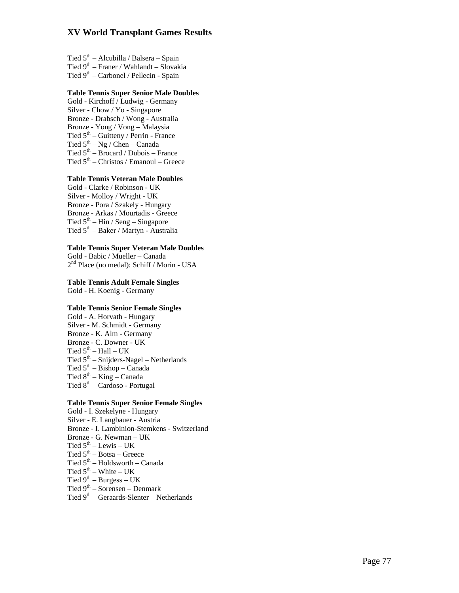Tied  $5<sup>th</sup>$  – Alcubilla / Balsera – Spain Tied  $9<sup>th</sup>$  – Franer / Wahlandt – Slovakia Tied  $9<sup>th</sup>$  – Carbonel / Pellecin - Spain

## **Table Tennis Super Senior Male Doubles**

Gold - Kirchoff / Ludwig - Germany Silver - Chow / Yo - Singapore Bronze - Drabsch / Wong - Australia Bronze - Yong / Vong – Malaysia Tied  $5<sup>th</sup>$  – Guitteny / Perrin - France Tied  $5<sup>th</sup> - Ng / Chen - Canada$ Tied  $5<sup>th</sup>$  – Brocard / Dubois – France Tied  $5<sup>th</sup>$  – Christos / Emanoul – Greece

## **Table Tennis Veteran Male Doubles**

Gold - Clarke / Robinson - UK Silver - Molloy / Wright - UK Bronze - Pora / Szakely - Hungary Bronze - Arkas / Mourtadis - Greece Tied  $5^{th}$  – Hin / Seng – Singapore Tied 5th – Baker / Martyn - Australia

# **Table Tennis Super Veteran Male Doubles**

 $2<sup>nd</sup>$  Place (no medal): Schiff / Morin - USA

**Table Tennis Adult Female Singles**

Gold - H. Koenig - Germany

# **Table Tennis Senior Female Singles**

Gold - A. Horvath - Hungary Silver - M. Schmidt - Germany Bronze - K. Alm - Germany Bronze - C. Downer - UK Tied  $5^{\text{th}}$  – Hall – UK Tied  $5<sup>th</sup>$  – Snijders-Nagel – Netherlands Tied  $5<sup>th</sup>$  – Bishop – Canada Tied  $8^{th}$  – King – Canada Tied  $8^{th}$  – Cardoso - Portugal

### **Table Tennis Super Senior Female Singles**

Gold - I. Szekelyne - Hungary Silver - E. Langbauer - Austria Bronze - I. Lambinion-Stemkens - Switzerland Bronze - G. Newman – UK Tied  $5<sup>th</sup>$  – Lewis – UK Tied  $5<sup>th</sup> - Botsa - Greece$ Tied  $5<sup>th</sup>$  – Holdsworth – Canada Tied  $5^{th}$  – White – UK Tied  $9^{th}$  – Burgess – UK Tied  $9<sup>th</sup>$  – Sorensen – Denmark

Tied 9<sup>th</sup> – Geraards-Slenter – Netherlands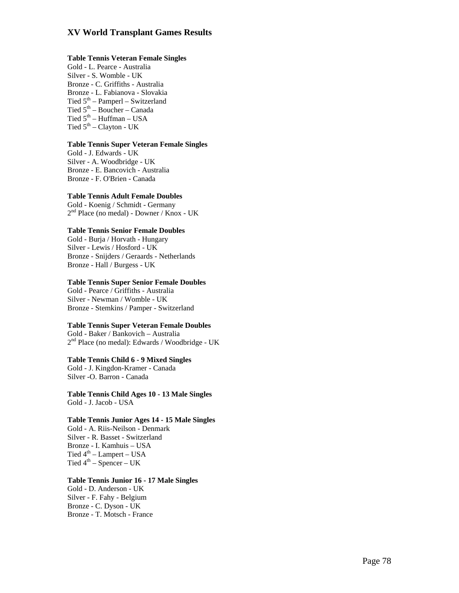### **Table Tennis Veteran Female Singles**

Gold - L. Pearce - Australia Silver - S. Womble - UK Bronze - C. Griffiths - Australia Bronze - L. Fabianova - Slovakia Tied  $5<sup>th</sup>$  – Pamperl – Switzerland Tied  $5<sup>th</sup>$  – Boucher – Canada Tied  $5^{\text{th}}$  – Huffman – USA Tied  $5<sup>th</sup>$  – Clayton - UK

# **Table Tennis Super Veteran Female Singles**

Gold - J. Edwards - UK Silver - A. Woodbridge - UK Bronze - E. Bancovich - Australia Bronze - F. O'Brien - Canada

# **Table Tennis Adult Female Doubles**

Gold - Koenig / Schmidt - Germany 2nd Place (no medal) - Downer / Knox - UK

# **Table Tennis Senior Female Doubles**

Gold - Burja / Horvath - Hungary Silver - Lewis / Hosford - UK Bronze - Snijders / Geraards - Netherlands Bronze - Hall / Burgess - UK

### **Table Tennis Super Senior Female Doubles**

Gold - Pearce / Griffiths - Australia Silver - Newman / Womble - UK Bronze - Stemkins / Pamper - Switzerland

# **Table Tennis Super Veteran Female Doubles**

Gold - Baker / Bankovich – Australia  $2<sup>nd</sup>$  Place (no medal): Edwards / Woodbridge - UK

**Table Tennis Child 6 - 9 Mixed Singles**  Gold - J. Kingdon-Kramer - Canada Silver -O. Barron - Canada

**Table Tennis Child Ages 10 - 13 Male Singles**  Gold - J. Jacob - USA

# **Table Tennis Junior Ages 14 - 15 Male Singles**

Gold - A. Riis-Neilson - Denmark Silver - R. Basset - Switzerland Bronze - I. Kamhuis – USA Tied  $4^{\text{th}}$  – Lampert – USA Tied  $4^{th}$  – Spencer – UK

### **Table Tennis Junior 16 - 17 Male Singles**

Gold - D. Anderson - UK Silver - F. Fahy - Belgium Bronze - C. Dyson - UK Bronze - T. Motsch - France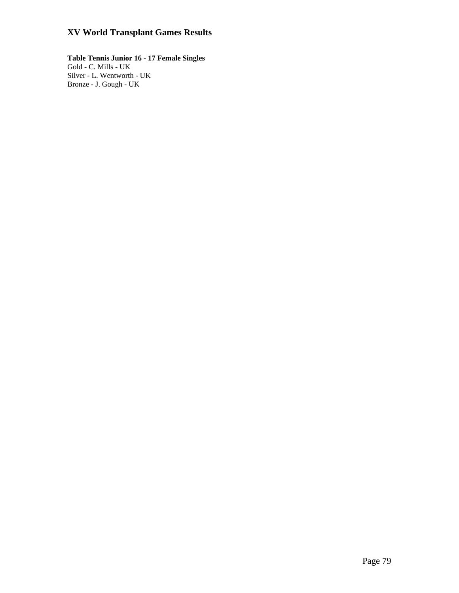**Table Tennis Junior 16 - 17 Female Singles**  Gold - C. Mills - UK Silver - L. Wentworth - UK Bronze - J. Gough - UK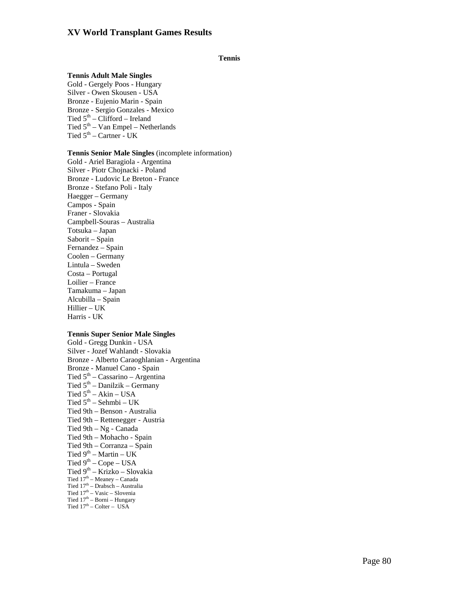## **Tennis**

### **Tennis Adult Male Singles**

Gold - Gergely Poos - Hungary Silver - Owen Skousen - USA Bronze - Eujenio Marin - Spain Bronze - Sergio Gonzales - Mexico Tied  $5<sup>th</sup>$  – Clifford – Ireland Tied  $5<sup>th</sup> - Van Empel - Netherlands$ Tied  $5<sup>th</sup>$  – Cartner - UK

## **Tennis Senior Male Singles** (incomplete information)

Gold - Ariel Baragiola - Argentina Silver - Piotr Chojnacki - Poland Bronze - Ludovic Le Breton - France Bronze - Stefano Poli - Italy Haegger – Germany Campos - Spain Franer - Slovakia Campbell-Souras – Australia Totsuka – Japan Saborit – Spain Fernandez – Spain Coolen – Germany Lintula – Sweden Costa – Portugal Loilier – France Tamakuma – Japan Alcubilla – Spain Hillier – UK Harris - UK

## **Tennis Super Senior Male Singles**

Gold - Gregg Dunkin - USA Silver - Jozef Wahlandt - Slovakia Bronze - Alberto Caraoghlanian - Argentina Bronze - Manuel Cano - Spain Tied  $5<sup>th</sup>$  – Cassarino – Argentina Tied  $5<sup>th</sup>$  – Danilzik – Germany Tied  $5<sup>th</sup> - Akin - USA$ Tied  $5^{th}$  – Sehmbi – UK Tied 9th – Benson - Australia Tied 9th – Rettenegger - Austria Tied 9th – Ng - Canada Tied 9th – Mohacho - Spain Tied 9th – Corranza – Spain Tied  $9^{th}$  – Martin – UK Tied  $9<sup>th</sup>$  – Cope – USA Tied  $9<sup>th</sup> - Krizko - Slovakia$ Tied 17<sup>th</sup> – Meaney – Canada Tied 17th – Drabsch – Australia Tied  $17^{\rm th} - \text{Vasic} - \text{Slovenia}$ Tied  $17<sup>th</sup>$  – Borni – Hungary Tied  $17<sup>th</sup>$  – Colter – USA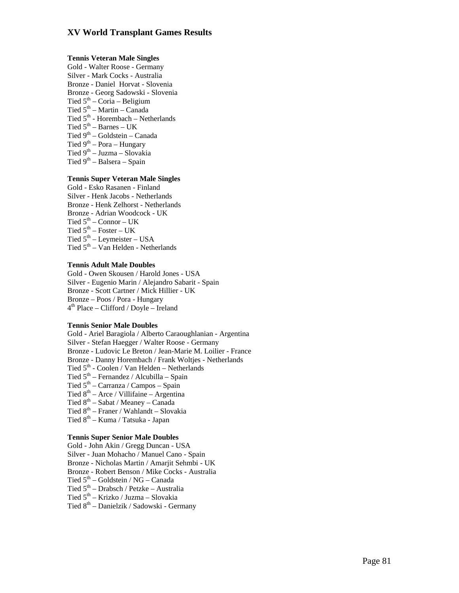### **Tennis Veteran Male Singles**

Gold - Walter Roose - Germany Silver - Mark Cocks - Australia Bronze - Daniel Horvat - Slovenia Bronze - Georg Sadowski - Slovenia Tied  $5<sup>th</sup>$  – Coria – Beligium Tied  $5<sup>th</sup>$  – Martin – Canada Tied 5<sup>th</sup> - Horembach – Netherlands Tied  $5<sup>th</sup>$  – Barnes – UK Tied  $9<sup>th</sup>$  – Goldstein – Canada Tied  $9<sup>th</sup>$  – Pora – Hungary Tied  $9^{th}$  – Juzma – Slovakia Tied  $9<sup>th</sup> - Balsera - Spain$ 

## **Tennis Super Veteran Male Singles**

Gold - Esko Rasanen - Finland Silver - Henk Jacobs - Netherlands Bronze - Henk Zelhorst - Netherlands Bronze - Adrian Woodcock - UK Tied  $5<sup>th</sup>$  – Connor – UK Tied  $5^{\text{th}}$  – Foster – UK Tied  $5<sup>th</sup>$  – Leymeister – USA Tied  $5<sup>th</sup> - Van Helden - Netherlands$ 

## **Tennis Adult Male Doubles**

Gold - Owen Skousen / Harold Jones - USA Silver - Eugenio Marin / Alejandro Sabarit - Spain Bronze - Scott Cartner / Mick Hillier - UK Bronze – Poos / Pora - Hungary  $4<sup>th</sup> Place – Clifford / Doyle – Ireland$ 

## **Tennis Senior Male Doubles**

Gold - Ariel Baragiola / Alberto Caraoughlanian - Argentina Silver - Stefan Haegger / Walter Roose - Germany Bronze - Ludovic Le Breton / Jean-Marie M. Loilier - France Bronze - Danny Horembach / Frank Wolties - Netherlands Tied  $5<sup>th</sup>$  - Coolen / Van Helden – Netherlands Tied  $5<sup>th</sup>$  – Fernandez / Alcubilla – Spain Tied  $5<sup>th</sup>$  – Carranza / Campos – Spain Tied  $8^{th}$  – Arce / Villifaine – Argentina Tied  $8<sup>th</sup>$  – Sabat / Meaney – Canada Tied 8th – Franer / Wahlandt – Slovakia

Tied 8<sup>th</sup> – Kuma / Tatsuka - Japan

## **Tennis Super Senior Male Doubles**

Gold - John Akin / Gregg Duncan - USA

Silver - Juan Mohacho / Manuel Cano - Spain

Bronze - Nicholas Martin / Amarjit Sehmbi - UK

Bronze - Robert Benson / Mike Cocks - Australia

Tied  $5<sup>th</sup>$  – Goldstein / NG – Canada

- Tied 5th Drabsch / Petzke Australia
- Tied 5th Krizko / Juzma Slovakia
- Tied 8th Danielzik / Sadowski Germany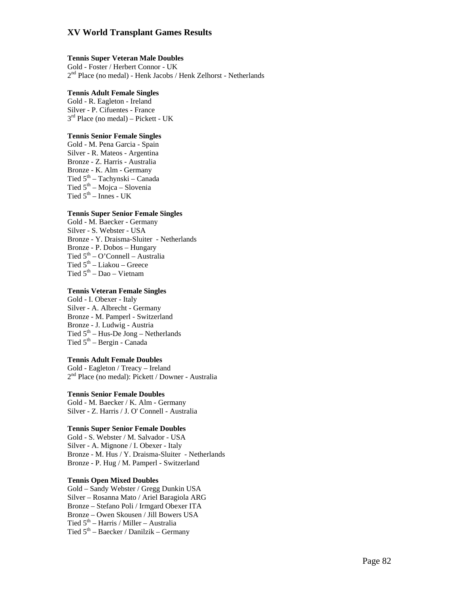## **Tennis Super Veteran Male Doubles**

Gold - Foster / Herbert Connor - UK 2nd Place (no medal) - Henk Jacobs / Henk Zelhorst - Netherlands

## **Tennis Adult Female Singles**

Gold - R. Eagleton - Ireland Silver - P. Cifuentes - France  $3<sup>rd</sup>$  Place (no medal) – Pickett - UK

# **Tennis Senior Female Singles**

Gold - M. Pena Garcia - Spain Silver - R. Mateos - Argentina Bronze - Z. Harris - Australia Bronze - K. Alm - Germany Tied 5th – Tachynski – Canada Tied  $5<sup>th</sup> - Mojca - Slovenia$ Tied  $5<sup>th</sup>$  – Innes - UK

## **Tennis Super Senior Female Singles**

Gold - M. Baecker - Germany Silver - S. Webster - USA Bronze - Y. Draisma-Sluiter - Netherlands Bronze - P. Dobos – Hungary Tied  $5<sup>th</sup> - O'Connell - Australia$ Tied  $5<sup>th</sup>$  – Liakou – Greece Tied  $5<sup>th</sup> - Dao - Vietnam$ 

## **Tennis Veteran Female Singles**

Gold - I. Obexer - Italy Silver - A. Albrecht - Germany Bronze - M. Pamperl - Switzerland Bronze - J. Ludwig - Austria Tied  $5<sup>th</sup>$  – Hus-De Jong – Netherlands Tied  $5<sup>th</sup>$  – Bergin - Canada

## **Tennis Adult Female Doubles**

Gold - Eagleton / Treacy – Ireland 2<sup>nd</sup> Place (no medal): Pickett / Downer - Australia

# **Tennis Senior Female Doubles**

Gold - M. Baecker / K. Alm - Germany Silver - Z. Harris / J. O' Connell - Australia

### **Tennis Super Senior Female Doubles**

Gold - S. Webster / M. Salvador - USA Silver - A. Mignone / I. Obexer - Italy Bronze - M. Hus / Y. Draisma-Sluiter - Netherlands Bronze - P. Hug / M. Pamperl - Switzerland

# **Tennis Open Mixed Doubles**

Gold – Sandy Webster / Gregg Dunkin USA Silver – Rosanna Mato / Ariel Baragiola ARG Bronze – Stefano Poli / Irmgard Obexer ITA Bronze – Owen Skousen / Jill Bowers USA Tied 5<sup>th</sup> – Harris / Miller – Australia Tied  $5<sup>th</sup>$  – Baecker / Danilzik – Germany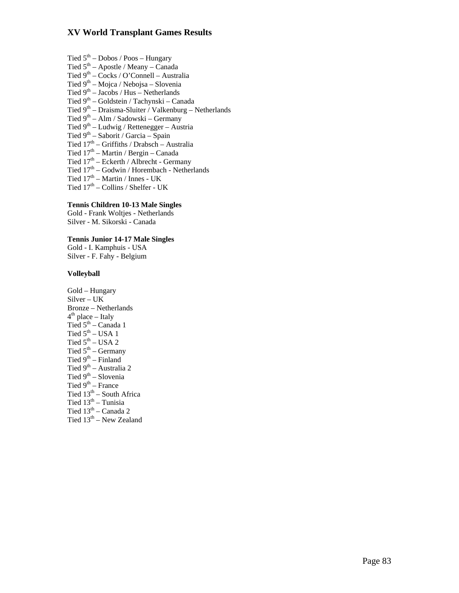Tied  $5<sup>th</sup>$  – Dobos / Poos – Hungary Tied  $5<sup>th</sup>$  – Apostle / Meany – Canada Tied  $9<sup>th</sup> - Cocks / O'Connell - Australia$ Tied  $9<sup>th</sup> - Mojca / Nebojsa - Slovenia$ Tied  $9<sup>th</sup> - Jacobs / Hus - Netherlands$ Tied 9th – Goldstein / Tachynski – Canada Tied  $9<sup>th</sup>$  – Draisma-Sluiter / Valkenburg – Netherlands Tied 9<sup>th</sup> – Alm / Sadowski – Germany Tied  $9^{th}$  – Ludwig / Rettenegger – Austria Tied 9<sup>th</sup> – Saborit / Garcia – Spain Tied  $17<sup>th</sup>$  – Griffiths / Drabsch – Australia Tied  $17<sup>th</sup>$  – Martin / Bergin – Canada Tied  $17<sup>th</sup>$  – Eckerth / Albrecht - Germany Tied 17th – Godwin / Horembach - Netherlands Tied  $17<sup>th</sup>$  – Martin / Innes - UK Tied  $17<sup>th</sup>$  – Collins / Shelfer - UK

# **Tennis Children 10-13 Male Singles**

Gold - Frank Woltjes - Netherlands Silver - M. Sikorski - Canada

# **Tennis Junior 14-17 Male Singles**

Gold - I. Kamphuis - USA Silver - F. Fahy - Belgium

## **Volleyball**

Gold – Hungary Silver – UK Bronze – Netherlands  $4<sup>th</sup>$  place – Italy Tied  $5<sup>th</sup>$  – Canada 1 Tied  $5^{\text{th}}$  – USA 1 Tied  $5<sup>th</sup> - USA$  2 Tied  $5<sup>th</sup>$  – Germany Tied  $9^{th}$  – Finland Tied 9<sup>th</sup> – Australia 2 Tied  $9<sup>th</sup>$  – Slovenia Tied  $9<sup>th</sup>$  – France Tied  $13<sup>th</sup>$  – South Africa Tied 13<sup>th</sup> – Tunisia Tied  $13^{\text{th}}$  – Canada 2 Tied  $13<sup>th</sup>$  – New Zealand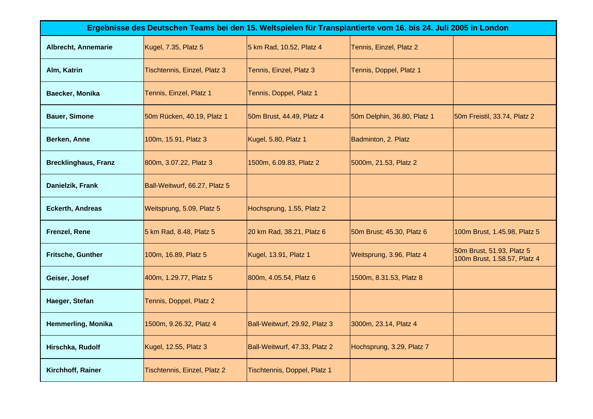| Ergebnisse des Deutschen Teams bei den 15. Weltspielen für Transplantierte vom 16. bis 24. Juli 2005 in London |                               |                               |                             |                                                           |  |  |
|----------------------------------------------------------------------------------------------------------------|-------------------------------|-------------------------------|-----------------------------|-----------------------------------------------------------|--|--|
| <b>Albrecht, Annemarie</b>                                                                                     | Kugel, 7.35, Platz 5          | 5 km Rad, 10.52, Platz 4      | Tennis, Einzel, Platz 2     |                                                           |  |  |
| Alm, Katrin                                                                                                    | Tischtennis, Einzel, Platz 3  | Tennis, Einzel, Platz 3       | Tennis, Doppel, Platz 1     |                                                           |  |  |
| Baecker, Monika                                                                                                | Tennis, Einzel, Platz 1       | Tennis, Doppel, Platz 1       |                             |                                                           |  |  |
| <b>Bauer, Simone</b>                                                                                           | 50m Rücken, 40.19, Platz 1    | 50m Brust, 44.49, Platz 4     | 50m Delphin, 36.80, Platz 1 | 50m Freistil, 33.74, Platz 2                              |  |  |
| Berken, Anne                                                                                                   | 100m, 15.91, Platz 3          | Kugel, 5.80, Platz 1          | Badminton, 2. Platz         |                                                           |  |  |
| <b>Brecklinghaus, Franz</b>                                                                                    | 800m, 3.07.22, Platz 3        | 1500m, 6.09.83, Platz 2       | 5000m, 21.53, Platz 2       |                                                           |  |  |
| Danielzik, Frank                                                                                               | Ball-Weitwurf, 66.27, Platz 5 |                               |                             |                                                           |  |  |
| <b>Eckerth, Andreas</b>                                                                                        | Weitsprung, 5.09, Platz 5     | Hochsprung, 1.55, Platz 2     |                             |                                                           |  |  |
| <b>Frenzel, Rene</b>                                                                                           | 5 km Rad, 8.48, Platz 5       | 20 km Rad, 38.21, Platz 6     | 50m Brust; 45.30, Platz 6   | 100m Brust, 1.45.98, Platz 5                              |  |  |
| Fritsche, Gunther                                                                                              | 100m, 16.89, Platz 5          | Kugel, 13.91, Platz 1         | Weitsprung, 3.96, Platz 4   | 50m Brust, 51.93, Platz 5<br>100m Brust, 1.58.57, Platz 4 |  |  |
| Geiser, Josef                                                                                                  | 400m, 1.29.77, Platz 5        | 800m, 4.05.54, Platz 6        | 1500m, 8.31.53, Platz 8     |                                                           |  |  |
| Haeger, Stefan                                                                                                 | Tennis, Doppel, Platz 2       |                               |                             |                                                           |  |  |
| <b>Hemmerling, Monika</b>                                                                                      | 1500m, 9.26.32, Platz 4       | Ball-Weitwurf, 29.92, Platz 3 | 3000m, 23.14, Platz 4       |                                                           |  |  |
| Hirschka, Rudolf                                                                                               | Kugel, 12.55, Platz 3         | Ball-Weitwurf, 47.33, Platz 2 | Hochsprung, 3.29, Platz 7   |                                                           |  |  |
| Kirchhoff, Rainer                                                                                              | Tischtennis, Einzel, Platz 2  | Tischtennis, Doppel, Platz 1  |                             |                                                           |  |  |